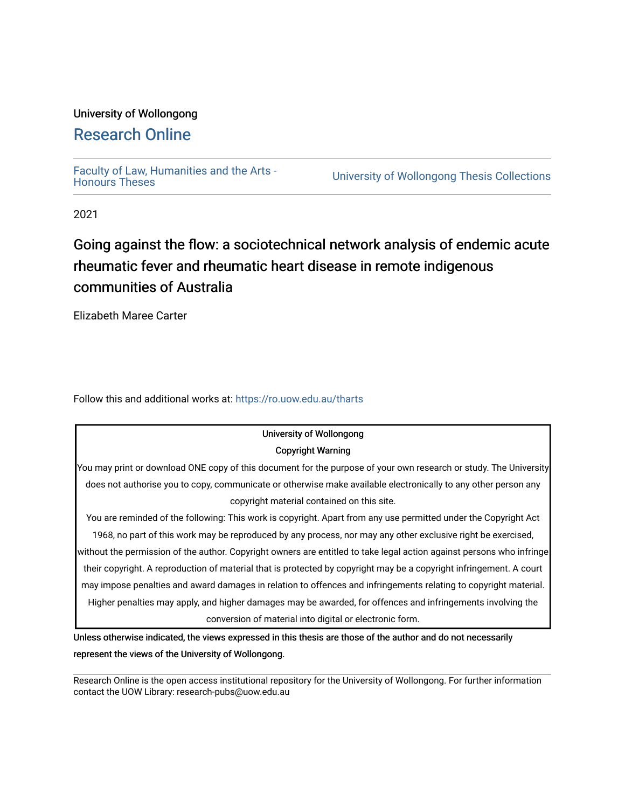### University of Wollongong

## [Research Online](https://ro.uow.edu.au/)

[Faculty of Law, Humanities and the Arts -](https://ro.uow.edu.au/tharts)

University of Wollongong Thesis Collections

2021

## Going against the flow: a sociotechnical network analysis of endemic acute rheumatic fever and rheumatic heart disease in remote indigenous communities of Australia

Elizabeth Maree Carter

Follow this and additional works at: [https://ro.uow.edu.au/tharts](https://ro.uow.edu.au/tharts?utm_source=ro.uow.edu.au%2Ftharts%2F4&utm_medium=PDF&utm_campaign=PDFCoverPages)

## University of Wollongong

#### Copyright Warning

You may print or download ONE copy of this document for the purpose of your own research or study. The University does not authorise you to copy, communicate or otherwise make available electronically to any other person any copyright material contained on this site.

You are reminded of the following: This work is copyright. Apart from any use permitted under the Copyright Act 1968, no part of this work may be reproduced by any process, nor may any other exclusive right be exercised, without the permission of the author. Copyright owners are entitled to take legal action against persons who infringe their copyright. A reproduction of material that is protected by copyright may be a copyright infringement. A court may impose penalties and award damages in relation to offences and infringements relating to copyright material. Higher penalties may apply, and higher damages may be awarded, for offences and infringements involving the conversion of material into digital or electronic form.

Unless otherwise indicated, the views expressed in this thesis are those of the author and do not necessarily represent the views of the University of Wollongong.

Research Online is the open access institutional repository for the University of Wollongong. For further information contact the UOW Library: research-pubs@uow.edu.au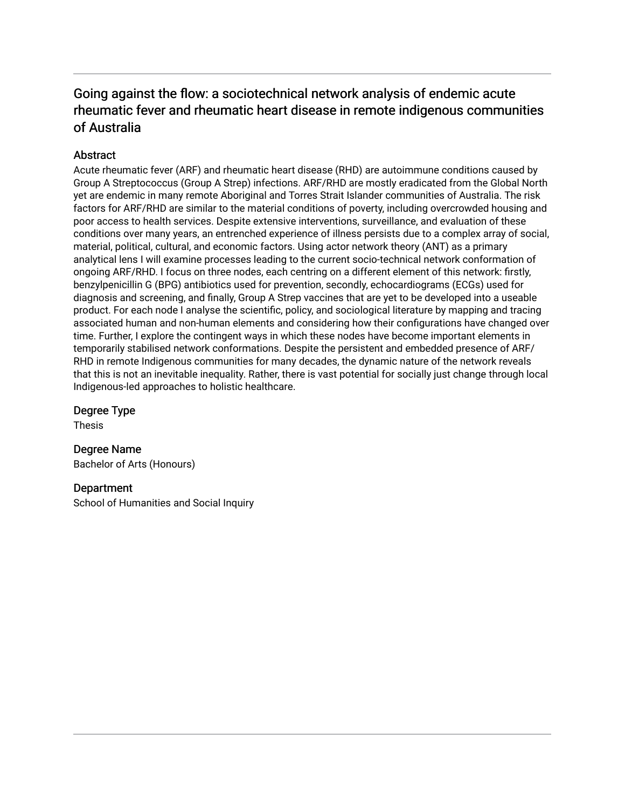### Going against the flow: a sociotechnical network analysis of endemic acute rheumatic fever and rheumatic heart disease in remote indigenous communities of Australia

#### **Abstract**

Acute rheumatic fever (ARF) and rheumatic heart disease (RHD) are autoimmune conditions caused by Group A Streptococcus (Group A Strep) infections. ARF/RHD are mostly eradicated from the Global North yet are endemic in many remote Aboriginal and Torres Strait Islander communities of Australia. The risk factors for ARF/RHD are similar to the material conditions of poverty, including overcrowded housing and poor access to health services. Despite extensive interventions, surveillance, and evaluation of these conditions over many years, an entrenched experience of illness persists due to a complex array of social, material, political, cultural, and economic factors. Using actor network theory (ANT) as a primary analytical lens I will examine processes leading to the current socio-technical network conformation of ongoing ARF/RHD. I focus on three nodes, each centring on a different element of this network: firstly, benzylpenicillin G (BPG) antibiotics used for prevention, secondly, echocardiograms (ECGs) used for diagnosis and screening, and finally, Group A Strep vaccines that are yet to be developed into a useable product. For each node I analyse the scientific, policy, and sociological literature by mapping and tracing associated human and non-human elements and considering how their configurations have changed over time. Further, I explore the contingent ways in which these nodes have become important elements in temporarily stabilised network conformations. Despite the persistent and embedded presence of ARF/ RHD in remote Indigenous communities for many decades, the dynamic nature of the network reveals that this is not an inevitable inequality. Rather, there is vast potential for socially just change through local Indigenous-led approaches to holistic healthcare.

#### Degree Type

Thesis

Degree Name Bachelor of Arts (Honours)

#### **Department**

School of Humanities and Social Inquiry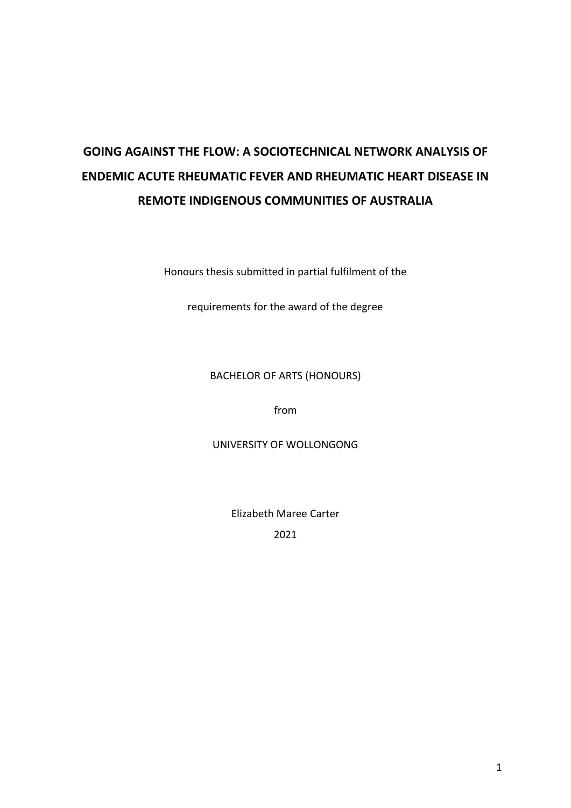# **GOING AGAINST THE FLOW: A SOCIOTECHNICAL NETWORK ANALYSIS OF ENDEMIC ACUTE RHEUMATIC FEVER AND RHEUMATIC HEART DISEASE IN REMOTE INDIGENOUS COMMUNITIES OF AUSTRALIA**

Honours thesis submitted in partial fulfilment of the

requirements for the award of the degree

#### BACHELOR OF ARTS (HONOURS)

from

UNIVERSITY OF WOLLONGONG

Elizabeth Maree Carter 2021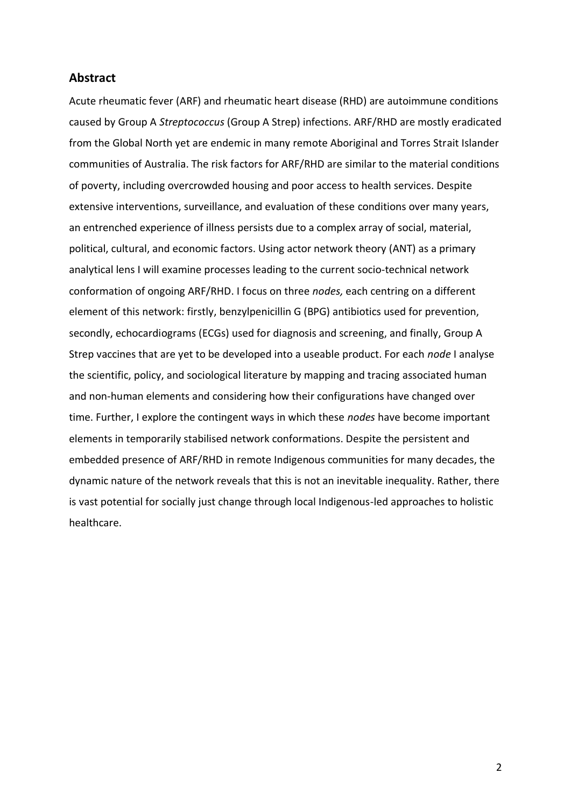#### **Abstract**

Acute rheumatic fever (ARF) and rheumatic heart disease (RHD) are autoimmune conditions caused by Group A *Streptococcus* (Group A Strep) infections. ARF/RHD are mostly eradicated from the Global North yet are endemic in many remote Aboriginal and Torres Strait Islander communities of Australia. The risk factors for ARF/RHD are similar to the material conditions of poverty, including overcrowded housing and poor access to health services. Despite extensive interventions, surveillance, and evaluation of these conditions over many years, an entrenched experience of illness persists due to a complex array of social, material, political, cultural, and economic factors. Using actor network theory (ANT) as a primary analytical lens I will examine processes leading to the current socio-technical network conformation of ongoing ARF/RHD. I focus on three *nodes,* each centring on a different element of this network: firstly, benzylpenicillin G (BPG) antibiotics used for prevention, secondly, echocardiograms (ECGs) used for diagnosis and screening, and finally, Group A Strep vaccines that are yet to be developed into a useable product. For each *node* I analyse the scientific, policy, and sociological literature by mapping and tracing associated human and non-human elements and considering how their configurations have changed over time. Further, I explore the contingent ways in which these *nodes* have become important elements in temporarily stabilised network conformations. Despite the persistent and embedded presence of ARF/RHD in remote Indigenous communities for many decades, the dynamic nature of the network reveals that this is not an inevitable inequality. Rather, there is vast potential for socially just change through local Indigenous-led approaches to holistic healthcare.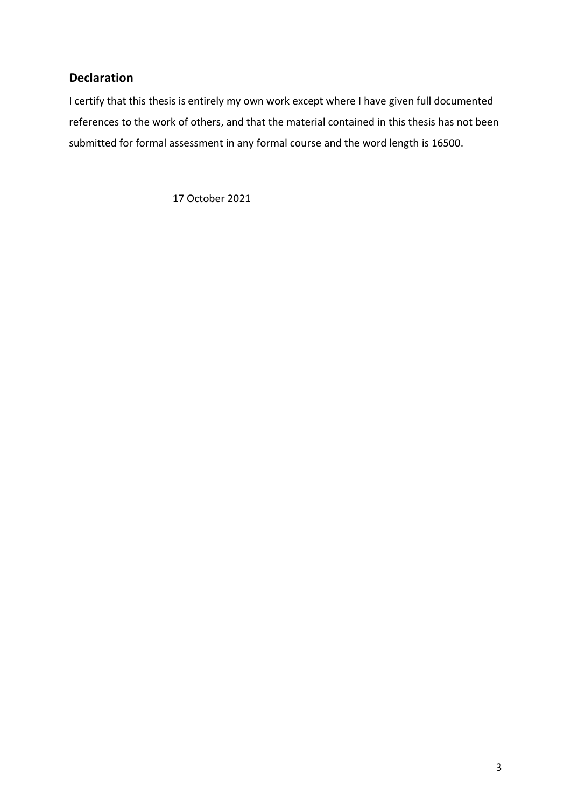### **Declaration**

I certify that this thesis is entirely my own work except where I have given full documented references to the work of others, and that the material contained in this thesis has not been submitted for formal assessment in any formal course and the word length is 16500.

17 October 2021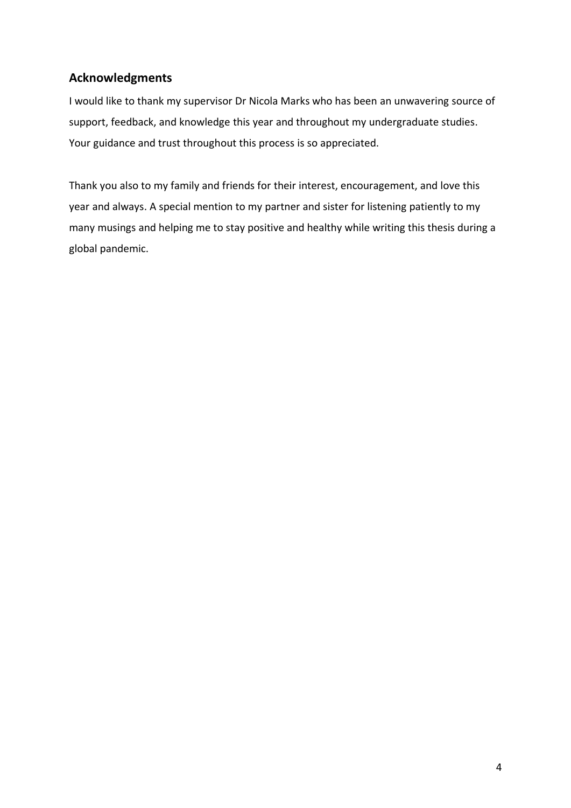## **Acknowledgments**

I would like to thank my supervisor Dr Nicola Marks who has been an unwavering source of support, feedback, and knowledge this year and throughout my undergraduate studies. Your guidance and trust throughout this process is so appreciated.

Thank you also to my family and friends for their interest, encouragement, and love this year and always. A special mention to my partner and sister for listening patiently to my many musings and helping me to stay positive and healthy while writing this thesis during a global pandemic.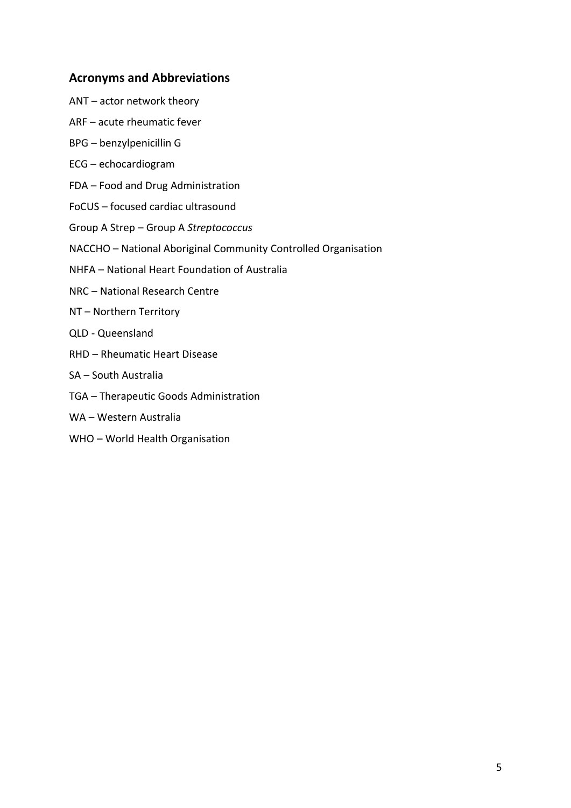#### **Acronyms and Abbreviations**

- ANT actor network theory
- ARF acute rheumatic fever
- BPG benzylpenicillin G
- ECG echocardiogram
- FDA Food and Drug Administration
- FoCUS focused cardiac ultrasound
- Group A Strep Group A *Streptococcus*
- NACCHO National Aboriginal Community Controlled Organisation
- NHFA National Heart Foundation of Australia
- NRC National Research Centre
- NT Northern Territory
- QLD Queensland
- RHD Rheumatic Heart Disease
- SA South Australia
- TGA Therapeutic Goods Administration
- WA Western Australia
- WHO World Health Organisation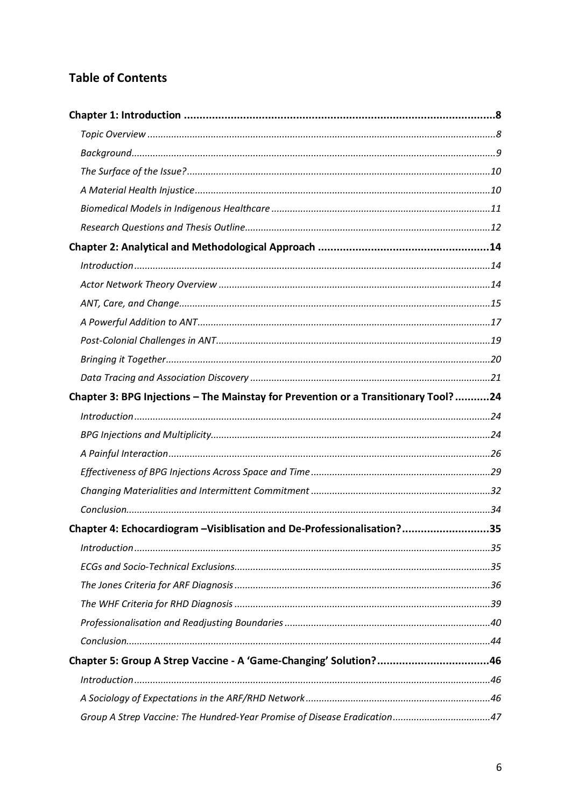### **Table of Contents**

| Chapter 3: BPG Injections - The Mainstay for Prevention or a Transitionary Tool?24 |  |
|------------------------------------------------------------------------------------|--|
|                                                                                    |  |
|                                                                                    |  |
|                                                                                    |  |
|                                                                                    |  |
|                                                                                    |  |
|                                                                                    |  |
| Chapter 4: Echocardiogram -Visiblisation and De-Professionalisation?35             |  |
|                                                                                    |  |
|                                                                                    |  |
|                                                                                    |  |
|                                                                                    |  |
|                                                                                    |  |
|                                                                                    |  |
| Chapter 5: Group A Strep Vaccine - A 'Game-Changing' Solution?46                   |  |
|                                                                                    |  |
|                                                                                    |  |
|                                                                                    |  |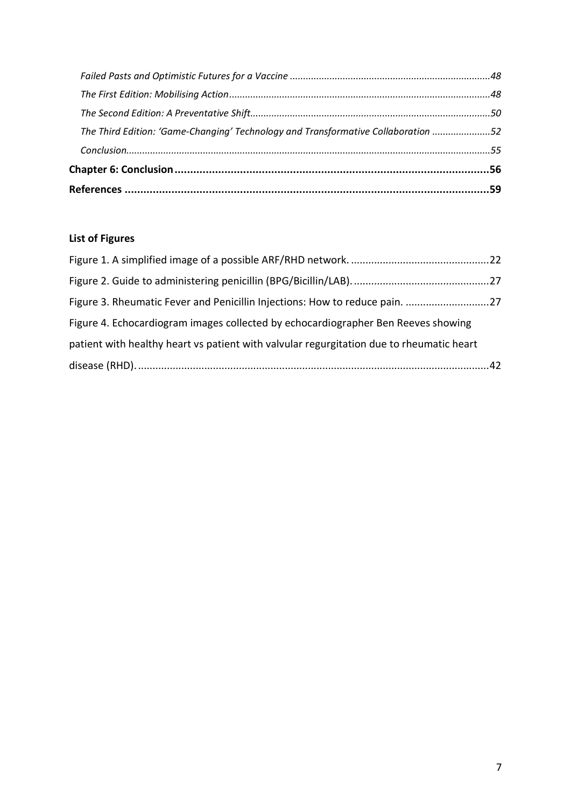| The Third Edition: 'Game-Changing' Technology and Transformative Collaboration 52 |  |
|-----------------------------------------------------------------------------------|--|
|                                                                                   |  |
|                                                                                   |  |
|                                                                                   |  |
|                                                                                   |  |

### **List of Figures**

| Figure 3. Rheumatic Fever and Penicillin Injections: How to reduce pain. 27              |  |
|------------------------------------------------------------------------------------------|--|
| Figure 4. Echocardiogram images collected by echocardiographer Ben Reeves showing        |  |
| patient with healthy heart vs patient with valvular regurgitation due to rheumatic heart |  |
|                                                                                          |  |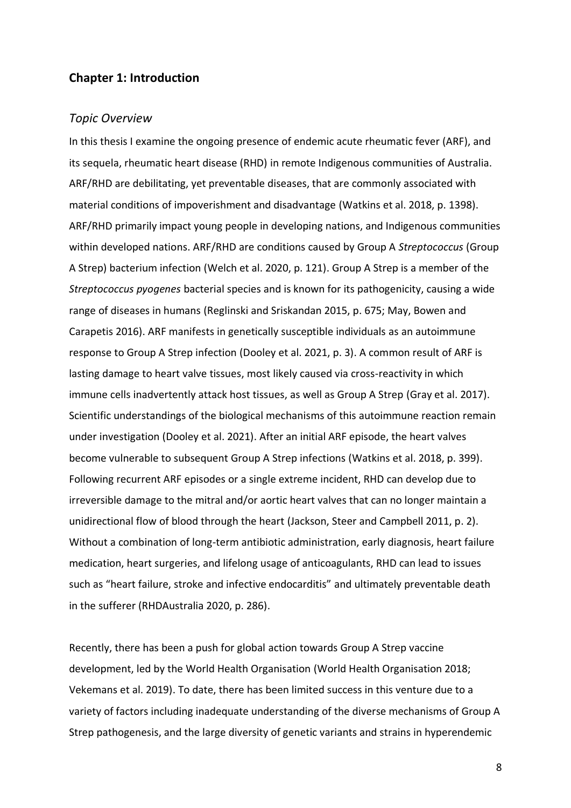#### **Chapter 1: Introduction**

#### *Topic Overview*

In this thesis I examine the ongoing presence of endemic acute rheumatic fever (ARF), and its sequela, rheumatic heart disease (RHD) in remote Indigenous communities of Australia. ARF/RHD are debilitating, yet preventable diseases, that are commonly associated with material conditions of impoverishment and disadvantage (Watkins et al. 2018, p. 1398). ARF/RHD primarily impact young people in developing nations, and Indigenous communities within developed nations. ARF/RHD are conditions caused by Group A *Streptococcus* (Group A Strep) bacterium infection (Welch et al. 2020, p. 121). Group A Strep is a member of the *Streptococcus pyogenes* bacterial species and is known for its pathogenicity, causing a wide range of diseases in humans (Reglinski and Sriskandan 2015, p. 675; May, Bowen and Carapetis 2016). ARF manifests in genetically susceptible individuals as an autoimmune response to Group A Strep infection (Dooley et al. 2021, p. 3). A common result of ARF is lasting damage to heart valve tissues, most likely caused via cross-reactivity in which immune cells inadvertently attack host tissues, as well as Group A Strep (Gray et al. 2017). Scientific understandings of the biological mechanisms of this autoimmune reaction remain under investigation (Dooley et al. 2021). After an initial ARF episode, the heart valves become vulnerable to subsequent Group A Strep infections (Watkins et al. 2018, p. 399). Following recurrent ARF episodes or a single extreme incident, RHD can develop due to irreversible damage to the mitral and/or aortic heart valves that can no longer maintain a unidirectional flow of blood through the heart (Jackson, Steer and Campbell 2011, p. 2). Without a combination of long-term antibiotic administration, early diagnosis, heart failure medication, heart surgeries, and lifelong usage of anticoagulants, RHD can lead to issues such as "heart failure, stroke and infective endocarditis" and ultimately preventable death in the sufferer (RHDAustralia 2020, p. 286).

Recently, there has been a push for global action towards Group A Strep vaccine development, led by the World Health Organisation (World Health Organisation 2018; Vekemans et al. 2019). To date, there has been limited success in this venture due to a variety of factors including inadequate understanding of the diverse mechanisms of Group A Strep pathogenesis, and the large diversity of genetic variants and strains in hyperendemic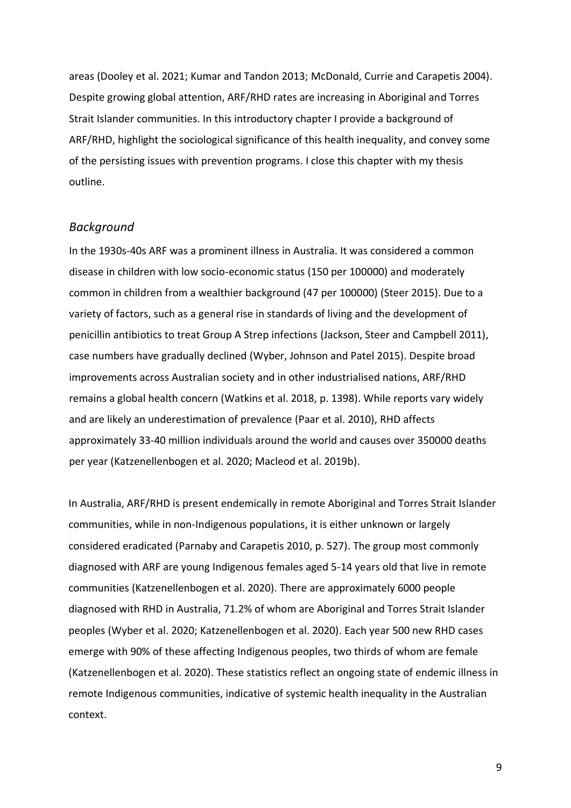areas (Dooley et al. 2021; Kumar and Tandon 2013; McDonald, Currie and Carapetis 2004). Despite growing global attention, ARF/RHD rates are increasing in Aboriginal and Torres Strait Islander communities. In this introductory chapter I provide a background of ARF/RHD, highlight the sociological significance of this health inequality, and convey some of the persisting issues with prevention programs. I close this chapter with my thesis outline.

#### *Background*

In the 1930s-40s ARF was a prominent illness in Australia. It was considered a common disease in children with low socio-economic status (150 per 100000) and moderately common in children from a wealthier background (47 per 100000) (Steer 2015). Due to a variety of factors, such as a general rise in standards of living and the development of penicillin antibiotics to treat Group A Strep infections (Jackson, Steer and Campbell 2011), case numbers have gradually declined (Wyber, Johnson and Patel 2015). Despite broad improvements across Australian society and in other industrialised nations, ARF/RHD remains a global health concern (Watkins et al. 2018, p. 1398). While reports vary widely and are likely an underestimation of prevalence (Paar et al. 2010), RHD affects approximately 33-40 million individuals around the world and causes over 350000 deaths per year (Katzenellenbogen et al. 2020; Macleod et al. 2019b).

In Australia, ARF/RHD is present endemically in remote Aboriginal and Torres Strait Islander communities, while in non-Indigenous populations, it is either unknown or largely considered eradicated (Parnaby and Carapetis 2010, p. 527). The group most commonly diagnosed with ARF are young Indigenous females aged 5-14 years old that live in remote communities (Katzenellenbogen et al. 2020). There are approximately 6000 people diagnosed with RHD in Australia, 71.2% of whom are Aboriginal and Torres Strait Islander peoples (Wyber et al. 2020; Katzenellenbogen et al. 2020). Each year 500 new RHD cases emerge with 90% of these affecting Indigenous peoples, two thirds of whom are female (Katzenellenbogen et al. 2020). These statistics reflect an ongoing state of endemic illness in remote Indigenous communities, indicative of systemic health inequality in the Australian context.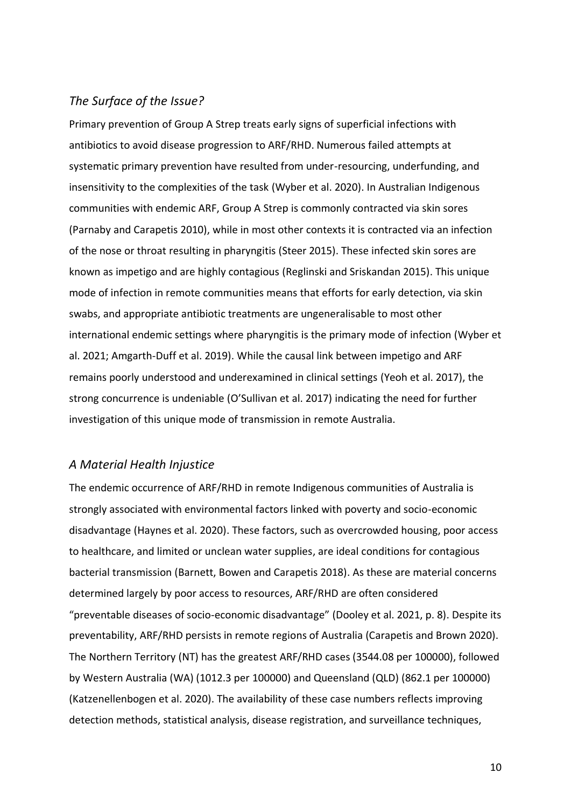#### *The Surface of the Issue?*

Primary prevention of Group A Strep treats early signs of superficial infections with antibiotics to avoid disease progression to ARF/RHD. Numerous failed attempts at systematic primary prevention have resulted from under-resourcing, underfunding, and insensitivity to the complexities of the task (Wyber et al. 2020). In Australian Indigenous communities with endemic ARF, Group A Strep is commonly contracted via skin sores (Parnaby and Carapetis 2010), while in most other contexts it is contracted via an infection of the nose or throat resulting in pharyngitis (Steer 2015). These infected skin sores are known as impetigo and are highly contagious (Reglinski and Sriskandan 2015). This unique mode of infection in remote communities means that efforts for early detection, via skin swabs, and appropriate antibiotic treatments are ungeneralisable to most other international endemic settings where pharyngitis is the primary mode of infection (Wyber et al. 2021; Amgarth-Duff et al. 2019). While the causal link between impetigo and ARF remains poorly understood and underexamined in clinical settings (Yeoh et al. 2017), the strong concurrence is undeniable (O'Sullivan et al. 2017) indicating the need for further investigation of this unique mode of transmission in remote Australia.

#### *A Material Health Injustice*

The endemic occurrence of ARF/RHD in remote Indigenous communities of Australia is strongly associated with environmental factors linked with poverty and socio-economic disadvantage (Haynes et al. 2020). These factors, such as overcrowded housing, poor access to healthcare, and limited or unclean water supplies, are ideal conditions for contagious bacterial transmission (Barnett, Bowen and Carapetis 2018). As these are material concerns determined largely by poor access to resources, ARF/RHD are often considered "preventable diseases of socio-economic disadvantage" (Dooley et al. 2021, p. 8). Despite its preventability, ARF/RHD persists in remote regions of Australia (Carapetis and Brown 2020). The Northern Territory (NT) has the greatest ARF/RHD cases (3544.08 per 100000), followed by Western Australia (WA) (1012.3 per 100000) and Queensland (QLD) (862.1 per 100000) (Katzenellenbogen et al. 2020). The availability of these case numbers reflects improving detection methods, statistical analysis, disease registration, and surveillance techniques,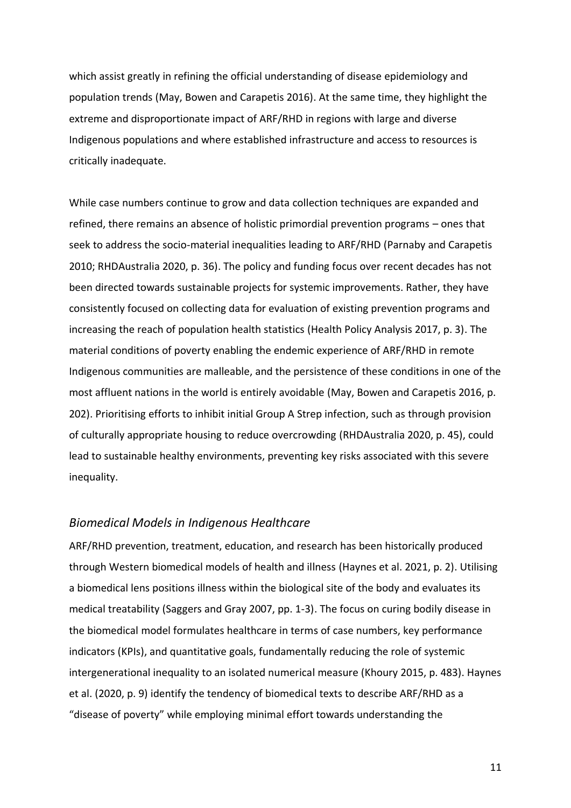which assist greatly in refining the official understanding of disease epidemiology and population trends (May, Bowen and Carapetis 2016). At the same time, they highlight the extreme and disproportionate impact of ARF/RHD in regions with large and diverse Indigenous populations and where established infrastructure and access to resources is critically inadequate.

While case numbers continue to grow and data collection techniques are expanded and refined, there remains an absence of holistic primordial prevention programs – ones that seek to address the socio-material inequalities leading to ARF/RHD (Parnaby and Carapetis 2010; RHDAustralia 2020, p. 36). The policy and funding focus over recent decades has not been directed towards sustainable projects for systemic improvements. Rather, they have consistently focused on collecting data for evaluation of existing prevention programs and increasing the reach of population health statistics (Health Policy Analysis 2017, p. 3). The material conditions of poverty enabling the endemic experience of ARF/RHD in remote Indigenous communities are malleable, and the persistence of these conditions in one of the most affluent nations in the world is entirely avoidable (May, Bowen and Carapetis 2016, p. 202). Prioritising efforts to inhibit initial Group A Strep infection, such as through provision of culturally appropriate housing to reduce overcrowding (RHDAustralia 2020, p. 45), could lead to sustainable healthy environments, preventing key risks associated with this severe inequality.

#### *Biomedical Models in Indigenous Healthcare*

ARF/RHD prevention, treatment, education, and research has been historically produced through Western biomedical models of health and illness (Haynes et al. 2021, p. 2). Utilising a biomedical lens positions illness within the biological site of the body and evaluates its medical treatability (Saggers and Gray 2007, pp. 1-3). The focus on curing bodily disease in the biomedical model formulates healthcare in terms of case numbers, key performance indicators (KPIs), and quantitative goals, fundamentally reducing the role of systemic intergenerational inequality to an isolated numerical measure (Khoury 2015, p. 483). Haynes et al. (2020, p. 9) identify the tendency of biomedical texts to describe ARF/RHD as a "disease of poverty" while employing minimal effort towards understanding the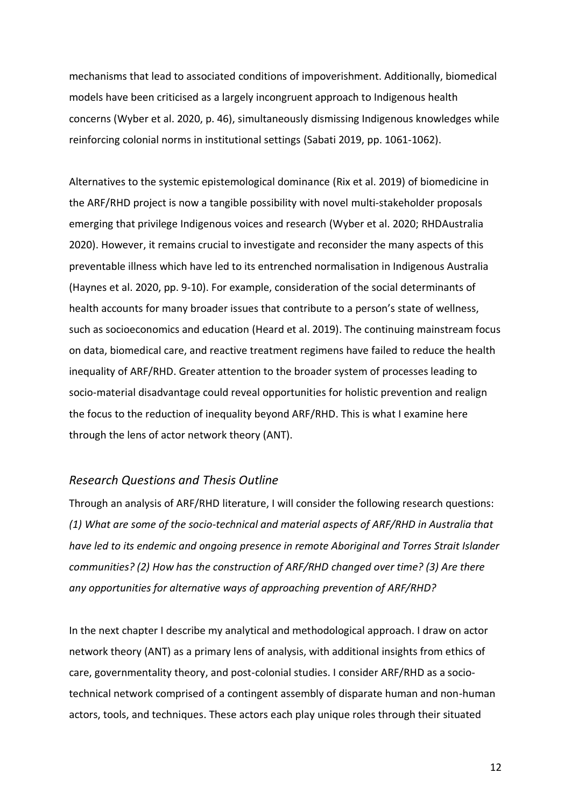mechanisms that lead to associated conditions of impoverishment. Additionally, biomedical models have been criticised as a largely incongruent approach to Indigenous health concerns (Wyber et al. 2020, p. 46), simultaneously dismissing Indigenous knowledges while reinforcing colonial norms in institutional settings (Sabati 2019, pp. 1061-1062).

Alternatives to the systemic epistemological dominance (Rix et al. 2019) of biomedicine in the ARF/RHD project is now a tangible possibility with novel multi-stakeholder proposals emerging that privilege Indigenous voices and research (Wyber et al. 2020; RHDAustralia 2020). However, it remains crucial to investigate and reconsider the many aspects of this preventable illness which have led to its entrenched normalisation in Indigenous Australia (Haynes et al. 2020, pp. 9-10). For example, consideration of the social determinants of health accounts for many broader issues that contribute to a person's state of wellness, such as socioeconomics and education (Heard et al. 2019). The continuing mainstream focus on data, biomedical care, and reactive treatment regimens have failed to reduce the health inequality of ARF/RHD. Greater attention to the broader system of processes leading to socio-material disadvantage could reveal opportunities for holistic prevention and realign the focus to the reduction of inequality beyond ARF/RHD. This is what I examine here through the lens of actor network theory (ANT).

#### *Research Questions and Thesis Outline*

Through an analysis of ARF/RHD literature, I will consider the following research questions: *(1) What are some of the socio-technical and material aspects of ARF/RHD in Australia that have led to its endemic and ongoing presence in remote Aboriginal and Torres Strait Islander communities? (2) How has the construction of ARF/RHD changed over time? (3) Are there any opportunities for alternative ways of approaching prevention of ARF/RHD?*

In the next chapter I describe my analytical and methodological approach. I draw on actor network theory (ANT) as a primary lens of analysis, with additional insights from ethics of care, governmentality theory, and post-colonial studies. I consider ARF/RHD as a sociotechnical network comprised of a contingent assembly of disparate human and non-human actors, tools, and techniques. These actors each play unique roles through their situated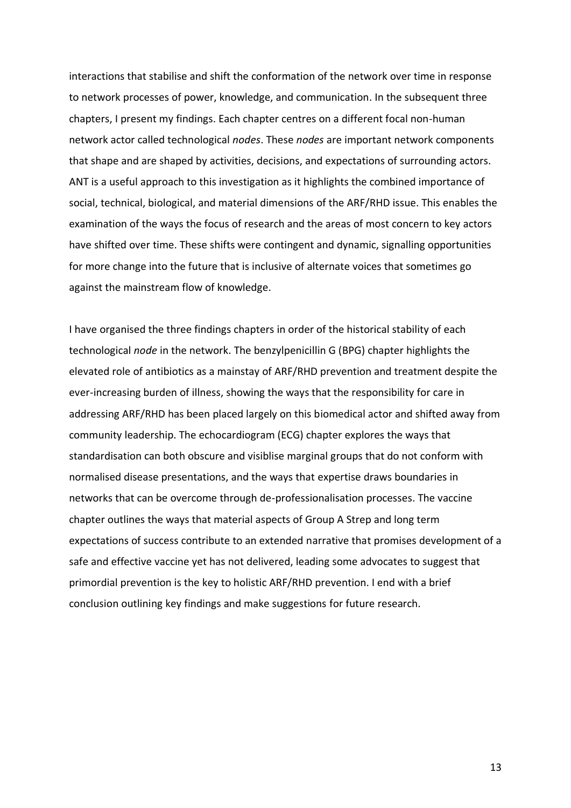interactions that stabilise and shift the conformation of the network over time in response to network processes of power, knowledge, and communication. In the subsequent three chapters, I present my findings. Each chapter centres on a different focal non-human network actor called technological *nodes*. These *nodes* are important network components that shape and are shaped by activities, decisions, and expectations of surrounding actors. ANT is a useful approach to this investigation as it highlights the combined importance of social, technical, biological, and material dimensions of the ARF/RHD issue. This enables the examination of the ways the focus of research and the areas of most concern to key actors have shifted over time. These shifts were contingent and dynamic, signalling opportunities for more change into the future that is inclusive of alternate voices that sometimes go against the mainstream flow of knowledge.

I have organised the three findings chapters in order of the historical stability of each technological *node* in the network. The benzylpenicillin G (BPG) chapter highlights the elevated role of antibiotics as a mainstay of ARF/RHD prevention and treatment despite the ever-increasing burden of illness, showing the ways that the responsibility for care in addressing ARF/RHD has been placed largely on this biomedical actor and shifted away from community leadership. The echocardiogram (ECG) chapter explores the ways that standardisation can both obscure and visiblise marginal groups that do not conform with normalised disease presentations, and the ways that expertise draws boundaries in networks that can be overcome through de-professionalisation processes. The vaccine chapter outlines the ways that material aspects of Group A Strep and long term expectations of success contribute to an extended narrative that promises development of a safe and effective vaccine yet has not delivered, leading some advocates to suggest that primordial prevention is the key to holistic ARF/RHD prevention. I end with a brief conclusion outlining key findings and make suggestions for future research.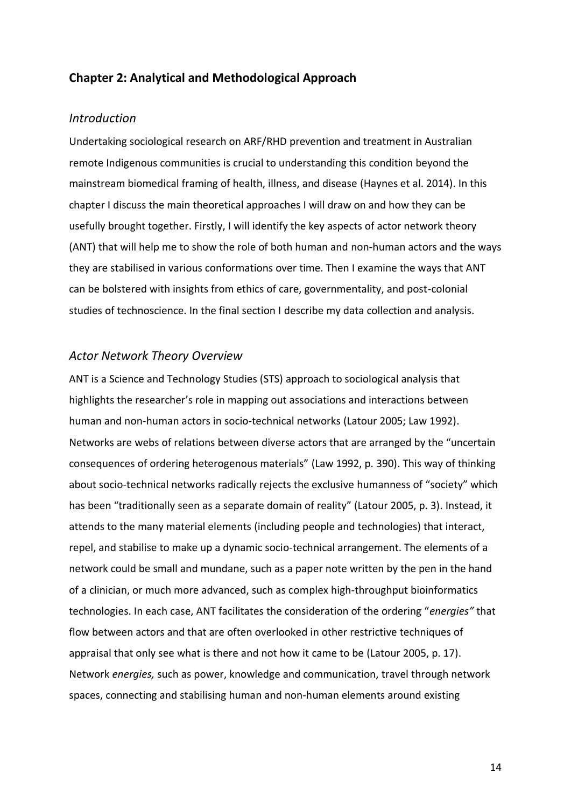#### **Chapter 2: Analytical and Methodological Approach**

#### *Introduction*

Undertaking sociological research on ARF/RHD prevention and treatment in Australian remote Indigenous communities is crucial to understanding this condition beyond the mainstream biomedical framing of health, illness, and disease (Haynes et al. 2014). In this chapter I discuss the main theoretical approaches I will draw on and how they can be usefully brought together. Firstly, I will identify the key aspects of actor network theory (ANT) that will help me to show the role of both human and non-human actors and the ways they are stabilised in various conformations over time. Then I examine the ways that ANT can be bolstered with insights from ethics of care, governmentality, and post-colonial studies of technoscience. In the final section I describe my data collection and analysis.

#### *Actor Network Theory Overview*

ANT is a Science and Technology Studies (STS) approach to sociological analysis that highlights the researcher's role in mapping out associations and interactions between human and non-human actors in socio-technical networks (Latour 2005; Law 1992). Networks are webs of relations between diverse actors that are arranged by the "uncertain consequences of ordering heterogenous materials" (Law 1992, p. 390). This way of thinking about socio-technical networks radically rejects the exclusive humanness of "society" which has been "traditionally seen as a separate domain of reality" (Latour 2005, p. 3). Instead, it attends to the many material elements (including people and technologies) that interact, repel, and stabilise to make up a dynamic socio-technical arrangement. The elements of a network could be small and mundane, such as a paper note written by the pen in the hand of a clinician, or much more advanced, such as complex high-throughput bioinformatics technologies. In each case, ANT facilitates the consideration of the ordering "*energies"* that flow between actors and that are often overlooked in other restrictive techniques of appraisal that only see what is there and not how it came to be (Latour 2005, p. 17). Network *energies,* such as power, knowledge and communication, travel through network spaces, connecting and stabilising human and non-human elements around existing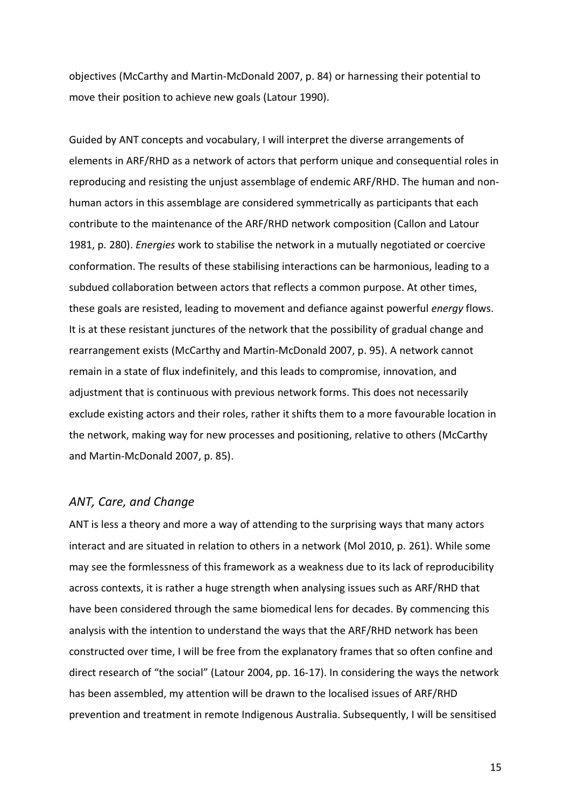objectives (McCarthy and Martin-McDonald 2007, p. 84) or harnessing their potential to move their position to achieve new goals (Latour 1990).

Guided by ANT concepts and vocabulary, I will interpret the diverse arrangements of elements in ARF/RHD as a network of actors that perform unique and consequential roles in reproducing and resisting the unjust assemblage of endemic ARF/RHD. The human and nonhuman actors in this assemblage are considered symmetrically as participants that each contribute to the maintenance of the ARF/RHD network composition (Callon and Latour 1981, p. 280). *Energies* work to stabilise the network in a mutually negotiated or coercive conformation. The results of these stabilising interactions can be harmonious, leading to a subdued collaboration between actors that reflects a common purpose. At other times, these goals are resisted, leading to movement and defiance against powerful *energy* flows. It is at these resistant junctures of the network that the possibility of gradual change and rearrangement exists (McCarthy and Martin-McDonald 2007, p. 95). A network cannot remain in a state of flux indefinitely, and this leads to compromise, innovation, and adjustment that is continuous with previous network forms. This does not necessarily exclude existing actors and their roles, rather it shifts them to a more favourable location in the network, making way for new processes and positioning, relative to others (McCarthy and Martin-McDonald 2007, p. 85).

#### *ANT, Care, and Change*

ANT is less a theory and more a way of attending to the surprising ways that many actors interact and are situated in relation to others in a network (Mol 2010, p. 261). While some may see the formlessness of this framework as a weakness due to its lack of reproducibility across contexts, it is rather a huge strength when analysing issues such as ARF/RHD that have been considered through the same biomedical lens for decades. By commencing this analysis with the intention to understand the ways that the ARF/RHD network has been constructed over time, I will be free from the explanatory frames that so often confine and direct research of "the social" (Latour 2004, pp. 16-17). In considering the ways the network has been assembled, my attention will be drawn to the localised issues of ARF/RHD prevention and treatment in remote Indigenous Australia. Subsequently, I will be sensitised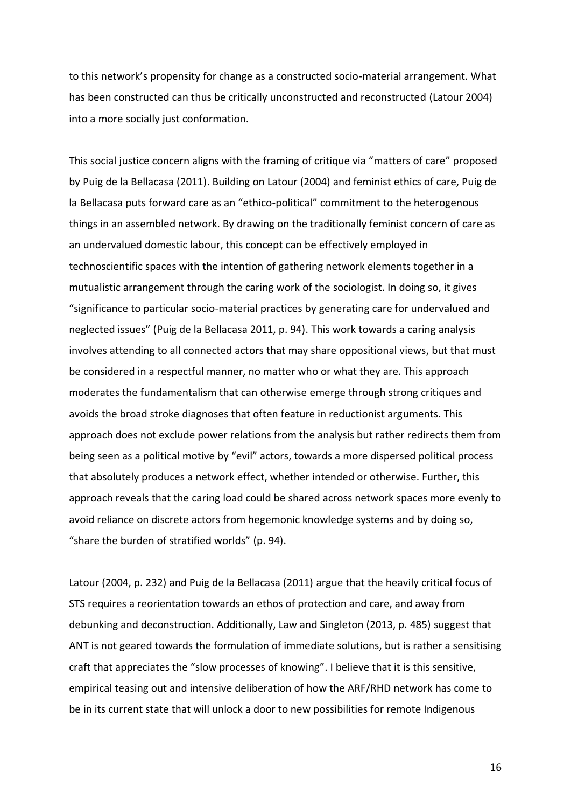to this network's propensity for change as a constructed socio-material arrangement. What has been constructed can thus be critically unconstructed and reconstructed (Latour 2004) into a more socially just conformation.

This social justice concern aligns with the framing of critique via "matters of care" proposed by Puig de la Bellacasa (2011). Building on Latour (2004) and feminist ethics of care, Puig de la Bellacasa puts forward care as an "ethico-political" commitment to the heterogenous things in an assembled network. By drawing on the traditionally feminist concern of care as an undervalued domestic labour, this concept can be effectively employed in technoscientific spaces with the intention of gathering network elements together in a mutualistic arrangement through the caring work of the sociologist. In doing so, it gives "significance to particular socio-material practices by generating care for undervalued and neglected issues" (Puig de la Bellacasa 2011, p. 94). This work towards a caring analysis involves attending to all connected actors that may share oppositional views, but that must be considered in a respectful manner, no matter who or what they are. This approach moderates the fundamentalism that can otherwise emerge through strong critiques and avoids the broad stroke diagnoses that often feature in reductionist arguments. This approach does not exclude power relations from the analysis but rather redirects them from being seen as a political motive by "evil" actors, towards a more dispersed political process that absolutely produces a network effect, whether intended or otherwise. Further, this approach reveals that the caring load could be shared across network spaces more evenly to avoid reliance on discrete actors from hegemonic knowledge systems and by doing so, "share the burden of stratified worlds" (p. 94).

Latour (2004, p. 232) and Puig de la Bellacasa (2011) argue that the heavily critical focus of STS requires a reorientation towards an ethos of protection and care, and away from debunking and deconstruction. Additionally, Law and Singleton (2013, p. 485) suggest that ANT is not geared towards the formulation of immediate solutions, but is rather a sensitising craft that appreciates the "slow processes of knowing". I believe that it is this sensitive, empirical teasing out and intensive deliberation of how the ARF/RHD network has come to be in its current state that will unlock a door to new possibilities for remote Indigenous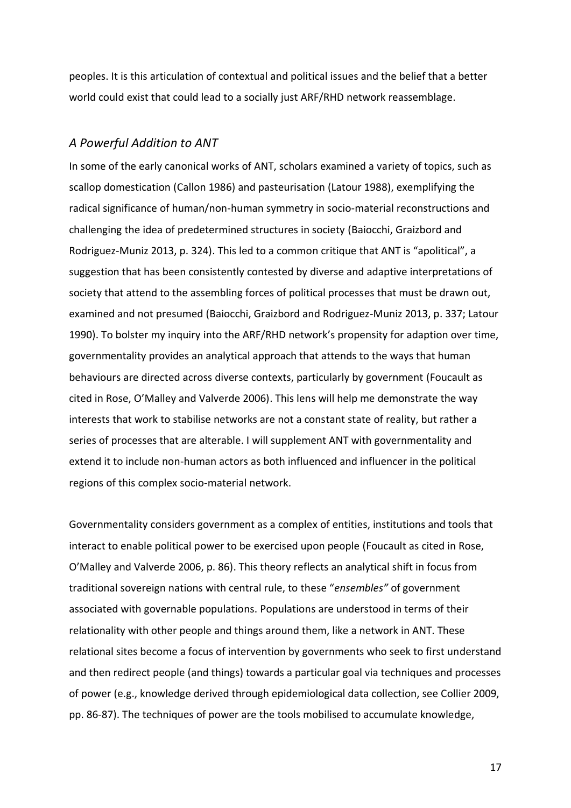peoples. It is this articulation of contextual and political issues and the belief that a better world could exist that could lead to a socially just ARF/RHD network reassemblage.

#### *A Powerful Addition to ANT*

In some of the early canonical works of ANT, scholars examined a variety of topics, such as scallop domestication (Callon 1986) and pasteurisation (Latour 1988), exemplifying the radical significance of human/non-human symmetry in socio-material reconstructions and challenging the idea of predetermined structures in society (Baiocchi, Graizbord and Rodriguez-Muniz 2013, p. 324). This led to a common critique that ANT is "apolitical", a suggestion that has been consistently contested by diverse and adaptive interpretations of society that attend to the assembling forces of political processes that must be drawn out, examined and not presumed (Baiocchi, Graizbord and Rodriguez-Muniz 2013, p. 337; Latour 1990). To bolster my inquiry into the ARF/RHD network's propensity for adaption over time, governmentality provides an analytical approach that attends to the ways that human behaviours are directed across diverse contexts, particularly by government (Foucault as cited in Rose, O'Malley and Valverde 2006). This lens will help me demonstrate the way interests that work to stabilise networks are not a constant state of reality, but rather a series of processes that are alterable. I will supplement ANT with governmentality and extend it to include non-human actors as both influenced and influencer in the political regions of this complex socio-material network.

Governmentality considers government as a complex of entities, institutions and tools that interact to enable political power to be exercised upon people (Foucault as cited in Rose, O'Malley and Valverde 2006, p. 86). This theory reflects an analytical shift in focus from traditional sovereign nations with central rule, to these "*ensembles"* of government associated with governable populations. Populations are understood in terms of their relationality with other people and things around them, like a network in ANT. These relational sites become a focus of intervention by governments who seek to first understand and then redirect people (and things) towards a particular goal via techniques and processes of power (e.g., knowledge derived through epidemiological data collection, see Collier 2009, pp. 86-87). The techniques of power are the tools mobilised to accumulate knowledge,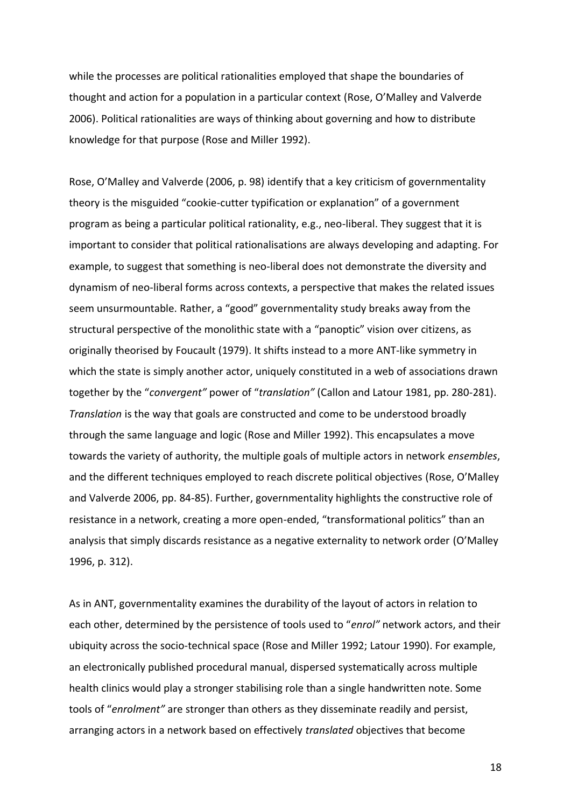while the processes are political rationalities employed that shape the boundaries of thought and action for a population in a particular context (Rose, O'Malley and Valverde 2006). Political rationalities are ways of thinking about governing and how to distribute knowledge for that purpose (Rose and Miller 1992).

Rose, O'Malley and Valverde (2006, p. 98) identify that a key criticism of governmentality theory is the misguided "cookie-cutter typification or explanation" of a government program as being a particular political rationality, e.g., neo-liberal. They suggest that it is important to consider that political rationalisations are always developing and adapting. For example, to suggest that something is neo-liberal does not demonstrate the diversity and dynamism of neo-liberal forms across contexts, a perspective that makes the related issues seem unsurmountable. Rather, a "good" governmentality study breaks away from the structural perspective of the monolithic state with a "panoptic" vision over citizens, as originally theorised by Foucault (1979). It shifts instead to a more ANT-like symmetry in which the state is simply another actor, uniquely constituted in a web of associations drawn together by the "*convergent"* power of "*translation"* (Callon and Latour 1981, pp. 280-281). *Translation* is the way that goals are constructed and come to be understood broadly through the same language and logic (Rose and Miller 1992). This encapsulates a move towards the variety of authority, the multiple goals of multiple actors in network *ensembles*, and the different techniques employed to reach discrete political objectives (Rose, O'Malley and Valverde 2006, pp. 84-85). Further, governmentality highlights the constructive role of resistance in a network, creating a more open-ended, "transformational politics" than an analysis that simply discards resistance as a negative externality to network order (O'Malley 1996, p. 312).

As in ANT, governmentality examines the durability of the layout of actors in relation to each other, determined by the persistence of tools used to "*enrol"* network actors, and their ubiquity across the socio-technical space (Rose and Miller 1992; Latour 1990). For example, an electronically published procedural manual, dispersed systematically across multiple health clinics would play a stronger stabilising role than a single handwritten note. Some tools of "*enrolment"* are stronger than others as they disseminate readily and persist, arranging actors in a network based on effectively *translated* objectives that become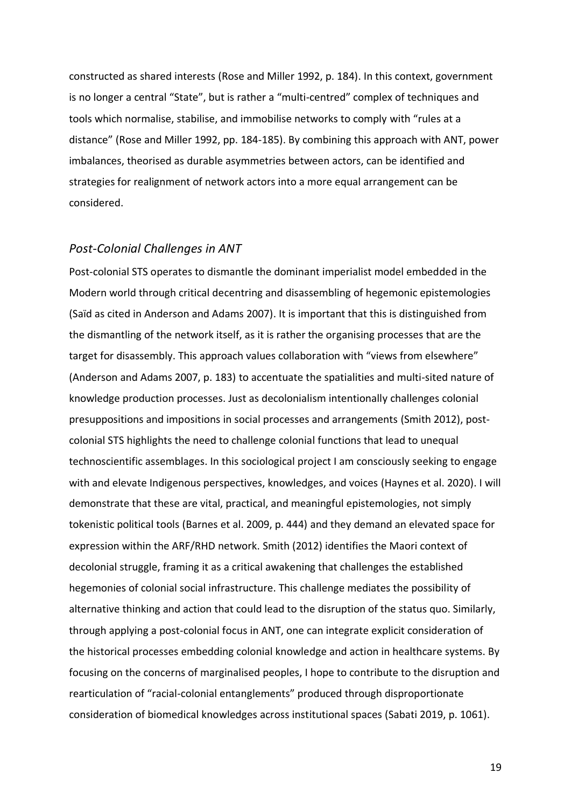constructed as shared interests (Rose and Miller 1992, p. 184). In this context, government is no longer a central "State", but is rather a "multi-centred" complex of techniques and tools which normalise, stabilise, and immobilise networks to comply with "rules at a distance" (Rose and Miller 1992, pp. 184-185). By combining this approach with ANT, power imbalances, theorised as durable asymmetries between actors, can be identified and strategies for realignment of network actors into a more equal arrangement can be considered.

#### *Post-Colonial Challenges in ANT*

Post-colonial STS operates to dismantle the dominant imperialist model embedded in the Modern world through critical decentring and disassembling of hegemonic epistemologies (Saïd as cited in Anderson and Adams 2007). It is important that this is distinguished from the dismantling of the network itself, as it is rather the organising processes that are the target for disassembly. This approach values collaboration with "views from elsewhere" (Anderson and Adams 2007, p. 183) to accentuate the spatialities and multi-sited nature of knowledge production processes. Just as decolonialism intentionally challenges colonial presuppositions and impositions in social processes and arrangements (Smith 2012), postcolonial STS highlights the need to challenge colonial functions that lead to unequal technoscientific assemblages. In this sociological project I am consciously seeking to engage with and elevate Indigenous perspectives, knowledges, and voices (Haynes et al. 2020). I will demonstrate that these are vital, practical, and meaningful epistemologies, not simply tokenistic political tools (Barnes et al. 2009, p. 444) and they demand an elevated space for expression within the ARF/RHD network. Smith (2012) identifies the Maori context of decolonial struggle, framing it as a critical awakening that challenges the established hegemonies of colonial social infrastructure. This challenge mediates the possibility of alternative thinking and action that could lead to the disruption of the status quo. Similarly, through applying a post-colonial focus in ANT, one can integrate explicit consideration of the historical processes embedding colonial knowledge and action in healthcare systems. By focusing on the concerns of marginalised peoples, I hope to contribute to the disruption and rearticulation of "racial-colonial entanglements" produced through disproportionate consideration of biomedical knowledges across institutional spaces (Sabati 2019, p. 1061).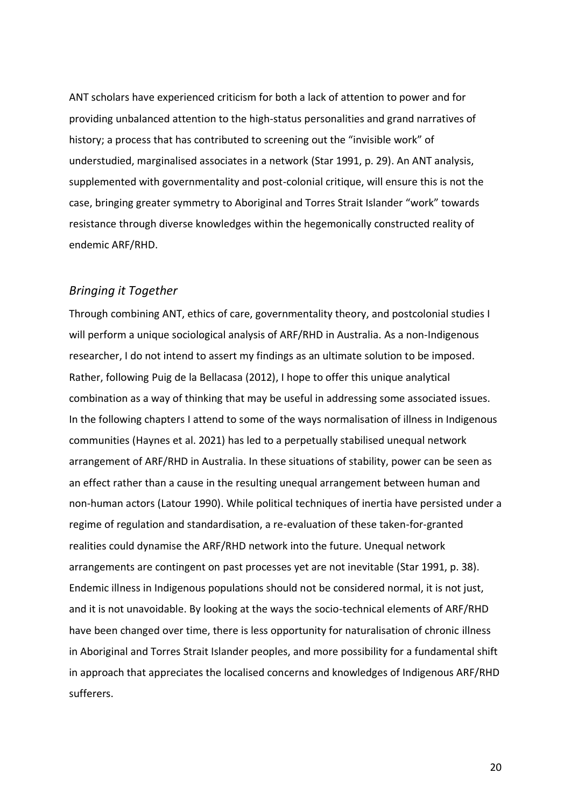ANT scholars have experienced criticism for both a lack of attention to power and for providing unbalanced attention to the high-status personalities and grand narratives of history; a process that has contributed to screening out the "invisible work" of understudied, marginalised associates in a network (Star 1991, p. 29). An ANT analysis, supplemented with governmentality and post-colonial critique, will ensure this is not the case, bringing greater symmetry to Aboriginal and Torres Strait Islander "work" towards resistance through diverse knowledges within the hegemonically constructed reality of endemic ARF/RHD.

#### *Bringing it Together*

Through combining ANT, ethics of care, governmentality theory, and postcolonial studies I will perform a unique sociological analysis of ARF/RHD in Australia. As a non-Indigenous researcher, I do not intend to assert my findings as an ultimate solution to be imposed. Rather, following Puig de la Bellacasa (2012), I hope to offer this unique analytical combination as a way of thinking that may be useful in addressing some associated issues. In the following chapters I attend to some of the ways normalisation of illness in Indigenous communities (Haynes et al. 2021) has led to a perpetually stabilised unequal network arrangement of ARF/RHD in Australia. In these situations of stability, power can be seen as an effect rather than a cause in the resulting unequal arrangement between human and non-human actors (Latour 1990). While political techniques of inertia have persisted under a regime of regulation and standardisation, a re-evaluation of these taken-for-granted realities could dynamise the ARF/RHD network into the future. Unequal network arrangements are contingent on past processes yet are not inevitable (Star 1991, p. 38). Endemic illness in Indigenous populations should not be considered normal, it is not just, and it is not unavoidable. By looking at the ways the socio-technical elements of ARF/RHD have been changed over time, there is less opportunity for naturalisation of chronic illness in Aboriginal and Torres Strait Islander peoples, and more possibility for a fundamental shift in approach that appreciates the localised concerns and knowledges of Indigenous ARF/RHD sufferers.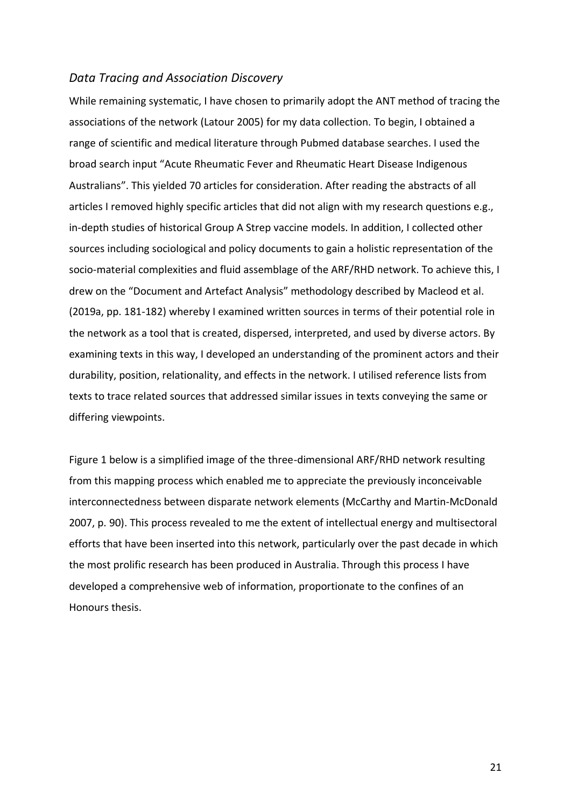#### *Data Tracing and Association Discovery*

While remaining systematic, I have chosen to primarily adopt the ANT method of tracing the associations of the network (Latour 2005) for my data collection. To begin, I obtained a range of scientific and medical literature through Pubmed database searches. I used the broad search input "Acute Rheumatic Fever and Rheumatic Heart Disease Indigenous Australians". This yielded 70 articles for consideration. After reading the abstracts of all articles I removed highly specific articles that did not align with my research questions e.g., in-depth studies of historical Group A Strep vaccine models. In addition, I collected other sources including sociological and policy documents to gain a holistic representation of the socio-material complexities and fluid assemblage of the ARF/RHD network. To achieve this, I drew on the "Document and Artefact Analysis" methodology described by Macleod et al. (2019a, pp. 181-182) whereby I examined written sources in terms of their potential role in the network as a tool that is created, dispersed, interpreted, and used by diverse actors. By examining texts in this way, I developed an understanding of the prominent actors and their durability, position, relationality, and effects in the network. I utilised reference lists from texts to trace related sources that addressed similar issues in texts conveying the same or differing viewpoints.

Figure 1 below is a simplified image of the three-dimensional ARF/RHD network resulting from this mapping process which enabled me to appreciate the previously inconceivable interconnectedness between disparate network elements (McCarthy and Martin-McDonald 2007, p. 90). This process revealed to me the extent of intellectual energy and multisectoral efforts that have been inserted into this network, particularly over the past decade in which the most prolific research has been produced in Australia. Through this process I have developed a comprehensive web of information, proportionate to the confines of an Honours thesis.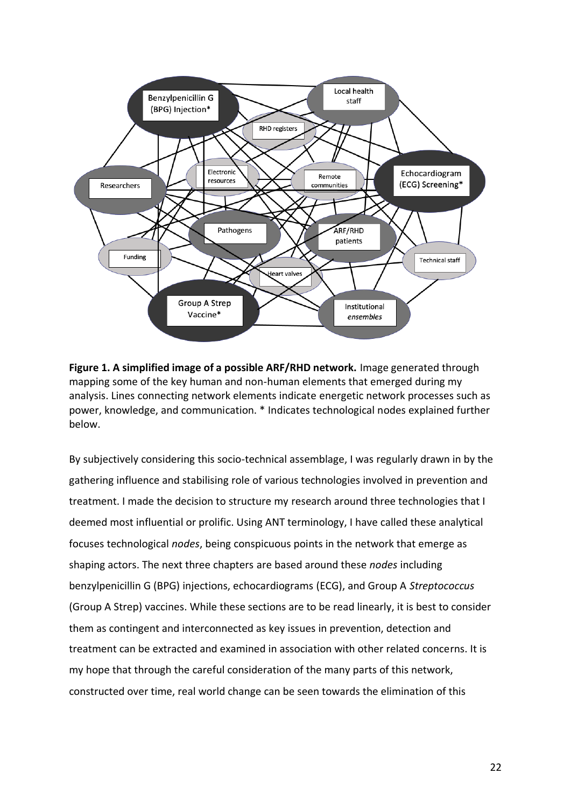

**Figure 1. A simplified image of a possible ARF/RHD network.** Image generated through mapping some of the key human and non-human elements that emerged during my analysis. Lines connecting network elements indicate energetic network processes such as power, knowledge, and communication. \* Indicates technological nodes explained further below.

By subjectively considering this socio-technical assemblage, I was regularly drawn in by the gathering influence and stabilising role of various technologies involved in prevention and treatment. I made the decision to structure my research around three technologies that I deemed most influential or prolific. Using ANT terminology, I have called these analytical focuses technological *nodes*, being conspicuous points in the network that emerge as shaping actors. The next three chapters are based around these *nodes* including benzylpenicillin G (BPG) injections, echocardiograms (ECG), and Group A *Streptococcus* (Group A Strep) vaccines. While these sections are to be read linearly, it is best to consider them as contingent and interconnected as key issues in prevention, detection and treatment can be extracted and examined in association with other related concerns. It is my hope that through the careful consideration of the many parts of this network, constructed over time, real world change can be seen towards the elimination of this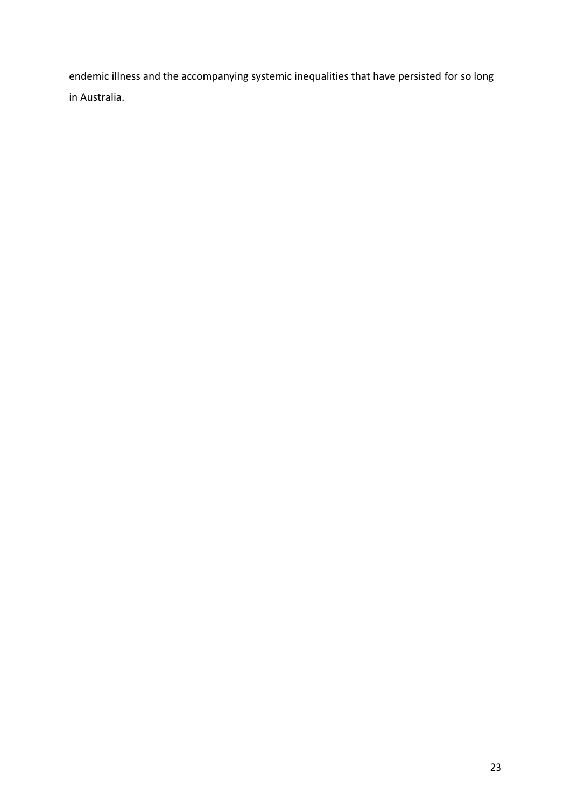endemic illness and the accompanying systemic inequalities that have persisted for so long in Australia.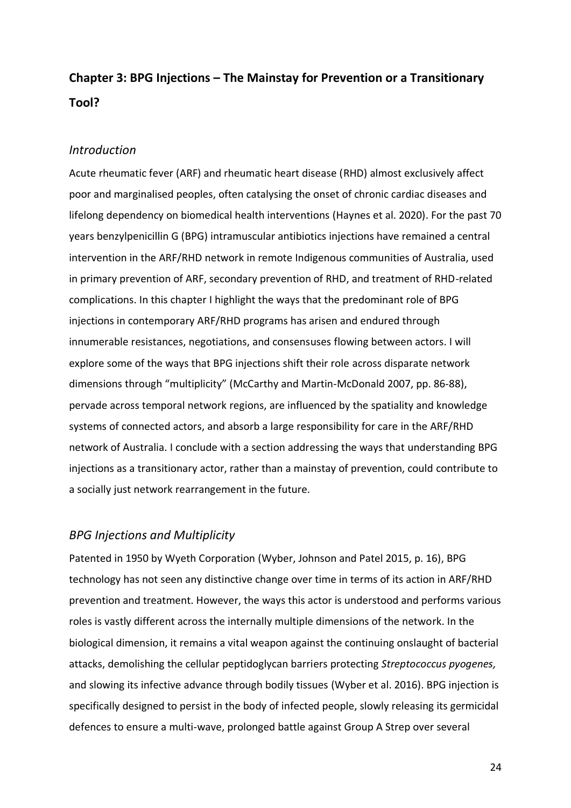## **Chapter 3: BPG Injections – The Mainstay for Prevention or a Transitionary Tool?**

#### *Introduction*

Acute rheumatic fever (ARF) and rheumatic heart disease (RHD) almost exclusively affect poor and marginalised peoples, often catalysing the onset of chronic cardiac diseases and lifelong dependency on biomedical health interventions (Haynes et al. 2020). For the past 70 years benzylpenicillin G (BPG) intramuscular antibiotics injections have remained a central intervention in the ARF/RHD network in remote Indigenous communities of Australia, used in primary prevention of ARF, secondary prevention of RHD, and treatment of RHD-related complications. In this chapter I highlight the ways that the predominant role of BPG injections in contemporary ARF/RHD programs has arisen and endured through innumerable resistances, negotiations, and consensuses flowing between actors. I will explore some of the ways that BPG injections shift their role across disparate network dimensions through "multiplicity" (McCarthy and Martin-McDonald 2007, pp. 86-88), pervade across temporal network regions, are influenced by the spatiality and knowledge systems of connected actors, and absorb a large responsibility for care in the ARF/RHD network of Australia. I conclude with a section addressing the ways that understanding BPG injections as a transitionary actor, rather than a mainstay of prevention, could contribute to a socially just network rearrangement in the future.

#### *BPG Injections and Multiplicity*

Patented in 1950 by Wyeth Corporation (Wyber, Johnson and Patel 2015, p. 16), BPG technology has not seen any distinctive change over time in terms of its action in ARF/RHD prevention and treatment. However, the ways this actor is understood and performs various roles is vastly different across the internally multiple dimensions of the network. In the biological dimension, it remains a vital weapon against the continuing onslaught of bacterial attacks, demolishing the cellular peptidoglycan barriers protecting *Streptococcus pyogenes,*  and slowing its infective advance through bodily tissues (Wyber et al. 2016). BPG injection is specifically designed to persist in the body of infected people, slowly releasing its germicidal defences to ensure a multi-wave, prolonged battle against Group A Strep over several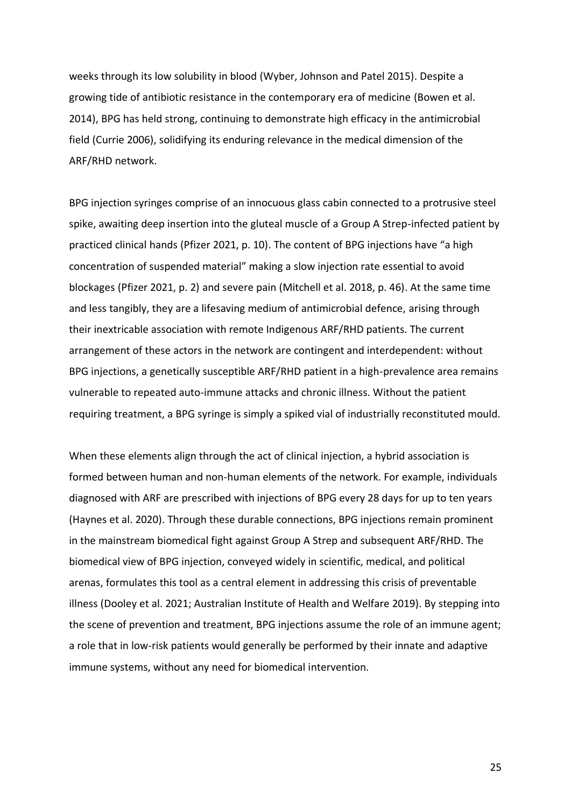weeks through its low solubility in blood (Wyber, Johnson and Patel 2015). Despite a growing tide of antibiotic resistance in the contemporary era of medicine (Bowen et al. 2014), BPG has held strong, continuing to demonstrate high efficacy in the antimicrobial field (Currie 2006), solidifying its enduring relevance in the medical dimension of the ARF/RHD network.

BPG injection syringes comprise of an innocuous glass cabin connected to a protrusive steel spike, awaiting deep insertion into the gluteal muscle of a Group A Strep-infected patient by practiced clinical hands (Pfizer 2021, p. 10). The content of BPG injections have "a high concentration of suspended material" making a slow injection rate essential to avoid blockages (Pfizer 2021, p. 2) and severe pain (Mitchell et al. 2018, p. 46). At the same time and less tangibly, they are a lifesaving medium of antimicrobial defence, arising through their inextricable association with remote Indigenous ARF/RHD patients. The current arrangement of these actors in the network are contingent and interdependent: without BPG injections, a genetically susceptible ARF/RHD patient in a high-prevalence area remains vulnerable to repeated auto-immune attacks and chronic illness. Without the patient requiring treatment, a BPG syringe is simply a spiked vial of industrially reconstituted mould.

When these elements align through the act of clinical injection, a hybrid association is formed between human and non-human elements of the network. For example, individuals diagnosed with ARF are prescribed with injections of BPG every 28 days for up to ten years (Haynes et al. 2020). Through these durable connections, BPG injections remain prominent in the mainstream biomedical fight against Group A Strep and subsequent ARF/RHD. The biomedical view of BPG injection, conveyed widely in scientific, medical, and political arenas, formulates this tool as a central element in addressing this crisis of preventable illness (Dooley et al. 2021; Australian Institute of Health and Welfare 2019). By stepping into the scene of prevention and treatment, BPG injections assume the role of an immune agent; a role that in low-risk patients would generally be performed by their innate and adaptive immune systems, without any need for biomedical intervention.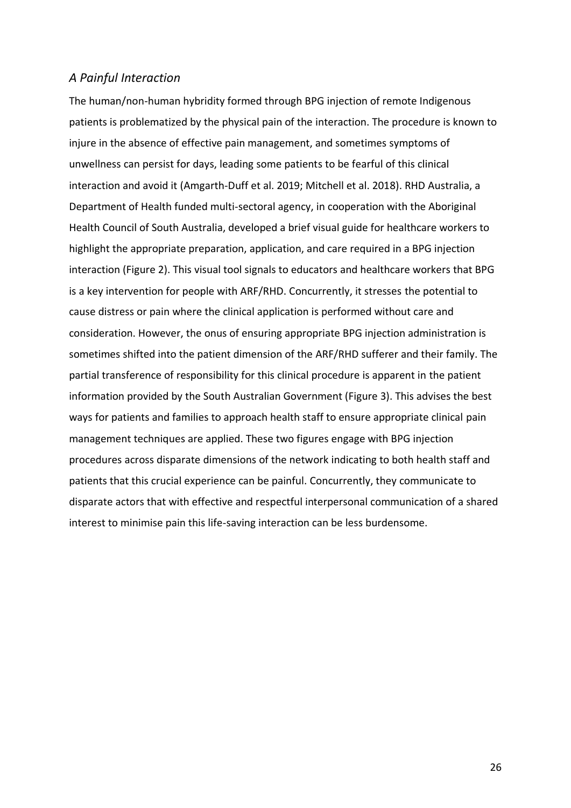#### *A Painful Interaction*

The human/non-human hybridity formed through BPG injection of remote Indigenous patients is problematized by the physical pain of the interaction. The procedure is known to injure in the absence of effective pain management, and sometimes symptoms of unwellness can persist for days, leading some patients to be fearful of this clinical interaction and avoid it (Amgarth-Duff et al. 2019; Mitchell et al. 2018). RHD Australia, a Department of Health funded multi-sectoral agency, in cooperation with the Aboriginal Health Council of South Australia, developed a brief visual guide for healthcare workers to highlight the appropriate preparation, application, and care required in a BPG injection interaction (Figure 2). This visual tool signals to educators and healthcare workers that BPG is a key intervention for people with ARF/RHD. Concurrently, it stresses the potential to cause distress or pain where the clinical application is performed without care and consideration. However, the onus of ensuring appropriate BPG injection administration is sometimes shifted into the patient dimension of the ARF/RHD sufferer and their family. The partial transference of responsibility for this clinical procedure is apparent in the patient information provided by the South Australian Government (Figure 3). This advises the best ways for patients and families to approach health staff to ensure appropriate clinical pain management techniques are applied. These two figures engage with BPG injection procedures across disparate dimensions of the network indicating to both health staff and patients that this crucial experience can be painful. Concurrently, they communicate to disparate actors that with effective and respectful interpersonal communication of a shared interest to minimise pain this life-saving interaction can be less burdensome.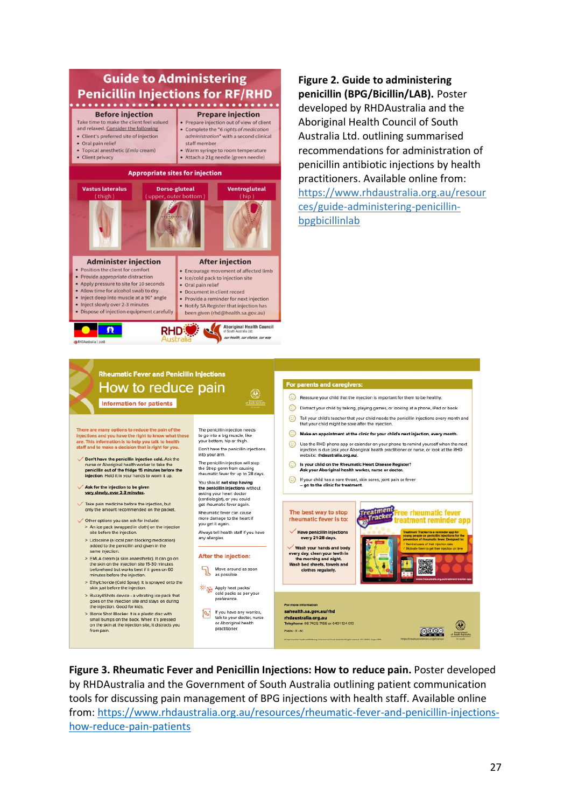

**Figure 2. Guide to administering penicillin (BPG/Bicillin/LAB).** Poster developed by RHDAustralia and the Aboriginal Health Council of South Australia Ltd. outlining summarised recommendations for administration of penicillin antibiotic injections by health practitioners. Available online from: [https://www.rhdaustralia.org.au/resour](https://www.rhdaustralia.org.au/resources/guide-administering-penicillin-bpgbicillinlab) [ces/guide-administering-penicillin-](https://www.rhdaustralia.org.au/resources/guide-administering-penicillin-bpgbicillinlab)

[bpgbicillinlab](https://www.rhdaustralia.org.au/resources/guide-administering-penicillin-bpgbicillinlab)



**Figure 3. Rheumatic Fever and Penicillin Injections: How to reduce pain.** Poster developed by RHDAustralia and the Government of South Australia outlining patient communication tools for discussing pain management of BPG injections with health staff. Available online from: [https://www.rhdaustralia.org.au/resources/rheumatic-fever-and-penicillin-injections](https://www.rhdaustralia.org.au/resources/rheumatic-fever-and-penicillin-injections-how-reduce-pain-patients)[how-reduce-pain-patients](https://www.rhdaustralia.org.au/resources/rheumatic-fever-and-penicillin-injections-how-reduce-pain-patients)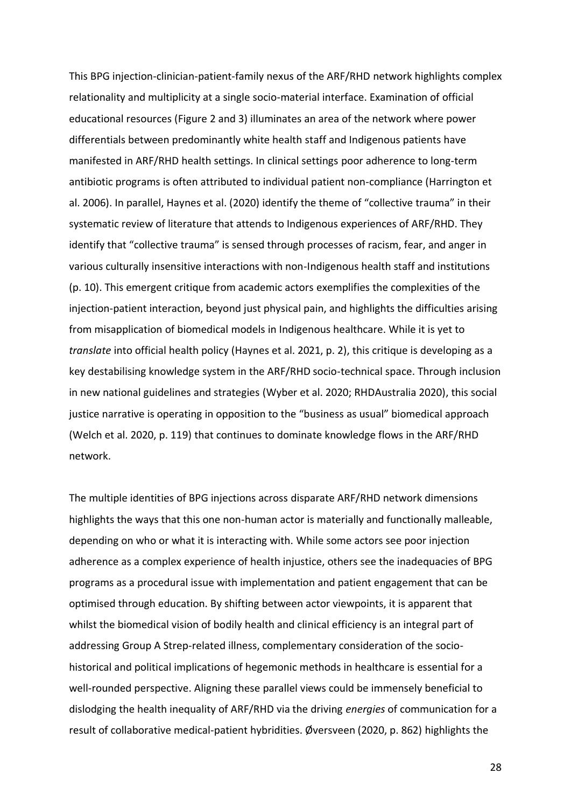This BPG injection-clinician-patient-family nexus of the ARF/RHD network highlights complex relationality and multiplicity at a single socio-material interface. Examination of official educational resources (Figure 2 and 3) illuminates an area of the network where power differentials between predominantly white health staff and Indigenous patients have manifested in ARF/RHD health settings. In clinical settings poor adherence to long-term antibiotic programs is often attributed to individual patient non-compliance (Harrington et al. 2006). In parallel, Haynes et al. (2020) identify the theme of "collective trauma" in their systematic review of literature that attends to Indigenous experiences of ARF/RHD. They identify that "collective trauma" is sensed through processes of racism, fear, and anger in various culturally insensitive interactions with non-Indigenous health staff and institutions (p. 10). This emergent critique from academic actors exemplifies the complexities of the injection-patient interaction, beyond just physical pain, and highlights the difficulties arising from misapplication of biomedical models in Indigenous healthcare. While it is yet to *translate* into official health policy (Haynes et al. 2021, p. 2), this critique is developing as a key destabilising knowledge system in the ARF/RHD socio-technical space. Through inclusion in new national guidelines and strategies (Wyber et al. 2020; RHDAustralia 2020), this social justice narrative is operating in opposition to the "business as usual" biomedical approach (Welch et al. 2020, p. 119) that continues to dominate knowledge flows in the ARF/RHD network.

The multiple identities of BPG injections across disparate ARF/RHD network dimensions highlights the ways that this one non-human actor is materially and functionally malleable, depending on who or what it is interacting with. While some actors see poor injection adherence as a complex experience of health injustice, others see the inadequacies of BPG programs as a procedural issue with implementation and patient engagement that can be optimised through education. By shifting between actor viewpoints, it is apparent that whilst the biomedical vision of bodily health and clinical efficiency is an integral part of addressing Group A Strep-related illness, complementary consideration of the sociohistorical and political implications of hegemonic methods in healthcare is essential for a well-rounded perspective. Aligning these parallel views could be immensely beneficial to dislodging the health inequality of ARF/RHD via the driving *energies* of communication for a result of collaborative medical-patient hybridities. Øversveen (2020, p. 862) highlights the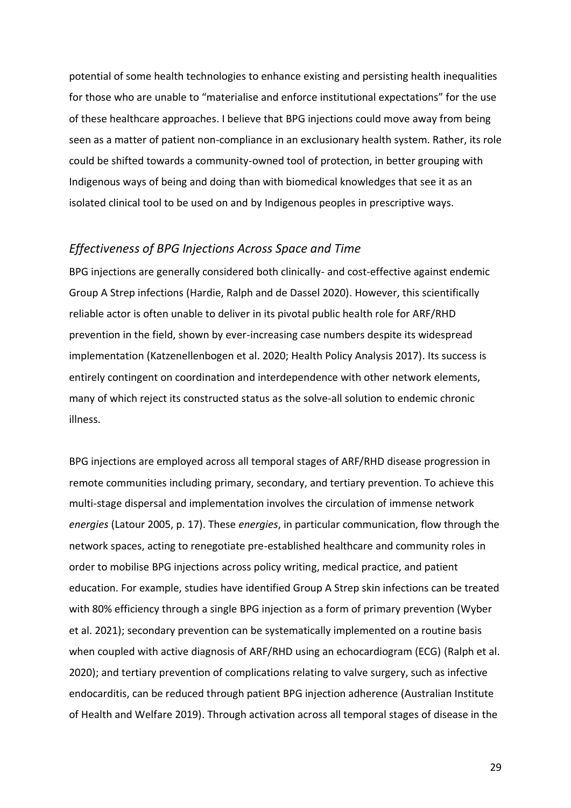potential of some health technologies to enhance existing and persisting health inequalities for those who are unable to "materialise and enforce institutional expectations" for the use of these healthcare approaches. I believe that BPG injections could move away from being seen as a matter of patient non-compliance in an exclusionary health system. Rather, its role could be shifted towards a community-owned tool of protection, in better grouping with Indigenous ways of being and doing than with biomedical knowledges that see it as an isolated clinical tool to be used on and by Indigenous peoples in prescriptive ways.

#### *Effectiveness of BPG Injections Across Space and Time*

BPG injections are generally considered both clinically- and cost-effective against endemic Group A Strep infections (Hardie, Ralph and de Dassel 2020). However, this scientifically reliable actor is often unable to deliver in its pivotal public health role for ARF/RHD prevention in the field, shown by ever-increasing case numbers despite its widespread implementation (Katzenellenbogen et al. 2020; Health Policy Analysis 2017). Its success is entirely contingent on coordination and interdependence with other network elements, many of which reject its constructed status as the solve-all solution to endemic chronic illness.

BPG injections are employed across all temporal stages of ARF/RHD disease progression in remote communities including primary, secondary, and tertiary prevention. To achieve this multi-stage dispersal and implementation involves the circulation of immense network *energies* (Latour 2005, p. 17). These *energies*, in particular communication, flow through the network spaces, acting to renegotiate pre-established healthcare and community roles in order to mobilise BPG injections across policy writing, medical practice, and patient education. For example, studies have identified Group A Strep skin infections can be treated with 80% efficiency through a single BPG injection as a form of primary prevention (Wyber et al. 2021); secondary prevention can be systematically implemented on a routine basis when coupled with active diagnosis of ARF/RHD using an echocardiogram (ECG) (Ralph et al. 2020); and tertiary prevention of complications relating to valve surgery, such as infective endocarditis, can be reduced through patient BPG injection adherence (Australian Institute of Health and Welfare 2019). Through activation across all temporal stages of disease in the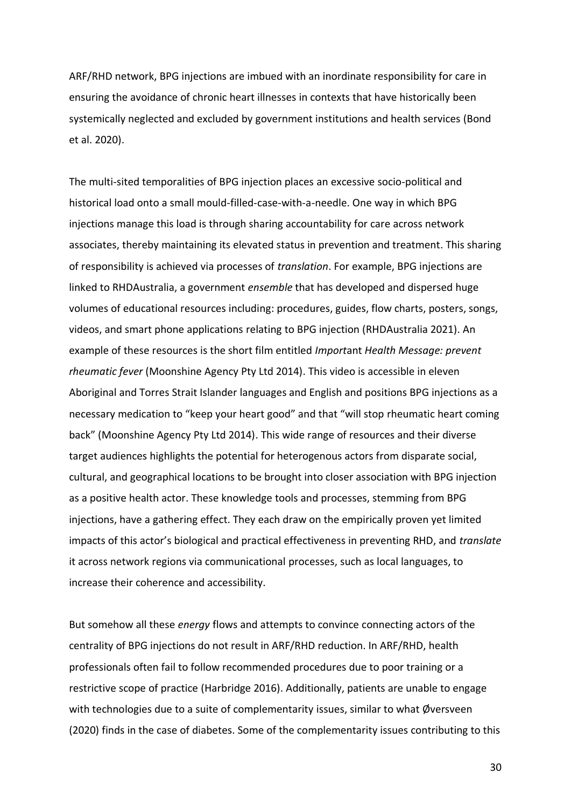ARF/RHD network, BPG injections are imbued with an inordinate responsibility for care in ensuring the avoidance of chronic heart illnesses in contexts that have historically been systemically neglected and excluded by government institutions and health services (Bond et al. 2020).

The multi-sited temporalities of BPG injection places an excessive socio-political and historical load onto a small mould-filled-case-with-a-needle. One way in which BPG injections manage this load is through sharing accountability for care across network associates, thereby maintaining its elevated status in prevention and treatment. This sharing of responsibility is achieved via processes of *translation*. For example, BPG injections are linked to RHDAustralia, a government *ensemble* that has developed and dispersed huge volumes of educational resources including: procedures, guides, flow charts, posters, songs, videos, and smart phone applications relating to BPG injection (RHDAustralia 2021). An example of these resources is the short film entitled *Import*ant *Health Message: prevent rheumatic fever* (Moonshine Agency Pty Ltd 2014). This video is accessible in eleven Aboriginal and Torres Strait Islander languages and English and positions BPG injections as a necessary medication to "keep your heart good" and that "will stop rheumatic heart coming back" (Moonshine Agency Pty Ltd 2014). This wide range of resources and their diverse target audiences highlights the potential for heterogenous actors from disparate social, cultural, and geographical locations to be brought into closer association with BPG injection as a positive health actor. These knowledge tools and processes, stemming from BPG injections, have a gathering effect. They each draw on the empirically proven yet limited impacts of this actor's biological and practical effectiveness in preventing RHD, and *translate* it across network regions via communicational processes, such as local languages, to increase their coherence and accessibility.

But somehow all these *energy* flows and attempts to convince connecting actors of the centrality of BPG injections do not result in ARF/RHD reduction. In ARF/RHD, health professionals often fail to follow recommended procedures due to poor training or a restrictive scope of practice (Harbridge 2016). Additionally, patients are unable to engage with technologies due to a suite of complementarity issues, similar to what Øversveen (2020) finds in the case of diabetes. Some of the complementarity issues contributing to this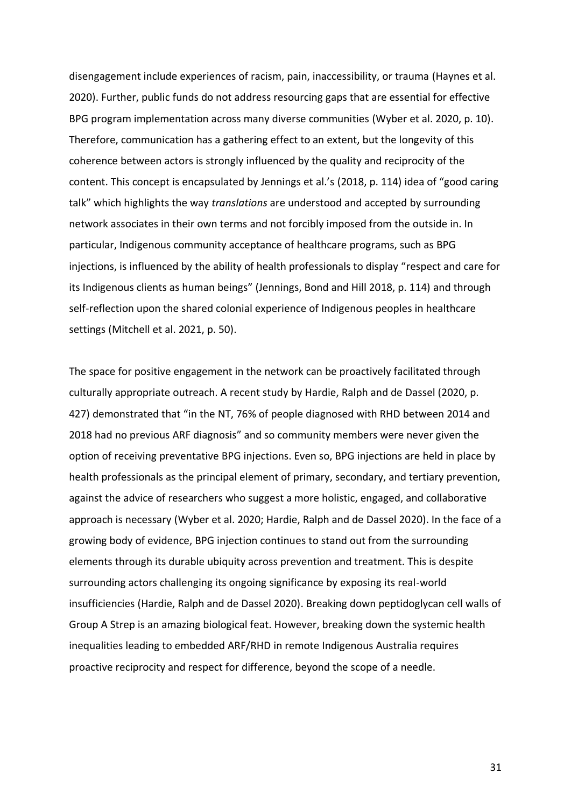disengagement include experiences of racism, pain, inaccessibility, or trauma (Haynes et al. 2020). Further, public funds do not address resourcing gaps that are essential for effective BPG program implementation across many diverse communities (Wyber et al. 2020, p. 10). Therefore, communication has a gathering effect to an extent, but the longevity of this coherence between actors is strongly influenced by the quality and reciprocity of the content. This concept is encapsulated by Jennings et al.'s (2018, p. 114) idea of "good caring talk" which highlights the way *translations* are understood and accepted by surrounding network associates in their own terms and not forcibly imposed from the outside in. In particular, Indigenous community acceptance of healthcare programs, such as BPG injections, is influenced by the ability of health professionals to display "respect and care for its Indigenous clients as human beings" (Jennings, Bond and Hill 2018, p. 114) and through self-reflection upon the shared colonial experience of Indigenous peoples in healthcare settings (Mitchell et al. 2021, p. 50).

The space for positive engagement in the network can be proactively facilitated through culturally appropriate outreach. A recent study by Hardie, Ralph and de Dassel (2020, p. 427) demonstrated that "in the NT, 76% of people diagnosed with RHD between 2014 and 2018 had no previous ARF diagnosis" and so community members were never given the option of receiving preventative BPG injections. Even so, BPG injections are held in place by health professionals as the principal element of primary, secondary, and tertiary prevention, against the advice of researchers who suggest a more holistic, engaged, and collaborative approach is necessary (Wyber et al. 2020; Hardie, Ralph and de Dassel 2020). In the face of a growing body of evidence, BPG injection continues to stand out from the surrounding elements through its durable ubiquity across prevention and treatment. This is despite surrounding actors challenging its ongoing significance by exposing its real-world insufficiencies (Hardie, Ralph and de Dassel 2020). Breaking down peptidoglycan cell walls of Group A Strep is an amazing biological feat. However, breaking down the systemic health inequalities leading to embedded ARF/RHD in remote Indigenous Australia requires proactive reciprocity and respect for difference, beyond the scope of a needle.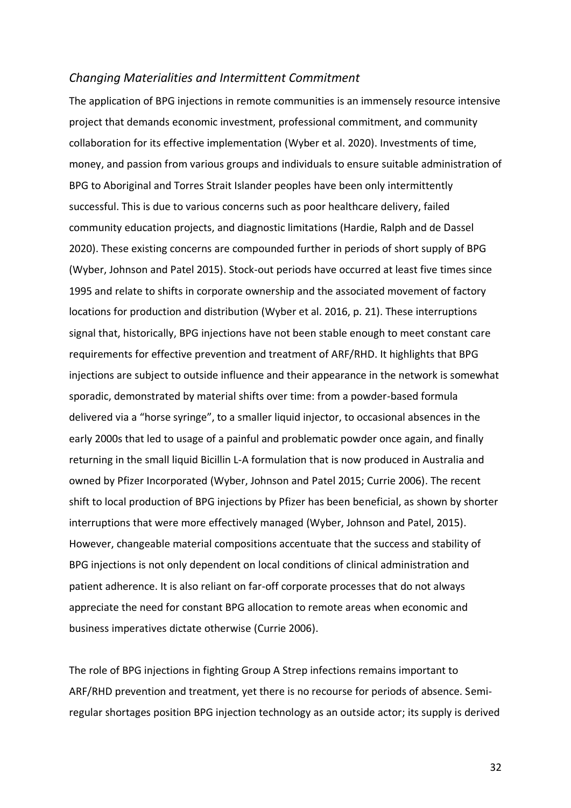#### *Changing Materialities and Intermittent Commitment*

The application of BPG injections in remote communities is an immensely resource intensive project that demands economic investment, professional commitment, and community collaboration for its effective implementation (Wyber et al. 2020). Investments of time, money, and passion from various groups and individuals to ensure suitable administration of BPG to Aboriginal and Torres Strait Islander peoples have been only intermittently successful. This is due to various concerns such as poor healthcare delivery, failed community education projects, and diagnostic limitations (Hardie, Ralph and de Dassel 2020). These existing concerns are compounded further in periods of short supply of BPG (Wyber, Johnson and Patel 2015). Stock-out periods have occurred at least five times since 1995 and relate to shifts in corporate ownership and the associated movement of factory locations for production and distribution (Wyber et al. 2016, p. 21). These interruptions signal that, historically, BPG injections have not been stable enough to meet constant care requirements for effective prevention and treatment of ARF/RHD. It highlights that BPG injections are subject to outside influence and their appearance in the network is somewhat sporadic, demonstrated by material shifts over time: from a powder-based formula delivered via a "horse syringe", to a smaller liquid injector, to occasional absences in the early 2000s that led to usage of a painful and problematic powder once again, and finally returning in the small liquid Bicillin L-A formulation that is now produced in Australia and owned by Pfizer Incorporated (Wyber, Johnson and Patel 2015; Currie 2006). The recent shift to local production of BPG injections by Pfizer has been beneficial, as shown by shorter interruptions that were more effectively managed (Wyber, Johnson and Patel, 2015). However, changeable material compositions accentuate that the success and stability of BPG injections is not only dependent on local conditions of clinical administration and patient adherence. It is also reliant on far-off corporate processes that do not always appreciate the need for constant BPG allocation to remote areas when economic and business imperatives dictate otherwise (Currie 2006).

The role of BPG injections in fighting Group A Strep infections remains important to ARF/RHD prevention and treatment, yet there is no recourse for periods of absence. Semiregular shortages position BPG injection technology as an outside actor; its supply is derived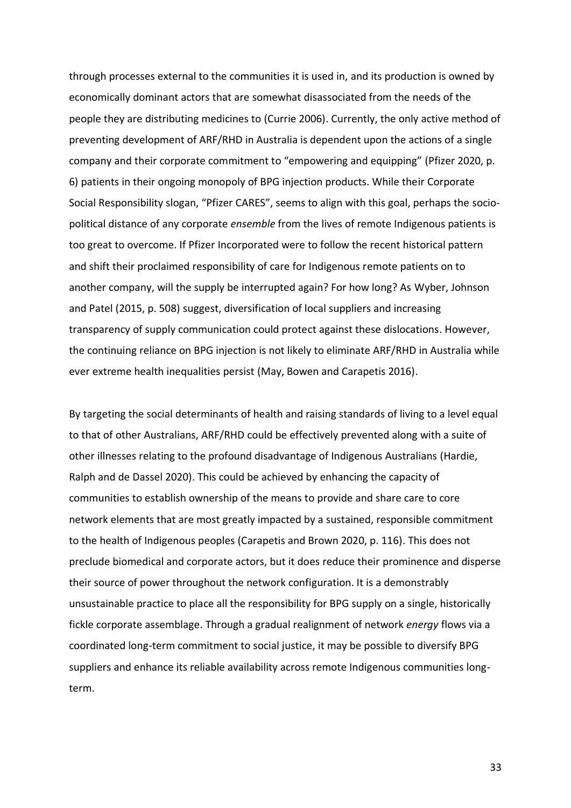through processes external to the communities it is used in, and its production is owned by economically dominant actors that are somewhat disassociated from the needs of the people they are distributing medicines to (Currie 2006). Currently, the only active method of preventing development of ARF/RHD in Australia is dependent upon the actions of a single company and their corporate commitment to "empowering and equipping" (Pfizer 2020, p. 6) patients in their ongoing monopoly of BPG injection products. While their Corporate Social Responsibility slogan, "Pfizer CARES", seems to align with this goal, perhaps the sociopolitical distance of any corporate *ensemble* from the lives of remote Indigenous patients is too great to overcome. If Pfizer Incorporated were to follow the recent historical pattern and shift their proclaimed responsibility of care for Indigenous remote patients on to another company, will the supply be interrupted again? For how long? As Wyber, Johnson and Patel (2015, p. 508) suggest, diversification of local suppliers and increasing transparency of supply communication could protect against these dislocations. However, the continuing reliance on BPG injection is not likely to eliminate ARF/RHD in Australia while ever extreme health inequalities persist (May, Bowen and Carapetis 2016).

By targeting the social determinants of health and raising standards of living to a level equal to that of other Australians, ARF/RHD could be effectively prevented along with a suite of other illnesses relating to the profound disadvantage of Indigenous Australians (Hardie, Ralph and de Dassel 2020). This could be achieved by enhancing the capacity of communities to establish ownership of the means to provide and share care to core network elements that are most greatly impacted by a sustained, responsible commitment to the health of Indigenous peoples (Carapetis and Brown 2020, p. 116). This does not preclude biomedical and corporate actors, but it does reduce their prominence and disperse their source of power throughout the network configuration. It is a demonstrably unsustainable practice to place all the responsibility for BPG supply on a single, historically fickle corporate assemblage. Through a gradual realignment of network *energy* flows via a coordinated long-term commitment to social justice, it may be possible to diversify BPG suppliers and enhance its reliable availability across remote Indigenous communities longterm.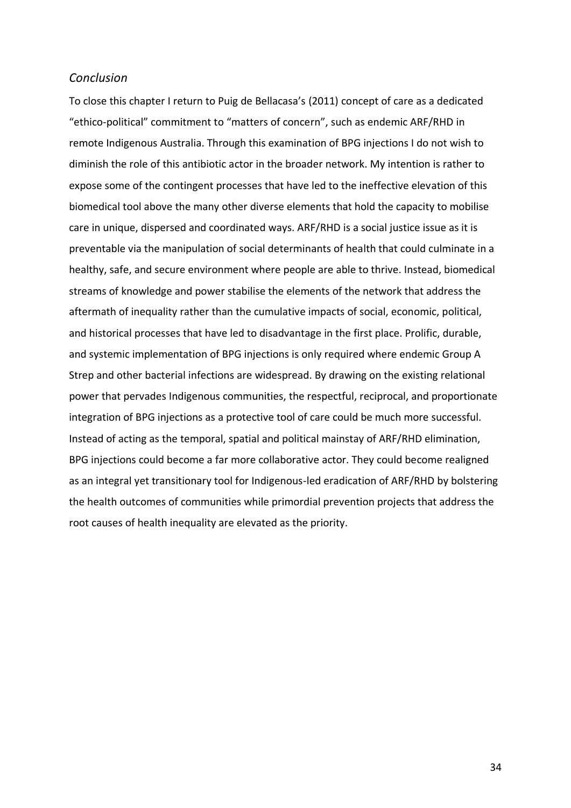#### *Conclusion*

To close this chapter I return to Puig de Bellacasa's (2011) concept of care as a dedicated "ethico-political" commitment to "matters of concern", such as endemic ARF/RHD in remote Indigenous Australia. Through this examination of BPG injections I do not wish to diminish the role of this antibiotic actor in the broader network. My intention is rather to expose some of the contingent processes that have led to the ineffective elevation of this biomedical tool above the many other diverse elements that hold the capacity to mobilise care in unique, dispersed and coordinated ways. ARF/RHD is a social justice issue as it is preventable via the manipulation of social determinants of health that could culminate in a healthy, safe, and secure environment where people are able to thrive. Instead, biomedical streams of knowledge and power stabilise the elements of the network that address the aftermath of inequality rather than the cumulative impacts of social, economic, political, and historical processes that have led to disadvantage in the first place. Prolific, durable, and systemic implementation of BPG injections is only required where endemic Group A Strep and other bacterial infections are widespread. By drawing on the existing relational power that pervades Indigenous communities, the respectful, reciprocal, and proportionate integration of BPG injections as a protective tool of care could be much more successful. Instead of acting as the temporal, spatial and political mainstay of ARF/RHD elimination, BPG injections could become a far more collaborative actor. They could become realigned as an integral yet transitionary tool for Indigenous-led eradication of ARF/RHD by bolstering the health outcomes of communities while primordial prevention projects that address the root causes of health inequality are elevated as the priority.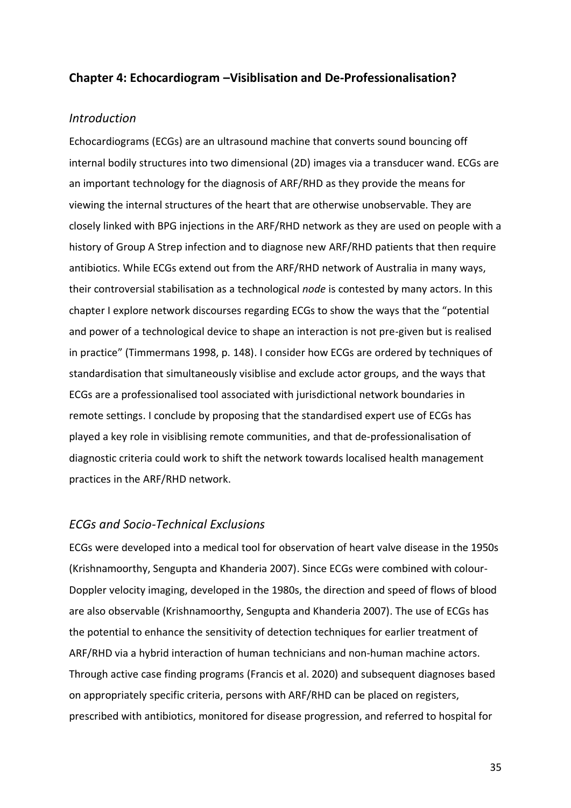#### **Chapter 4: Echocardiogram –Visiblisation and De-Professionalisation?**

#### *Introduction*

Echocardiograms (ECGs) are an ultrasound machine that converts sound bouncing off internal bodily structures into two dimensional (2D) images via a transducer wand. ECGs are an important technology for the diagnosis of ARF/RHD as they provide the means for viewing the internal structures of the heart that are otherwise unobservable. They are closely linked with BPG injections in the ARF/RHD network as they are used on people with a history of Group A Strep infection and to diagnose new ARF/RHD patients that then require antibiotics. While ECGs extend out from the ARF/RHD network of Australia in many ways, their controversial stabilisation as a technological *node* is contested by many actors. In this chapter I explore network discourses regarding ECGs to show the ways that the "potential and power of a technological device to shape an interaction is not pre-given but is realised in practice" (Timmermans 1998, p. 148). I consider how ECGs are ordered by techniques of standardisation that simultaneously visiblise and exclude actor groups, and the ways that ECGs are a professionalised tool associated with jurisdictional network boundaries in remote settings. I conclude by proposing that the standardised expert use of ECGs has played a key role in visiblising remote communities, and that de-professionalisation of diagnostic criteria could work to shift the network towards localised health management practices in the ARF/RHD network.

#### *ECGs and Socio-Technical Exclusions*

ECGs were developed into a medical tool for observation of heart valve disease in the 1950s (Krishnamoorthy, Sengupta and Khanderia 2007). Since ECGs were combined with colour-Doppler velocity imaging, developed in the 1980s, the direction and speed of flows of blood are also observable (Krishnamoorthy, Sengupta and Khanderia 2007). The use of ECGs has the potential to enhance the sensitivity of detection techniques for earlier treatment of ARF/RHD via a hybrid interaction of human technicians and non-human machine actors. Through active case finding programs (Francis et al. 2020) and subsequent diagnoses based on appropriately specific criteria, persons with ARF/RHD can be placed on registers, prescribed with antibiotics, monitored for disease progression, and referred to hospital for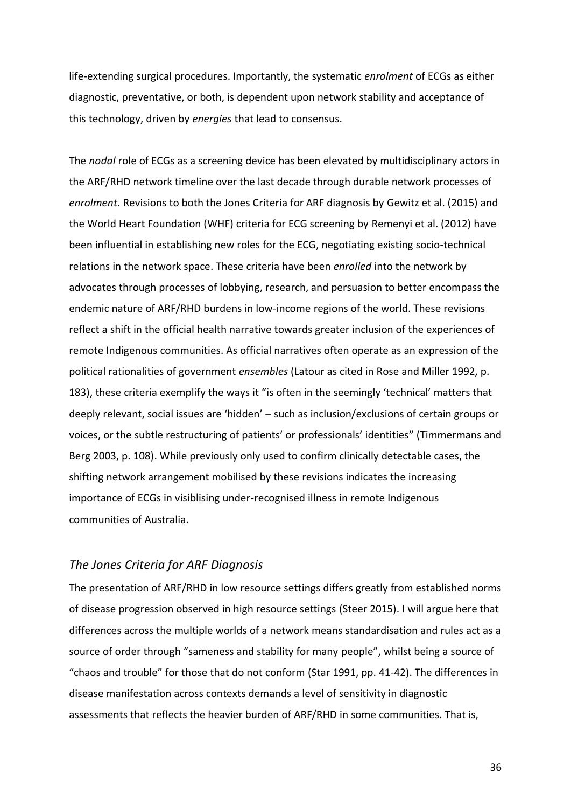life-extending surgical procedures. Importantly, the systematic *enrolment* of ECGs as either diagnostic, preventative, or both, is dependent upon network stability and acceptance of this technology, driven by *energies* that lead to consensus.

The *nodal* role of ECGs as a screening device has been elevated by multidisciplinary actors in the ARF/RHD network timeline over the last decade through durable network processes of *enrolment*. Revisions to both the Jones Criteria for ARF diagnosis by Gewitz et al. (2015) and the World Heart Foundation (WHF) criteria for ECG screening by Remenyi et al. (2012) have been influential in establishing new roles for the ECG, negotiating existing socio-technical relations in the network space. These criteria have been *enrolled* into the network by advocates through processes of lobbying, research, and persuasion to better encompass the endemic nature of ARF/RHD burdens in low-income regions of the world. These revisions reflect a shift in the official health narrative towards greater inclusion of the experiences of remote Indigenous communities. As official narratives often operate as an expression of the political rationalities of government *ensembles* (Latour as cited in Rose and Miller 1992, p. 183), these criteria exemplify the ways it "is often in the seemingly 'technical' matters that deeply relevant, social issues are 'hidden' – such as inclusion/exclusions of certain groups or voices, or the subtle restructuring of patients' or professionals' identities" (Timmermans and Berg 2003, p. 108). While previously only used to confirm clinically detectable cases, the shifting network arrangement mobilised by these revisions indicates the increasing importance of ECGs in visiblising under-recognised illness in remote Indigenous communities of Australia.

#### *The Jones Criteria for ARF Diagnosis*

The presentation of ARF/RHD in low resource settings differs greatly from established norms of disease progression observed in high resource settings (Steer 2015). I will argue here that differences across the multiple worlds of a network means standardisation and rules act as a source of order through "sameness and stability for many people", whilst being a source of "chaos and trouble" for those that do not conform (Star 1991, pp. 41-42). The differences in disease manifestation across contexts demands a level of sensitivity in diagnostic assessments that reflects the heavier burden of ARF/RHD in some communities. That is,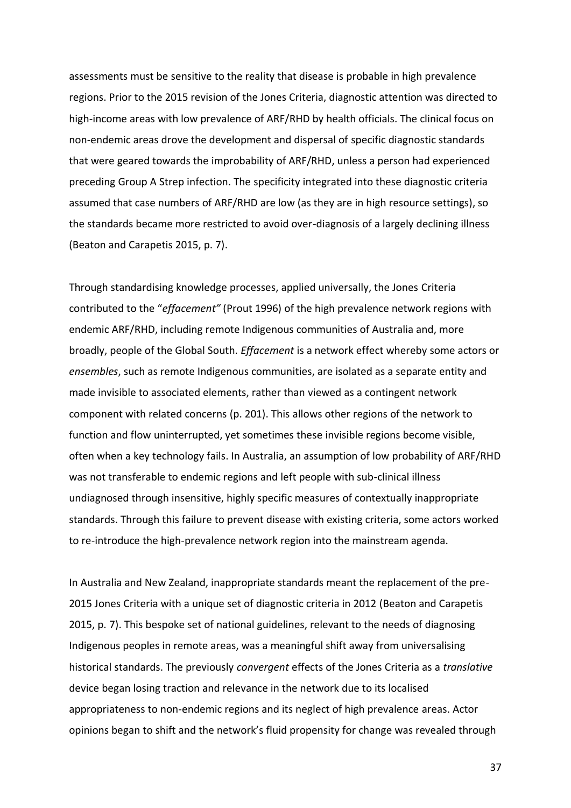assessments must be sensitive to the reality that disease is probable in high prevalence regions. Prior to the 2015 revision of the Jones Criteria, diagnostic attention was directed to high-income areas with low prevalence of ARF/RHD by health officials. The clinical focus on non-endemic areas drove the development and dispersal of specific diagnostic standards that were geared towards the improbability of ARF/RHD, unless a person had experienced preceding Group A Strep infection. The specificity integrated into these diagnostic criteria assumed that case numbers of ARF/RHD are low (as they are in high resource settings), so the standards became more restricted to avoid over-diagnosis of a largely declining illness (Beaton and Carapetis 2015, p. 7).

Through standardising knowledge processes, applied universally, the Jones Criteria contributed to the "*effacement"* (Prout 1996) of the high prevalence network regions with endemic ARF/RHD, including remote Indigenous communities of Australia and, more broadly, people of the Global South. *Effacement* is a network effect whereby some actors or *ensembles*, such as remote Indigenous communities, are isolated as a separate entity and made invisible to associated elements, rather than viewed as a contingent network component with related concerns (p. 201). This allows other regions of the network to function and flow uninterrupted, yet sometimes these invisible regions become visible, often when a key technology fails. In Australia, an assumption of low probability of ARF/RHD was not transferable to endemic regions and left people with sub-clinical illness undiagnosed through insensitive, highly specific measures of contextually inappropriate standards. Through this failure to prevent disease with existing criteria, some actors worked to re-introduce the high-prevalence network region into the mainstream agenda.

In Australia and New Zealand, inappropriate standards meant the replacement of the pre-2015 Jones Criteria with a unique set of diagnostic criteria in 2012 (Beaton and Carapetis 2015, p. 7). This bespoke set of national guidelines, relevant to the needs of diagnosing Indigenous peoples in remote areas, was a meaningful shift away from universalising historical standards. The previously *convergent* effects of the Jones Criteria as a *translative* device began losing traction and relevance in the network due to its localised appropriateness to non-endemic regions and its neglect of high prevalence areas. Actor opinions began to shift and the network's fluid propensity for change was revealed through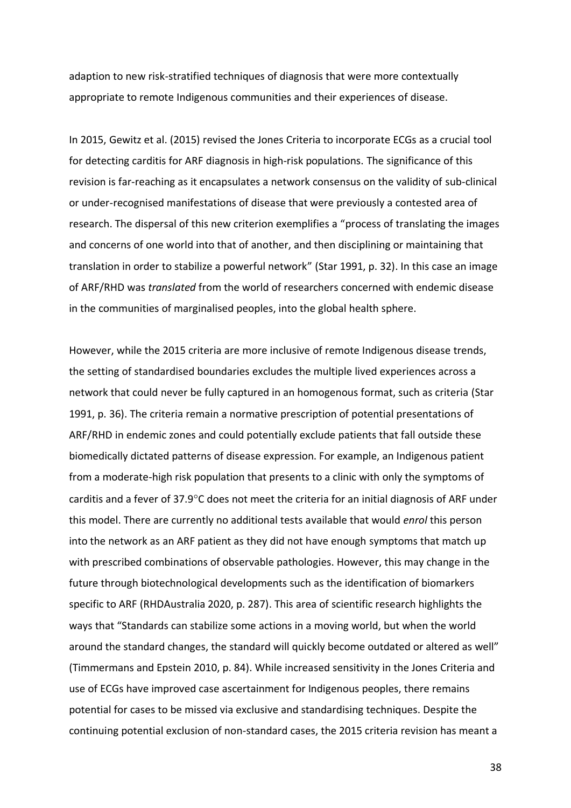adaption to new risk-stratified techniques of diagnosis that were more contextually appropriate to remote Indigenous communities and their experiences of disease.

In 2015, Gewitz et al. (2015) revised the Jones Criteria to incorporate ECGs as a crucial tool for detecting carditis for ARF diagnosis in high-risk populations. The significance of this revision is far-reaching as it encapsulates a network consensus on the validity of sub-clinical or under-recognised manifestations of disease that were previously a contested area of research. The dispersal of this new criterion exemplifies a "process of translating the images and concerns of one world into that of another, and then disciplining or maintaining that translation in order to stabilize a powerful network" (Star 1991, p. 32). In this case an image of ARF/RHD was *translated* from the world of researchers concerned with endemic disease in the communities of marginalised peoples, into the global health sphere.

However, while the 2015 criteria are more inclusive of remote Indigenous disease trends, the setting of standardised boundaries excludes the multiple lived experiences across a network that could never be fully captured in an homogenous format, such as criteria (Star 1991, p. 36). The criteria remain a normative prescription of potential presentations of ARF/RHD in endemic zones and could potentially exclude patients that fall outside these biomedically dictated patterns of disease expression. For example, an Indigenous patient from a moderate-high risk population that presents to a clinic with only the symptoms of carditis and a fever of  $37.9^{\circ}$ C does not meet the criteria for an initial diagnosis of ARF under this model. There are currently no additional tests available that would *enrol* this person into the network as an ARF patient as they did not have enough symptoms that match up with prescribed combinations of observable pathologies. However, this may change in the future through biotechnological developments such as the identification of biomarkers specific to ARF (RHDAustralia 2020, p. 287). This area of scientific research highlights the ways that "Standards can stabilize some actions in a moving world, but when the world around the standard changes, the standard will quickly become outdated or altered as well" (Timmermans and Epstein 2010, p. 84). While increased sensitivity in the Jones Criteria and use of ECGs have improved case ascertainment for Indigenous peoples, there remains potential for cases to be missed via exclusive and standardising techniques. Despite the continuing potential exclusion of non-standard cases, the 2015 criteria revision has meant a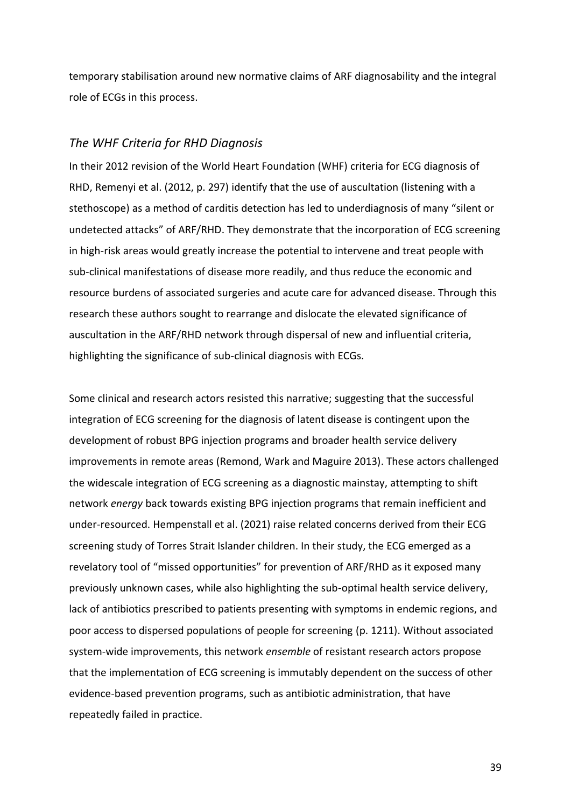temporary stabilisation around new normative claims of ARF diagnosability and the integral role of ECGs in this process.

#### *The WHF Criteria for RHD Diagnosis*

In their 2012 revision of the World Heart Foundation (WHF) criteria for ECG diagnosis of RHD, Remenyi et al. (2012, p. 297) identify that the use of auscultation (listening with a stethoscope) as a method of carditis detection has led to underdiagnosis of many "silent or undetected attacks" of ARF/RHD. They demonstrate that the incorporation of ECG screening in high-risk areas would greatly increase the potential to intervene and treat people with sub-clinical manifestations of disease more readily, and thus reduce the economic and resource burdens of associated surgeries and acute care for advanced disease. Through this research these authors sought to rearrange and dislocate the elevated significance of auscultation in the ARF/RHD network through dispersal of new and influential criteria, highlighting the significance of sub-clinical diagnosis with ECGs.

Some clinical and research actors resisted this narrative; suggesting that the successful integration of ECG screening for the diagnosis of latent disease is contingent upon the development of robust BPG injection programs and broader health service delivery improvements in remote areas (Remond, Wark and Maguire 2013). These actors challenged the widescale integration of ECG screening as a diagnostic mainstay, attempting to shift network *energy* back towards existing BPG injection programs that remain inefficient and under-resourced. Hempenstall et al. (2021) raise related concerns derived from their ECG screening study of Torres Strait Islander children. In their study, the ECG emerged as a revelatory tool of "missed opportunities" for prevention of ARF/RHD as it exposed many previously unknown cases, while also highlighting the sub-optimal health service delivery, lack of antibiotics prescribed to patients presenting with symptoms in endemic regions, and poor access to dispersed populations of people for screening (p. 1211). Without associated system-wide improvements, this network *ensemble* of resistant research actors propose that the implementation of ECG screening is immutably dependent on the success of other evidence-based prevention programs, such as antibiotic administration, that have repeatedly failed in practice.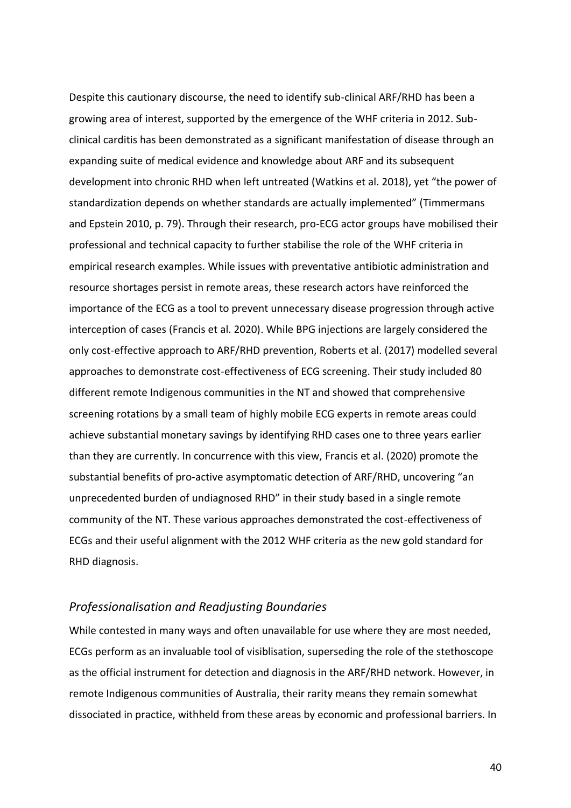Despite this cautionary discourse, the need to identify sub-clinical ARF/RHD has been a growing area of interest, supported by the emergence of the WHF criteria in 2012. Subclinical carditis has been demonstrated as a significant manifestation of disease through an expanding suite of medical evidence and knowledge about ARF and its subsequent development into chronic RHD when left untreated (Watkins et al. 2018), yet "the power of standardization depends on whether standards are actually implemented" (Timmermans and Epstein 2010, p. 79). Through their research, pro-ECG actor groups have mobilised their professional and technical capacity to further stabilise the role of the WHF criteria in empirical research examples. While issues with preventative antibiotic administration and resource shortages persist in remote areas, these research actors have reinforced the importance of the ECG as a tool to prevent unnecessary disease progression through active interception of cases (Francis et al. 2020). While BPG injections are largely considered the only cost-effective approach to ARF/RHD prevention, Roberts et al. (2017) modelled several approaches to demonstrate cost-effectiveness of ECG screening. Their study included 80 different remote Indigenous communities in the NT and showed that comprehensive screening rotations by a small team of highly mobile ECG experts in remote areas could achieve substantial monetary savings by identifying RHD cases one to three years earlier than they are currently. In concurrence with this view, Francis et al. (2020) promote the substantial benefits of pro-active asymptomatic detection of ARF/RHD, uncovering "an unprecedented burden of undiagnosed RHD" in their study based in a single remote community of the NT. These various approaches demonstrated the cost-effectiveness of ECGs and their useful alignment with the 2012 WHF criteria as the new gold standard for RHD diagnosis.

#### *Professionalisation and Readjusting Boundaries*

While contested in many ways and often unavailable for use where they are most needed, ECGs perform as an invaluable tool of visiblisation, superseding the role of the stethoscope as the official instrument for detection and diagnosis in the ARF/RHD network. However, in remote Indigenous communities of Australia, their rarity means they remain somewhat dissociated in practice, withheld from these areas by economic and professional barriers. In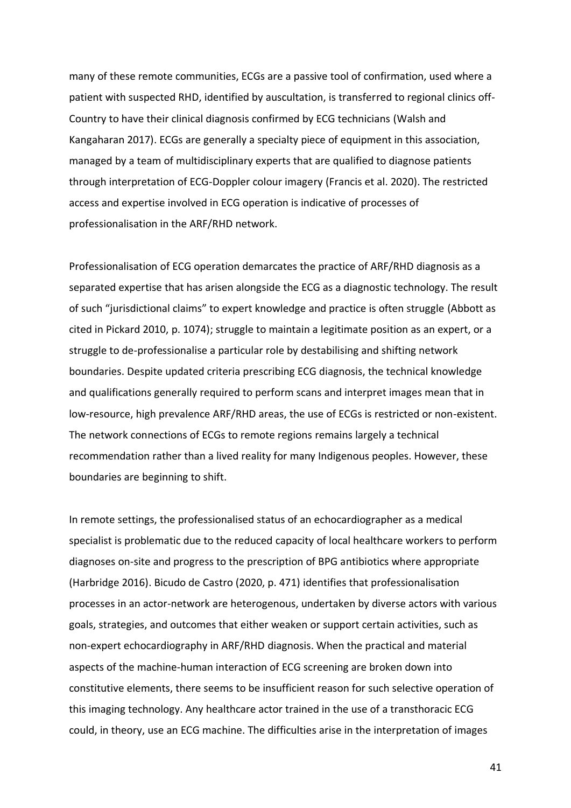many of these remote communities, ECGs are a passive tool of confirmation, used where a patient with suspected RHD, identified by auscultation, is transferred to regional clinics off-Country to have their clinical diagnosis confirmed by ECG technicians (Walsh and Kangaharan 2017). ECGs are generally a specialty piece of equipment in this association, managed by a team of multidisciplinary experts that are qualified to diagnose patients through interpretation of ECG-Doppler colour imagery (Francis et al. 2020). The restricted access and expertise involved in ECG operation is indicative of processes of professionalisation in the ARF/RHD network.

Professionalisation of ECG operation demarcates the practice of ARF/RHD diagnosis as a separated expertise that has arisen alongside the ECG as a diagnostic technology. The result of such "jurisdictional claims" to expert knowledge and practice is often struggle (Abbott as cited in Pickard 2010, p. 1074); struggle to maintain a legitimate position as an expert, or a struggle to de-professionalise a particular role by destabilising and shifting network boundaries. Despite updated criteria prescribing ECG diagnosis, the technical knowledge and qualifications generally required to perform scans and interpret images mean that in low-resource, high prevalence ARF/RHD areas, the use of ECGs is restricted or non-existent. The network connections of ECGs to remote regions remains largely a technical recommendation rather than a lived reality for many Indigenous peoples. However, these boundaries are beginning to shift.

In remote settings, the professionalised status of an echocardiographer as a medical specialist is problematic due to the reduced capacity of local healthcare workers to perform diagnoses on-site and progress to the prescription of BPG antibiotics where appropriate (Harbridge 2016). Bicudo de Castro (2020, p. 471) identifies that professionalisation processes in an actor-network are heterogenous, undertaken by diverse actors with various goals, strategies, and outcomes that either weaken or support certain activities, such as non-expert echocardiography in ARF/RHD diagnosis. When the practical and material aspects of the machine-human interaction of ECG screening are broken down into constitutive elements, there seems to be insufficient reason for such selective operation of this imaging technology. Any healthcare actor trained in the use of a transthoracic ECG could, in theory, use an ECG machine. The difficulties arise in the interpretation of images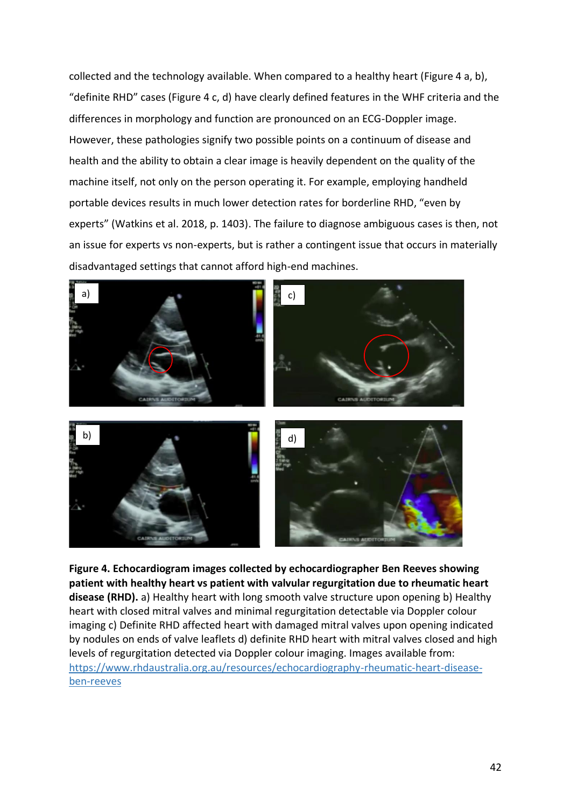collected and the technology available. When compared to a healthy heart (Figure 4 a, b), "definite RHD" cases (Figure 4 c, d) have clearly defined features in the WHF criteria and the differences in morphology and function are pronounced on an ECG-Doppler image. However, these pathologies signify two possible points on a continuum of disease and health and the ability to obtain a clear image is heavily dependent on the quality of the machine itself, not only on the person operating it. For example, employing handheld portable devices results in much lower detection rates for borderline RHD, "even by experts" (Watkins et al. 2018, p. 1403). The failure to diagnose ambiguous cases is then, not an issue for experts vs non-experts, but is rather a contingent issue that occurs in materially disadvantaged settings that cannot afford high-end machines.



**Figure 4. Echocardiogram images collected by echocardiographer Ben Reeves showing patient with healthy heart vs patient with valvular regurgitation due to rheumatic heart disease (RHD).** a) Healthy heart with long smooth valve structure upon opening b) Healthy heart with closed mitral valves and minimal regurgitation detectable via Doppler colour imaging c) Definite RHD affected heart with damaged mitral valves upon opening indicated by nodules on ends of valve leaflets d) definite RHD heart with mitral valves closed and high levels of regurgitation detected via Doppler colour imaging. Images available from: [https://www.rhdaustralia.org.au/resources/echocardiography-rheumatic-heart-disease](https://www.rhdaustralia.org.au/resources/echocardiography-rheumatic-heart-disease-ben-reeves)[ben-reeves](https://www.rhdaustralia.org.au/resources/echocardiography-rheumatic-heart-disease-ben-reeves)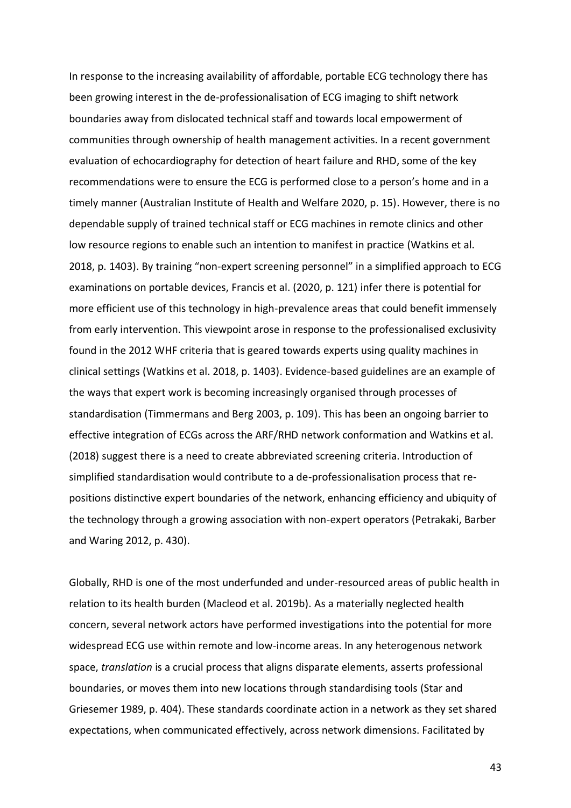In response to the increasing availability of affordable, portable ECG technology there has been growing interest in the de-professionalisation of ECG imaging to shift network boundaries away from dislocated technical staff and towards local empowerment of communities through ownership of health management activities. In a recent government evaluation of echocardiography for detection of heart failure and RHD, some of the key recommendations were to ensure the ECG is performed close to a person's home and in a timely manner (Australian Institute of Health and Welfare 2020, p. 15). However, there is no dependable supply of trained technical staff or ECG machines in remote clinics and other low resource regions to enable such an intention to manifest in practice (Watkins et al. 2018, p. 1403). By training "non-expert screening personnel" in a simplified approach to ECG examinations on portable devices, Francis et al. (2020, p. 121) infer there is potential for more efficient use of this technology in high-prevalence areas that could benefit immensely from early intervention. This viewpoint arose in response to the professionalised exclusivity found in the 2012 WHF criteria that is geared towards experts using quality machines in clinical settings (Watkins et al. 2018, p. 1403). Evidence-based guidelines are an example of the ways that expert work is becoming increasingly organised through processes of standardisation (Timmermans and Berg 2003, p. 109). This has been an ongoing barrier to effective integration of ECGs across the ARF/RHD network conformation and Watkins et al. (2018) suggest there is a need to create abbreviated screening criteria. Introduction of simplified standardisation would contribute to a de-professionalisation process that repositions distinctive expert boundaries of the network, enhancing efficiency and ubiquity of the technology through a growing association with non-expert operators (Petrakaki, Barber and Waring 2012, p. 430).

Globally, RHD is one of the most underfunded and under-resourced areas of public health in relation to its health burden (Macleod et al. 2019b). As a materially neglected health concern, several network actors have performed investigations into the potential for more widespread ECG use within remote and low-income areas. In any heterogenous network space, *translation* is a crucial process that aligns disparate elements, asserts professional boundaries, or moves them into new locations through standardising tools (Star and Griesemer 1989, p. 404). These standards coordinate action in a network as they set shared expectations, when communicated effectively, across network dimensions. Facilitated by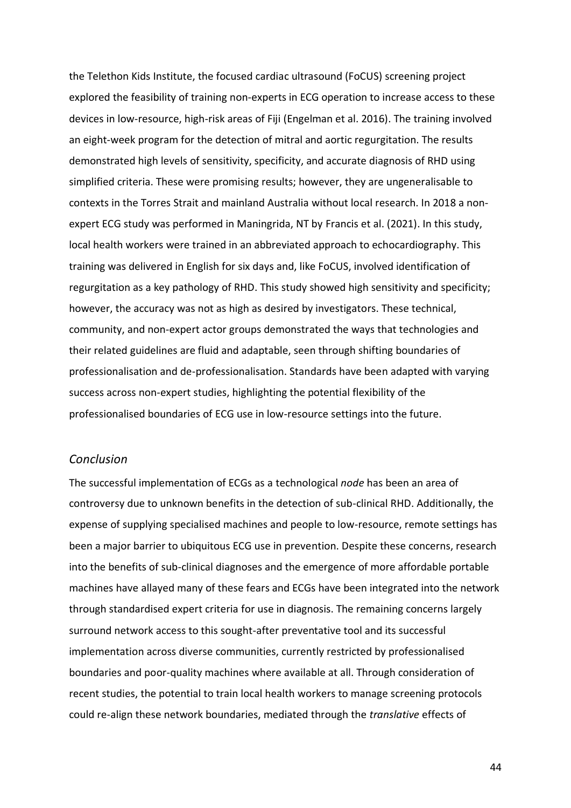the Telethon Kids Institute, the focused cardiac ultrasound (FoCUS) screening project explored the feasibility of training non-experts in ECG operation to increase access to these devices in low-resource, high-risk areas of Fiji (Engelman et al. 2016). The training involved an eight-week program for the detection of mitral and aortic regurgitation. The results demonstrated high levels of sensitivity, specificity, and accurate diagnosis of RHD using simplified criteria. These were promising results; however, they are ungeneralisable to contexts in the Torres Strait and mainland Australia without local research. In 2018 a nonexpert ECG study was performed in Maningrida, NT by Francis et al. (2021). In this study, local health workers were trained in an abbreviated approach to echocardiography. This training was delivered in English for six days and, like FoCUS, involved identification of regurgitation as a key pathology of RHD. This study showed high sensitivity and specificity; however, the accuracy was not as high as desired by investigators. These technical, community, and non-expert actor groups demonstrated the ways that technologies and their related guidelines are fluid and adaptable, seen through shifting boundaries of professionalisation and de-professionalisation. Standards have been adapted with varying success across non-expert studies, highlighting the potential flexibility of the professionalised boundaries of ECG use in low-resource settings into the future.

#### *Conclusion*

The successful implementation of ECGs as a technological *node* has been an area of controversy due to unknown benefits in the detection of sub-clinical RHD. Additionally, the expense of supplying specialised machines and people to low-resource, remote settings has been a major barrier to ubiquitous ECG use in prevention. Despite these concerns, research into the benefits of sub-clinical diagnoses and the emergence of more affordable portable machines have allayed many of these fears and ECGs have been integrated into the network through standardised expert criteria for use in diagnosis. The remaining concerns largely surround network access to this sought-after preventative tool and its successful implementation across diverse communities, currently restricted by professionalised boundaries and poor-quality machines where available at all. Through consideration of recent studies, the potential to train local health workers to manage screening protocols could re-align these network boundaries, mediated through the *translative* effects of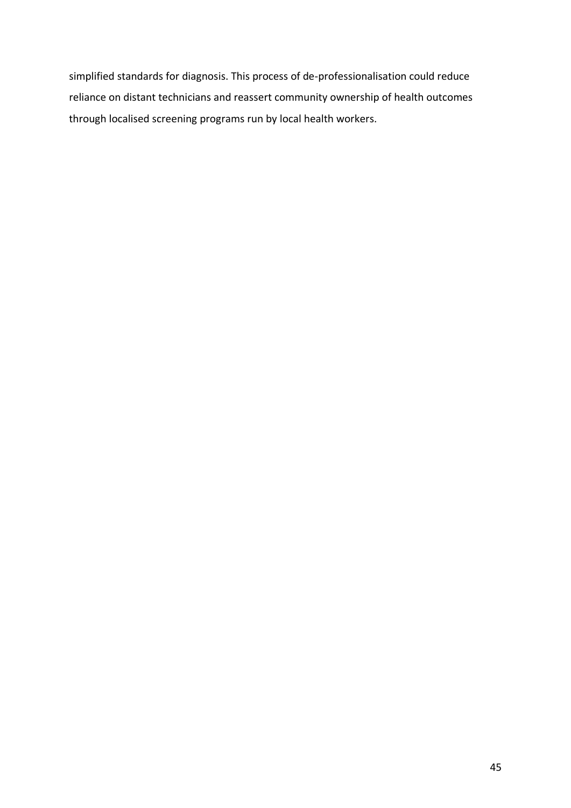simplified standards for diagnosis. This process of de-professionalisation could reduce reliance on distant technicians and reassert community ownership of health outcomes through localised screening programs run by local health workers.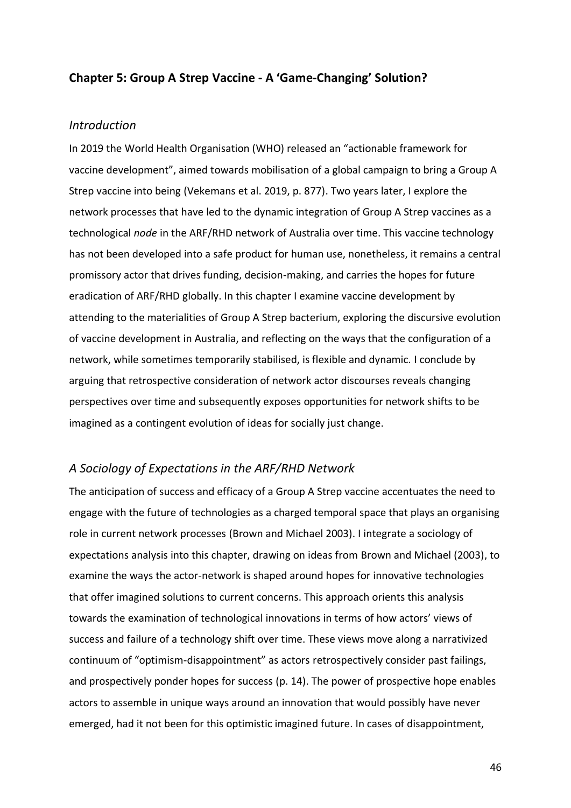#### **Chapter 5: Group A Strep Vaccine - A 'Game-Changing' Solution?**

#### *Introduction*

In 2019 the World Health Organisation (WHO) released an "actionable framework for vaccine development", aimed towards mobilisation of a global campaign to bring a Group A Strep vaccine into being (Vekemans et al. 2019, p. 877). Two years later, I explore the network processes that have led to the dynamic integration of Group A Strep vaccines as a technological *node* in the ARF/RHD network of Australia over time. This vaccine technology has not been developed into a safe product for human use, nonetheless, it remains a central promissory actor that drives funding, decision-making, and carries the hopes for future eradication of ARF/RHD globally. In this chapter I examine vaccine development by attending to the materialities of Group A Strep bacterium, exploring the discursive evolution of vaccine development in Australia, and reflecting on the ways that the configuration of a network, while sometimes temporarily stabilised, is flexible and dynamic. I conclude by arguing that retrospective consideration of network actor discourses reveals changing perspectives over time and subsequently exposes opportunities for network shifts to be imagined as a contingent evolution of ideas for socially just change.

#### *A Sociology of Expectations in the ARF/RHD Network*

The anticipation of success and efficacy of a Group A Strep vaccine accentuates the need to engage with the future of technologies as a charged temporal space that plays an organising role in current network processes (Brown and Michael 2003). I integrate a sociology of expectations analysis into this chapter, drawing on ideas from Brown and Michael (2003), to examine the ways the actor-network is shaped around hopes for innovative technologies that offer imagined solutions to current concerns. This approach orients this analysis towards the examination of technological innovations in terms of how actors' views of success and failure of a technology shift over time. These views move along a narrativized continuum of "optimism-disappointment" as actors retrospectively consider past failings, and prospectively ponder hopes for success (p. 14). The power of prospective hope enables actors to assemble in unique ways around an innovation that would possibly have never emerged, had it not been for this optimistic imagined future. In cases of disappointment,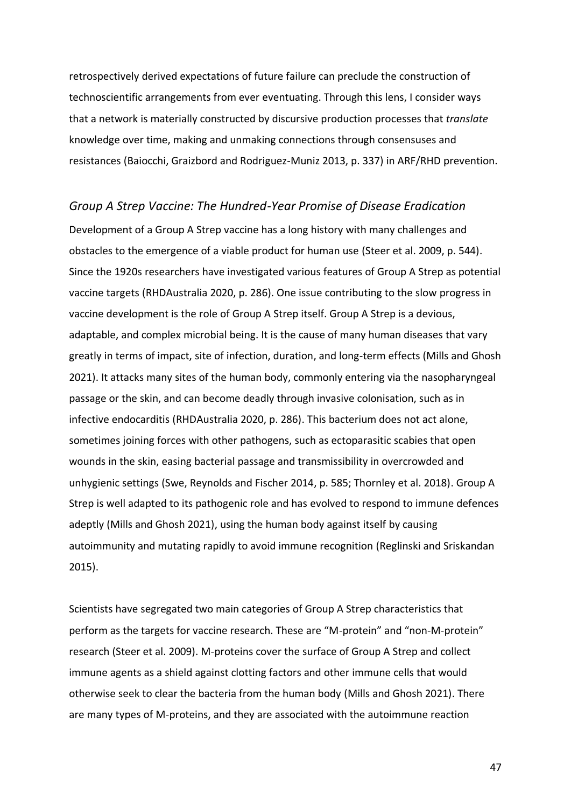retrospectively derived expectations of future failure can preclude the construction of technoscientific arrangements from ever eventuating. Through this lens, I consider ways that a network is materially constructed by discursive production processes that *translate* knowledge over time, making and unmaking connections through consensuses and resistances (Baiocchi, Graizbord and Rodriguez-Muniz 2013, p. 337) in ARF/RHD prevention.

*Group A Strep Vaccine: The Hundred-Year Promise of Disease Eradication* Development of a Group A Strep vaccine has a long history with many challenges and obstacles to the emergence of a viable product for human use (Steer et al. 2009, p. 544). Since the 1920s researchers have investigated various features of Group A Strep as potential vaccine targets (RHDAustralia 2020, p. 286). One issue contributing to the slow progress in vaccine development is the role of Group A Strep itself. Group A Strep is a devious, adaptable, and complex microbial being. It is the cause of many human diseases that vary greatly in terms of impact, site of infection, duration, and long-term effects (Mills and Ghosh 2021). It attacks many sites of the human body, commonly entering via the nasopharyngeal passage or the skin, and can become deadly through invasive colonisation, such as in infective endocarditis (RHDAustralia 2020, p. 286). This bacterium does not act alone, sometimes joining forces with other pathogens, such as ectoparasitic scabies that open wounds in the skin, easing bacterial passage and transmissibility in overcrowded and unhygienic settings (Swe, Reynolds and Fischer 2014, p. 585; Thornley et al. 2018). Group A Strep is well adapted to its pathogenic role and has evolved to respond to immune defences adeptly (Mills and Ghosh 2021), using the human body against itself by causing autoimmunity and mutating rapidly to avoid immune recognition (Reglinski and Sriskandan 2015).

Scientists have segregated two main categories of Group A Strep characteristics that perform as the targets for vaccine research. These are "M-protein" and "non-M-protein" research (Steer et al. 2009). M-proteins cover the surface of Group A Strep and collect immune agents as a shield against clotting factors and other immune cells that would otherwise seek to clear the bacteria from the human body (Mills and Ghosh 2021). There are many types of M-proteins, and they are associated with the autoimmune reaction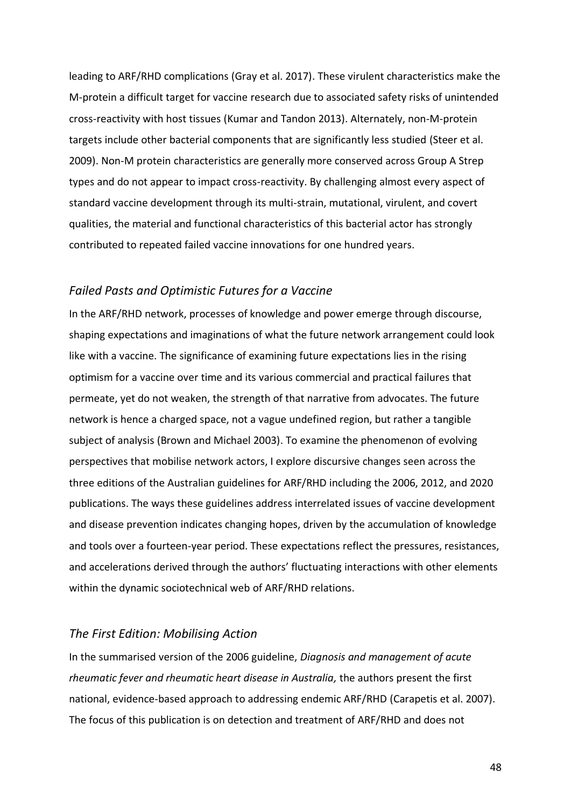leading to ARF/RHD complications (Gray et al. 2017). These virulent characteristics make the M-protein a difficult target for vaccine research due to associated safety risks of unintended cross-reactivity with host tissues (Kumar and Tandon 2013). Alternately, non-M-protein targets include other bacterial components that are significantly less studied (Steer et al. 2009). Non-M protein characteristics are generally more conserved across Group A Strep types and do not appear to impact cross-reactivity. By challenging almost every aspect of standard vaccine development through its multi-strain, mutational, virulent, and covert qualities, the material and functional characteristics of this bacterial actor has strongly contributed to repeated failed vaccine innovations for one hundred years.

#### *Failed Pasts and Optimistic Futures for a Vaccine*

In the ARF/RHD network, processes of knowledge and power emerge through discourse, shaping expectations and imaginations of what the future network arrangement could look like with a vaccine. The significance of examining future expectations lies in the rising optimism for a vaccine over time and its various commercial and practical failures that permeate, yet do not weaken, the strength of that narrative from advocates. The future network is hence a charged space, not a vague undefined region, but rather a tangible subject of analysis (Brown and Michael 2003). To examine the phenomenon of evolving perspectives that mobilise network actors, I explore discursive changes seen across the three editions of the Australian guidelines for ARF/RHD including the 2006, 2012, and 2020 publications. The ways these guidelines address interrelated issues of vaccine development and disease prevention indicates changing hopes, driven by the accumulation of knowledge and tools over a fourteen-year period. These expectations reflect the pressures, resistances, and accelerations derived through the authors' fluctuating interactions with other elements within the dynamic sociotechnical web of ARF/RHD relations.

#### *The First Edition: Mobilising Action*

In the summarised version of the 2006 guideline, *Diagnosis and management of acute rheumatic fever and rheumatic heart disease in Australia,* the authors present the first national, evidence-based approach to addressing endemic ARF/RHD (Carapetis et al. 2007). The focus of this publication is on detection and treatment of ARF/RHD and does not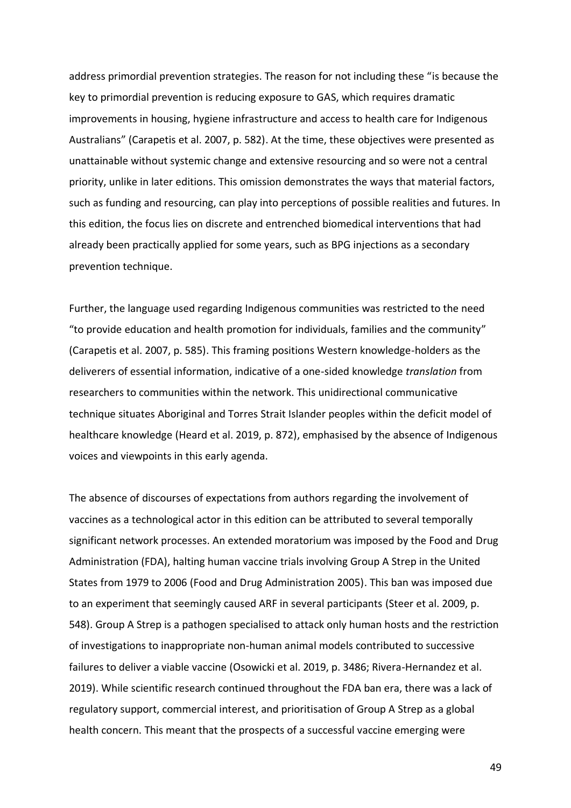address primordial prevention strategies. The reason for not including these "is because the key to primordial prevention is reducing exposure to GAS, which requires dramatic improvements in housing, hygiene infrastructure and access to health care for Indigenous Australians" (Carapetis et al. 2007, p. 582). At the time, these objectives were presented as unattainable without systemic change and extensive resourcing and so were not a central priority, unlike in later editions. This omission demonstrates the ways that material factors, such as funding and resourcing, can play into perceptions of possible realities and futures. In this edition, the focus lies on discrete and entrenched biomedical interventions that had already been practically applied for some years, such as BPG injections as a secondary prevention technique.

Further, the language used regarding Indigenous communities was restricted to the need "to provide education and health promotion for individuals, families and the community" (Carapetis et al. 2007, p. 585). This framing positions Western knowledge-holders as the deliverers of essential information, indicative of a one-sided knowledge *translation* from researchers to communities within the network. This unidirectional communicative technique situates Aboriginal and Torres Strait Islander peoples within the deficit model of healthcare knowledge (Heard et al. 2019, p. 872), emphasised by the absence of Indigenous voices and viewpoints in this early agenda.

The absence of discourses of expectations from authors regarding the involvement of vaccines as a technological actor in this edition can be attributed to several temporally significant network processes. An extended moratorium was imposed by the Food and Drug Administration (FDA), halting human vaccine trials involving Group A Strep in the United States from 1979 to 2006 (Food and Drug Administration 2005). This ban was imposed due to an experiment that seemingly caused ARF in several participants (Steer et al. 2009, p. 548). Group A Strep is a pathogen specialised to attack only human hosts and the restriction of investigations to inappropriate non-human animal models contributed to successive failures to deliver a viable vaccine (Osowicki et al. 2019, p. 3486; Rivera-Hernandez et al. 2019). While scientific research continued throughout the FDA ban era, there was a lack of regulatory support, commercial interest, and prioritisation of Group A Strep as a global health concern. This meant that the prospects of a successful vaccine emerging were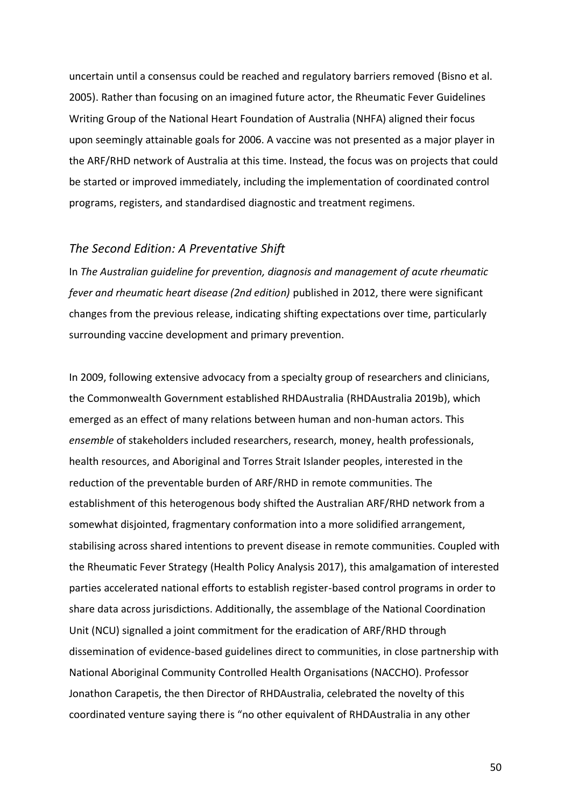uncertain until a consensus could be reached and regulatory barriers removed (Bisno et al. 2005). Rather than focusing on an imagined future actor, the Rheumatic Fever Guidelines Writing Group of the National Heart Foundation of Australia (NHFA) aligned their focus upon seemingly attainable goals for 2006. A vaccine was not presented as a major player in the ARF/RHD network of Australia at this time. Instead, the focus was on projects that could be started or improved immediately, including the implementation of coordinated control programs, registers, and standardised diagnostic and treatment regimens.

#### *The Second Edition: A Preventative Shift*

In *The Australian guideline for prevention, diagnosis and management of acute rheumatic fever and rheumatic heart disease (2nd edition)* published in 2012, there were significant changes from the previous release, indicating shifting expectations over time, particularly surrounding vaccine development and primary prevention.

In 2009, following extensive advocacy from a specialty group of researchers and clinicians, the Commonwealth Government established RHDAustralia (RHDAustralia 2019b), which emerged as an effect of many relations between human and non-human actors. This *ensemble* of stakeholders included researchers, research, money, health professionals, health resources, and Aboriginal and Torres Strait Islander peoples, interested in the reduction of the preventable burden of ARF/RHD in remote communities. The establishment of this heterogenous body shifted the Australian ARF/RHD network from a somewhat disjointed, fragmentary conformation into a more solidified arrangement, stabilising across shared intentions to prevent disease in remote communities. Coupled with the Rheumatic Fever Strategy (Health Policy Analysis 2017), this amalgamation of interested parties accelerated national efforts to establish register-based control programs in order to share data across jurisdictions. Additionally, the assemblage of the National Coordination Unit (NCU) signalled a joint commitment for the eradication of ARF/RHD through dissemination of evidence-based guidelines direct to communities, in close partnership with National Aboriginal Community Controlled Health Organisations (NACCHO). Professor Jonathon Carapetis, the then Director of RHDAustralia, celebrated the novelty of this coordinated venture saying there is "no other equivalent of RHDAustralia in any other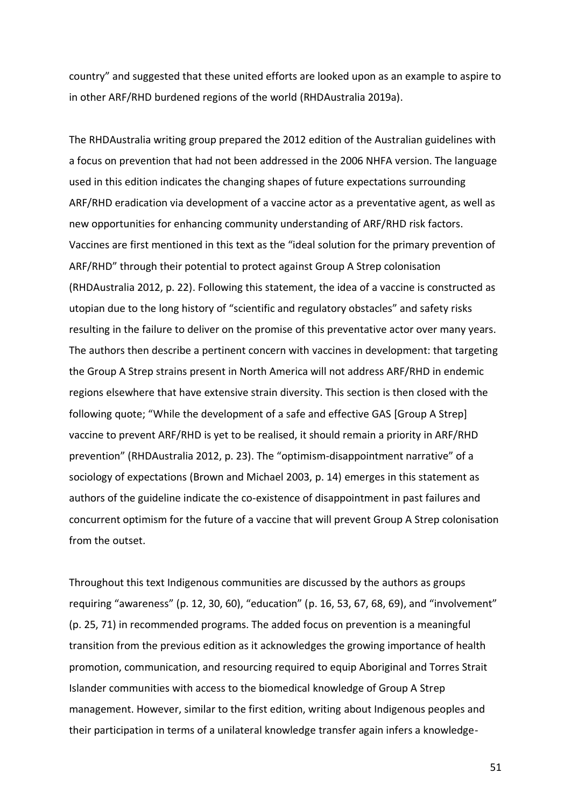country" and suggested that these united efforts are looked upon as an example to aspire to in other ARF/RHD burdened regions of the world (RHDAustralia 2019a).

The RHDAustralia writing group prepared the 2012 edition of the Australian guidelines with a focus on prevention that had not been addressed in the 2006 NHFA version. The language used in this edition indicates the changing shapes of future expectations surrounding ARF/RHD eradication via development of a vaccine actor as a preventative agent, as well as new opportunities for enhancing community understanding of ARF/RHD risk factors. Vaccines are first mentioned in this text as the "ideal solution for the primary prevention of ARF/RHD" through their potential to protect against Group A Strep colonisation (RHDAustralia 2012, p. 22). Following this statement, the idea of a vaccine is constructed as utopian due to the long history of "scientific and regulatory obstacles" and safety risks resulting in the failure to deliver on the promise of this preventative actor over many years. The authors then describe a pertinent concern with vaccines in development: that targeting the Group A Strep strains present in North America will not address ARF/RHD in endemic regions elsewhere that have extensive strain diversity. This section is then closed with the following quote; "While the development of a safe and effective GAS [Group A Strep] vaccine to prevent ARF/RHD is yet to be realised, it should remain a priority in ARF/RHD prevention" (RHDAustralia 2012, p. 23). The "optimism-disappointment narrative" of a sociology of expectations (Brown and Michael 2003, p. 14) emerges in this statement as authors of the guideline indicate the co-existence of disappointment in past failures and concurrent optimism for the future of a vaccine that will prevent Group A Strep colonisation from the outset.

Throughout this text Indigenous communities are discussed by the authors as groups requiring "awareness" (p. 12, 30, 60), "education" (p. 16, 53, 67, 68, 69), and "involvement" (p. 25, 71) in recommended programs. The added focus on prevention is a meaningful transition from the previous edition as it acknowledges the growing importance of health promotion, communication, and resourcing required to equip Aboriginal and Torres Strait Islander communities with access to the biomedical knowledge of Group A Strep management. However, similar to the first edition, writing about Indigenous peoples and their participation in terms of a unilateral knowledge transfer again infers a knowledge-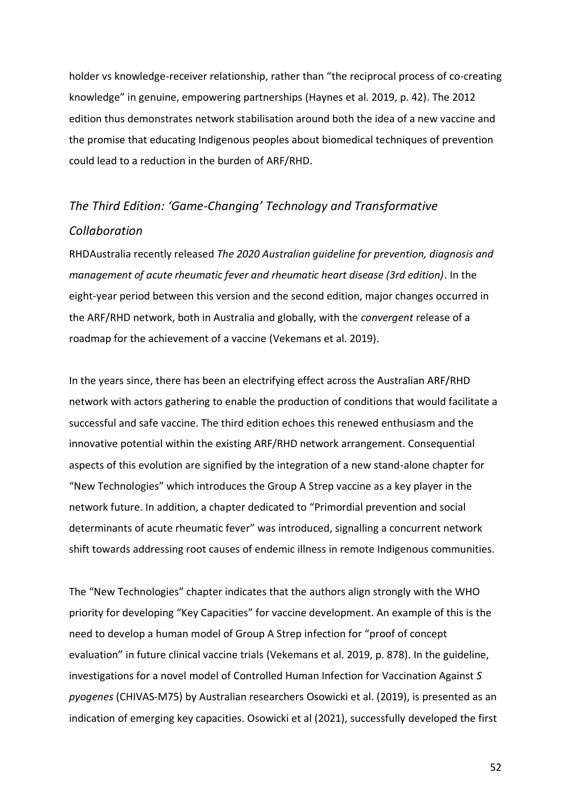holder vs knowledge-receiver relationship, rather than "the reciprocal process of co-creating knowledge" in genuine, empowering partnerships (Haynes et al. 2019, p. 42). The 2012 edition thus demonstrates network stabilisation around both the idea of a new vaccine and the promise that educating Indigenous peoples about biomedical techniques of prevention could lead to a reduction in the burden of ARF/RHD.

## *The Third Edition: 'Game-Changing' Technology and Transformative Collaboration*

RHDAustralia recently released *The 2020 Australian guideline for prevention, diagnosis and management of acute rheumatic fever and rheumatic heart disease (3rd edition)*. In the eight-year period between this version and the second edition, major changes occurred in the ARF/RHD network, both in Australia and globally, with the *convergent* release of a roadmap for the achievement of a vaccine (Vekemans et al. 2019).

In the years since, there has been an electrifying effect across the Australian ARF/RHD network with actors gathering to enable the production of conditions that would facilitate a successful and safe vaccine. The third edition echoes this renewed enthusiasm and the innovative potential within the existing ARF/RHD network arrangement. Consequential aspects of this evolution are signified by the integration of a new stand-alone chapter for "New Technologies" which introduces the Group A Strep vaccine as a key player in the network future. In addition, a chapter dedicated to "Primordial prevention and social determinants of acute rheumatic fever" was introduced, signalling a concurrent network shift towards addressing root causes of endemic illness in remote Indigenous communities.

The "New Technologies" chapter indicates that the authors align strongly with the WHO priority for developing "Key Capacities" for vaccine development. An example of this is the need to develop a human model of Group A Strep infection for "proof of concept evaluation" in future clinical vaccine trials (Vekemans et al. 2019, p. 878). In the guideline, investigations for a novel model of Controlled Human Infection for Vaccination Against *S pyogenes* (CHIVAS-M75) by Australian researchers Osowicki et al. (2019), is presented as an indication of emerging key capacities. Osowicki et al (2021), successfully developed the first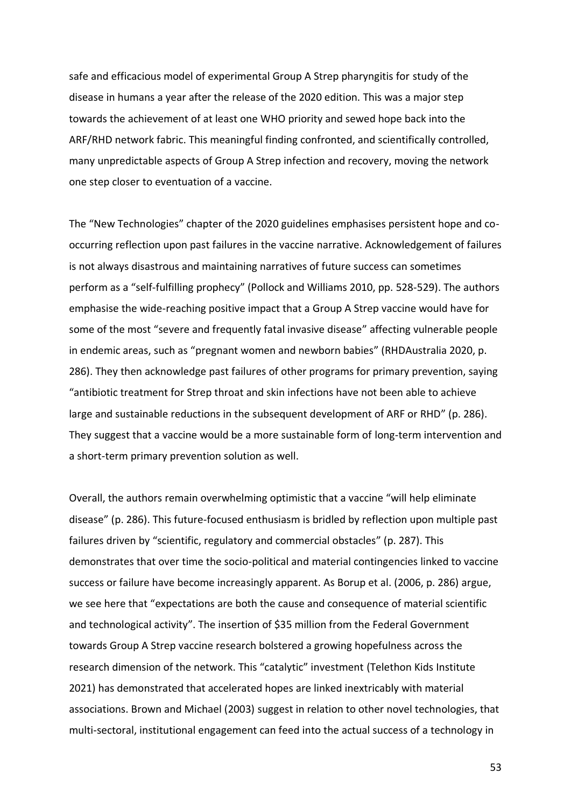safe and efficacious model of experimental Group A Strep pharyngitis for study of the disease in humans a year after the release of the 2020 edition. This was a major step towards the achievement of at least one WHO priority and sewed hope back into the ARF/RHD network fabric. This meaningful finding confronted, and scientifically controlled, many unpredictable aspects of Group A Strep infection and recovery, moving the network one step closer to eventuation of a vaccine.

The "New Technologies" chapter of the 2020 guidelines emphasises persistent hope and cooccurring reflection upon past failures in the vaccine narrative. Acknowledgement of failures is not always disastrous and maintaining narratives of future success can sometimes perform as a "self-fulfilling prophecy" (Pollock and Williams 2010, pp. 528-529). The authors emphasise the wide-reaching positive impact that a Group A Strep vaccine would have for some of the most "severe and frequently fatal invasive disease" affecting vulnerable people in endemic areas, such as "pregnant women and newborn babies" (RHDAustralia 2020, p. 286). They then acknowledge past failures of other programs for primary prevention, saying "antibiotic treatment for Strep throat and skin infections have not been able to achieve large and sustainable reductions in the subsequent development of ARF or RHD" (p. 286). They suggest that a vaccine would be a more sustainable form of long-term intervention and a short-term primary prevention solution as well.

Overall, the authors remain overwhelming optimistic that a vaccine "will help eliminate disease" (p. 286). This future-focused enthusiasm is bridled by reflection upon multiple past failures driven by "scientific, regulatory and commercial obstacles" (p. 287). This demonstrates that over time the socio-political and material contingencies linked to vaccine success or failure have become increasingly apparent. As Borup et al. (2006, p. 286) argue, we see here that "expectations are both the cause and consequence of material scientific and technological activity". The insertion of \$35 million from the Federal Government towards Group A Strep vaccine research bolstered a growing hopefulness across the research dimension of the network. This "catalytic" investment (Telethon Kids Institute 2021) has demonstrated that accelerated hopes are linked inextricably with material associations. Brown and Michael (2003) suggest in relation to other novel technologies, that multi-sectoral, institutional engagement can feed into the actual success of a technology in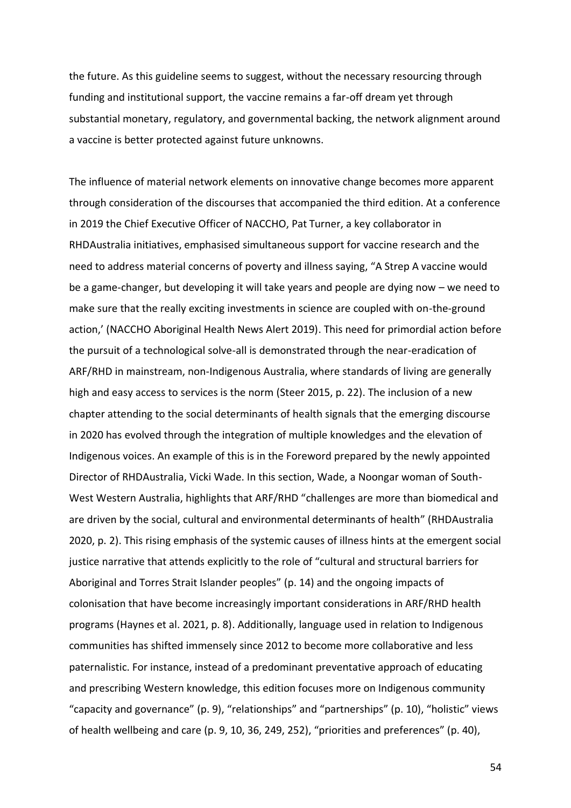the future. As this guideline seems to suggest, without the necessary resourcing through funding and institutional support, the vaccine remains a far-off dream yet through substantial monetary, regulatory, and governmental backing, the network alignment around a vaccine is better protected against future unknowns.

The influence of material network elements on innovative change becomes more apparent through consideration of the discourses that accompanied the third edition. At a conference in 2019 the Chief Executive Officer of NACCHO, Pat Turner, a key collaborator in RHDAustralia initiatives, emphasised simultaneous support for vaccine research and the need to address material concerns of poverty and illness saying, "A Strep A vaccine would be a game-changer, but developing it will take years and people are dying now – we need to make sure that the really exciting investments in science are coupled with on-the-ground action,' (NACCHO Aboriginal Health News Alert 2019). This need for primordial action before the pursuit of a technological solve-all is demonstrated through the near-eradication of ARF/RHD in mainstream, non-Indigenous Australia, where standards of living are generally high and easy access to services is the norm (Steer 2015, p. 22). The inclusion of a new chapter attending to the social determinants of health signals that the emerging discourse in 2020 has evolved through the integration of multiple knowledges and the elevation of Indigenous voices. An example of this is in the Foreword prepared by the newly appointed Director of RHDAustralia, Vicki Wade. In this section, Wade, a Noongar woman of South-West Western Australia, highlights that ARF/RHD "challenges are more than biomedical and are driven by the social, cultural and environmental determinants of health" (RHDAustralia 2020, p. 2). This rising emphasis of the systemic causes of illness hints at the emergent social justice narrative that attends explicitly to the role of "cultural and structural barriers for Aboriginal and Torres Strait Islander peoples" (p. 14) and the ongoing impacts of colonisation that have become increasingly important considerations in ARF/RHD health programs (Haynes et al. 2021, p. 8). Additionally, language used in relation to Indigenous communities has shifted immensely since 2012 to become more collaborative and less paternalistic. For instance, instead of a predominant preventative approach of educating and prescribing Western knowledge, this edition focuses more on Indigenous community "capacity and governance" (p. 9), "relationships" and "partnerships" (p. 10), "holistic" views of health wellbeing and care (p. 9, 10, 36, 249, 252), "priorities and preferences" (p. 40),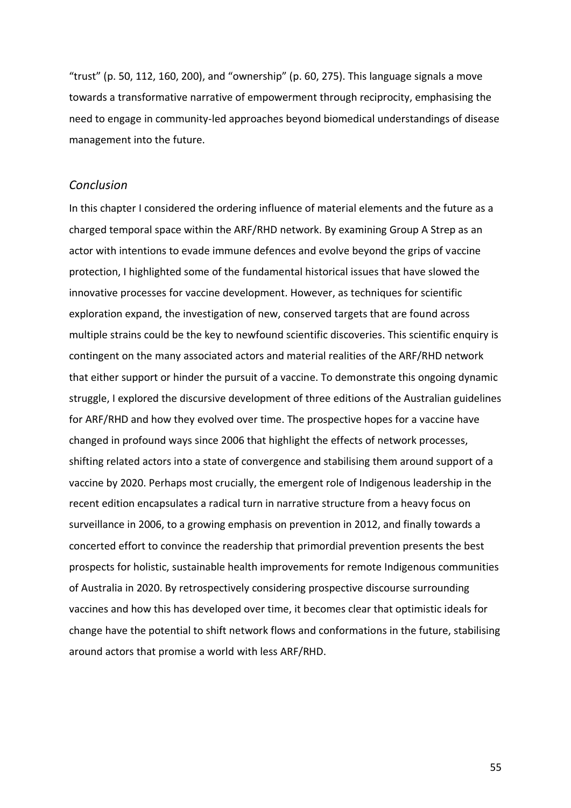"trust" (p. 50, 112, 160, 200), and "ownership" (p. 60, 275). This language signals a move towards a transformative narrative of empowerment through reciprocity, emphasising the need to engage in community-led approaches beyond biomedical understandings of disease management into the future.

#### *Conclusion*

In this chapter I considered the ordering influence of material elements and the future as a charged temporal space within the ARF/RHD network. By examining Group A Strep as an actor with intentions to evade immune defences and evolve beyond the grips of vaccine protection, I highlighted some of the fundamental historical issues that have slowed the innovative processes for vaccine development. However, as techniques for scientific exploration expand, the investigation of new, conserved targets that are found across multiple strains could be the key to newfound scientific discoveries. This scientific enquiry is contingent on the many associated actors and material realities of the ARF/RHD network that either support or hinder the pursuit of a vaccine. To demonstrate this ongoing dynamic struggle, I explored the discursive development of three editions of the Australian guidelines for ARF/RHD and how they evolved over time. The prospective hopes for a vaccine have changed in profound ways since 2006 that highlight the effects of network processes, shifting related actors into a state of convergence and stabilising them around support of a vaccine by 2020. Perhaps most crucially, the emergent role of Indigenous leadership in the recent edition encapsulates a radical turn in narrative structure from a heavy focus on surveillance in 2006, to a growing emphasis on prevention in 2012, and finally towards a concerted effort to convince the readership that primordial prevention presents the best prospects for holistic, sustainable health improvements for remote Indigenous communities of Australia in 2020. By retrospectively considering prospective discourse surrounding vaccines and how this has developed over time, it becomes clear that optimistic ideals for change have the potential to shift network flows and conformations in the future, stabilising around actors that promise a world with less ARF/RHD.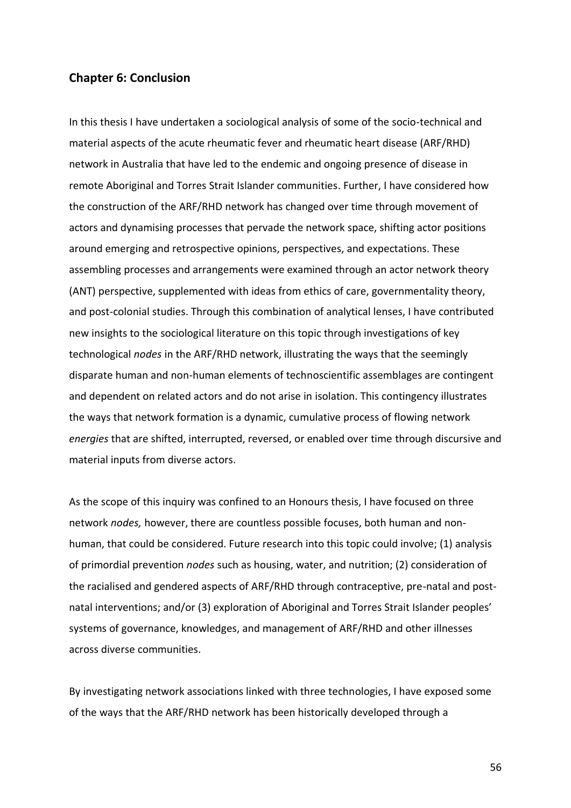#### **Chapter 6: Conclusion**

In this thesis I have undertaken a sociological analysis of some of the socio-technical and material aspects of the acute rheumatic fever and rheumatic heart disease (ARF/RHD) network in Australia that have led to the endemic and ongoing presence of disease in remote Aboriginal and Torres Strait Islander communities. Further, I have considered how the construction of the ARF/RHD network has changed over time through movement of actors and dynamising processes that pervade the network space, shifting actor positions around emerging and retrospective opinions, perspectives, and expectations. These assembling processes and arrangements were examined through an actor network theory (ANT) perspective, supplemented with ideas from ethics of care, governmentality theory, and post-colonial studies. Through this combination of analytical lenses, I have contributed new insights to the sociological literature on this topic through investigations of key technological *nodes* in the ARF/RHD network, illustrating the ways that the seemingly disparate human and non-human elements of technoscientific assemblages are contingent and dependent on related actors and do not arise in isolation. This contingency illustrates the ways that network formation is a dynamic, cumulative process of flowing network *energies* that are shifted, interrupted, reversed, or enabled over time through discursive and material inputs from diverse actors.

As the scope of this inquiry was confined to an Honours thesis, I have focused on three network *nodes,* however, there are countless possible focuses, both human and nonhuman, that could be considered. Future research into this topic could involve; (1) analysis of primordial prevention *nodes* such as housing, water, and nutrition; (2) consideration of the racialised and gendered aspects of ARF/RHD through contraceptive, pre-natal and postnatal interventions; and/or (3) exploration of Aboriginal and Torres Strait Islander peoples' systems of governance, knowledges, and management of ARF/RHD and other illnesses across diverse communities.

By investigating network associations linked with three technologies, I have exposed some of the ways that the ARF/RHD network has been historically developed through a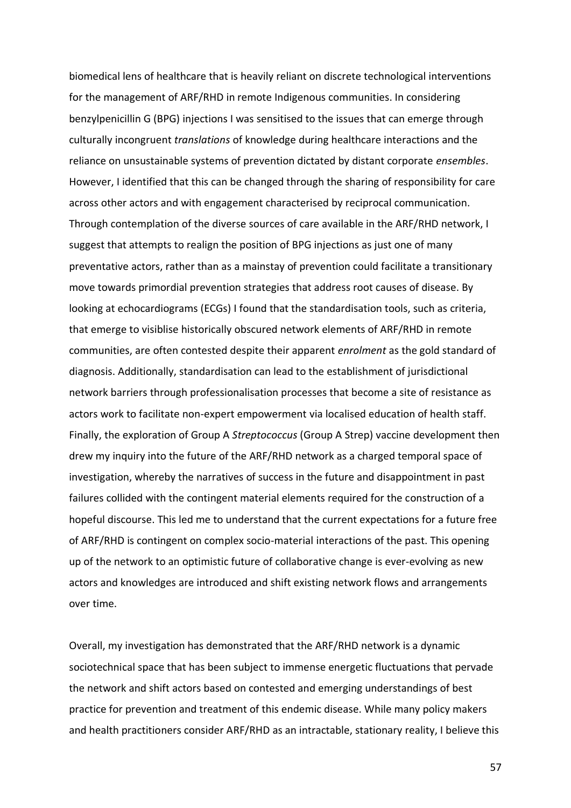biomedical lens of healthcare that is heavily reliant on discrete technological interventions for the management of ARF/RHD in remote Indigenous communities. In considering benzylpenicillin G (BPG) injections I was sensitised to the issues that can emerge through culturally incongruent *translations* of knowledge during healthcare interactions and the reliance on unsustainable systems of prevention dictated by distant corporate *ensembles*. However, I identified that this can be changed through the sharing of responsibility for care across other actors and with engagement characterised by reciprocal communication. Through contemplation of the diverse sources of care available in the ARF/RHD network, I suggest that attempts to realign the position of BPG injections as just one of many preventative actors, rather than as a mainstay of prevention could facilitate a transitionary move towards primordial prevention strategies that address root causes of disease. By looking at echocardiograms (ECGs) I found that the standardisation tools, such as criteria, that emerge to visiblise historically obscured network elements of ARF/RHD in remote communities, are often contested despite their apparent *enrolment* as the gold standard of diagnosis. Additionally, standardisation can lead to the establishment of jurisdictional network barriers through professionalisation processes that become a site of resistance as actors work to facilitate non-expert empowerment via localised education of health staff. Finally, the exploration of Group A *Streptococcus* (Group A Strep) vaccine development then drew my inquiry into the future of the ARF/RHD network as a charged temporal space of investigation, whereby the narratives of success in the future and disappointment in past failures collided with the contingent material elements required for the construction of a hopeful discourse. This led me to understand that the current expectations for a future free of ARF/RHD is contingent on complex socio-material interactions of the past. This opening up of the network to an optimistic future of collaborative change is ever-evolving as new actors and knowledges are introduced and shift existing network flows and arrangements over time.

Overall, my investigation has demonstrated that the ARF/RHD network is a dynamic sociotechnical space that has been subject to immense energetic fluctuations that pervade the network and shift actors based on contested and emerging understandings of best practice for prevention and treatment of this endemic disease. While many policy makers and health practitioners consider ARF/RHD as an intractable, stationary reality, I believe this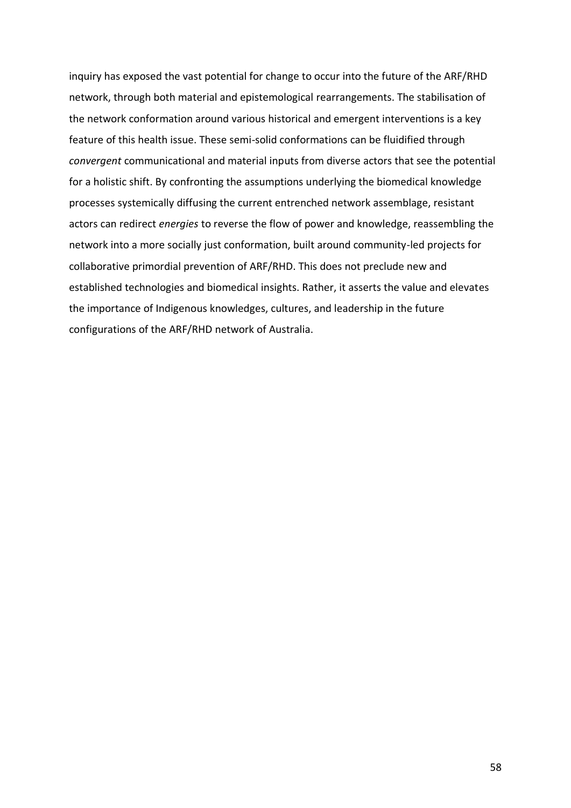inquiry has exposed the vast potential for change to occur into the future of the ARF/RHD network, through both material and epistemological rearrangements. The stabilisation of the network conformation around various historical and emergent interventions is a key feature of this health issue. These semi-solid conformations can be fluidified through *convergent* communicational and material inputs from diverse actors that see the potential for a holistic shift. By confronting the assumptions underlying the biomedical knowledge processes systemically diffusing the current entrenched network assemblage, resistant actors can redirect *energies* to reverse the flow of power and knowledge, reassembling the network into a more socially just conformation, built around community-led projects for collaborative primordial prevention of ARF/RHD. This does not preclude new and established technologies and biomedical insights. Rather, it asserts the value and elevates the importance of Indigenous knowledges, cultures, and leadership in the future configurations of the ARF/RHD network of Australia.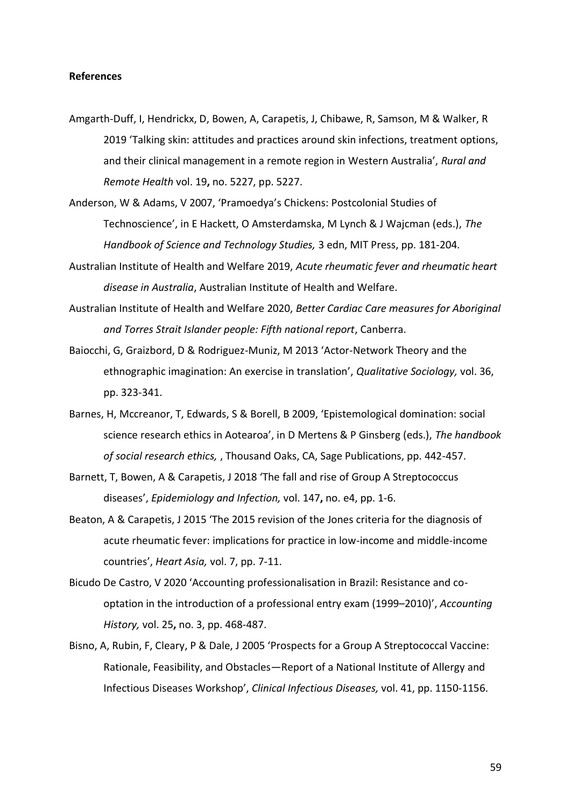#### **References**

- Amgarth-Duff, I, Hendrickx, D, Bowen, A, Carapetis, J, Chibawe, R, Samson, M & Walker, R 2019 'Talking skin: attitudes and practices around skin infections, treatment options, and their clinical management in a remote region in Western Australia', *Rural and Remote Health* vol. 19**,** no. 5227, pp. 5227.
- Anderson, W & Adams, V 2007, 'Pramoedya's Chickens: Postcolonial Studies of Technoscience', in E Hackett, O Amsterdamska, M Lynch & J Wajcman (eds.), *The Handbook of Science and Technology Studies,* 3 edn, MIT Press, pp. 181-204.
- Australian Institute of Health and Welfare 2019, *Acute rheumatic fever and rheumatic heart disease in Australia*, Australian Institute of Health and Welfare.
- Australian Institute of Health and Welfare 2020, *Better Cardiac Care measures for Aboriginal and Torres Strait Islander people: Fifth national report*, Canberra.
- Baiocchi, G, Graizbord, D & Rodriguez-Muniz, M 2013 'Actor-Network Theory and the ethnographic imagination: An exercise in translation', *Qualitative Sociology,* vol. 36, pp. 323-341.
- Barnes, H, Mccreanor, T, Edwards, S & Borell, B 2009, 'Epistemological domination: social science research ethics in Aotearoa', in D Mertens & P Ginsberg (eds.), *The handbook of social research ethics,* , Thousand Oaks, CA, Sage Publications, pp. 442-457.
- Barnett, T, Bowen, A & Carapetis, J 2018 'The fall and rise of Group A Streptococcus diseases', *Epidemiology and Infection,* vol. 147**,** no. e4, pp. 1-6.
- Beaton, A & Carapetis, J 2015 'The 2015 revision of the Jones criteria for the diagnosis of acute rheumatic fever: implications for practice in low-income and middle-income countries', *Heart Asia,* vol. 7, pp. 7-11.
- Bicudo De Castro, V 2020 'Accounting professionalisation in Brazil: Resistance and cooptation in the introduction of a professional entry exam (1999–2010)', *Accounting History,* vol. 25**,** no. 3, pp. 468-487.
- Bisno, A, Rubin, F, Cleary, P & Dale, J 2005 'Prospects for a Group A Streptococcal Vaccine: Rationale, Feasibility, and Obstacles—Report of a National Institute of Allergy and Infectious Diseases Workshop', *Clinical Infectious Diseases,* vol. 41, pp. 1150-1156.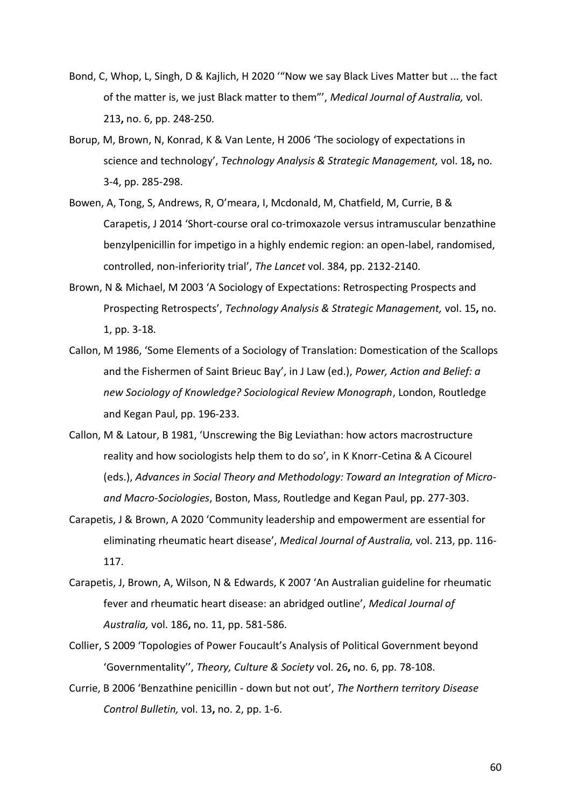- Bond, C, Whop, L, Singh, D & Kajlich, H 2020 '"Now we say Black Lives Matter but ... the fact of the matter is, we just Black matter to them"', *Medical Journal of Australia,* vol. 213**,** no. 6, pp. 248-250.
- Borup, M, Brown, N, Konrad, K & Van Lente, H 2006 'The sociology of expectations in science and technology', *Technology Analysis & Strategic Management,* vol. 18**,** no. 3-4, pp. 285-298.
- Bowen, A, Tong, S, Andrews, R, O'meara, I, Mcdonald, M, Chatfield, M, Currie, B & Carapetis, J 2014 'Short-course oral co-trimoxazole versus intramuscular benzathine benzylpenicillin for impetigo in a highly endemic region: an open-label, randomised, controlled, non-inferiority trial', *The Lancet* vol. 384, pp. 2132-2140.
- Brown, N & Michael, M 2003 'A Sociology of Expectations: Retrospecting Prospects and Prospecting Retrospects', *Technology Analysis & Strategic Management,* vol. 15**,** no. 1, pp. 3-18.
- Callon, M 1986, 'Some Elements of a Sociology of Translation: Domestication of the Scallops and the Fishermen of Saint Brieuc Bay', in J Law (ed.), *Power, Action and Belief: a new Sociology of Knowledge? Sociological Review Monograph*, London, Routledge and Kegan Paul, pp. 196-233.
- Callon, M & Latour, B 1981, 'Unscrewing the Big Leviathan: how actors macrostructure reality and how sociologists help them to do so', in K Knorr-Cetina & A Cicourel (eds.), *Advances in Social Theory and Methodology: Toward an Integration of Microand Macro-Sociologies*, Boston, Mass, Routledge and Kegan Paul, pp. 277-303.
- Carapetis, J & Brown, A 2020 'Community leadership and empowerment are essential for eliminating rheumatic heart disease', *Medical Journal of Australia,* vol. 213, pp. 116- 117.
- Carapetis, J, Brown, A, Wilson, N & Edwards, K 2007 'An Australian guideline for rheumatic fever and rheumatic heart disease: an abridged outline', *Medical Journal of Australia,* vol. 186**,** no. 11, pp. 581-586.
- Collier, S 2009 'Topologies of Power Foucault's Analysis of Political Government beyond 'Governmentality'', *Theory, Culture & Society* vol. 26**,** no. 6, pp. 78-108.
- Currie, B 2006 'Benzathine penicillin down but not out', *The Northern territory Disease Control Bulletin,* vol. 13**,** no. 2, pp. 1-6.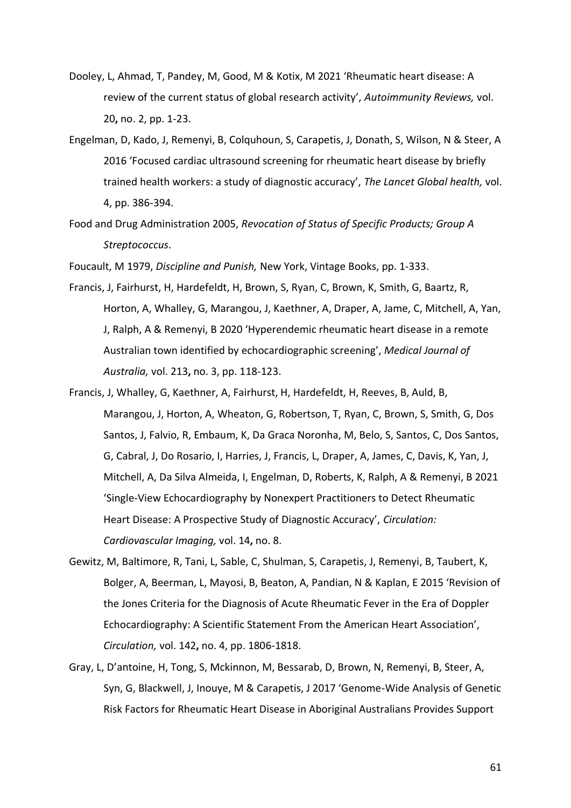- Dooley, L, Ahmad, T, Pandey, M, Good, M & Kotix, M 2021 'Rheumatic heart disease: A review of the current status of global research activity', *Autoimmunity Reviews,* vol. 20**,** no. 2, pp. 1-23.
- Engelman, D, Kado, J, Remenyi, B, Colquhoun, S, Carapetis, J, Donath, S, Wilson, N & Steer, A 2016 'Focused cardiac ultrasound screening for rheumatic heart disease by briefly trained health workers: a study of diagnostic accuracy', *The Lancet Global health,* vol. 4, pp. 386-394.
- Food and Drug Administration 2005, *Revocation of Status of Specific Products; Group A Streptococcus*.

Foucault, M 1979, *Discipline and Punish,* New York, Vintage Books, pp. 1-333.

- Francis, J, Fairhurst, H, Hardefeldt, H, Brown, S, Ryan, C, Brown, K, Smith, G, Baartz, R, Horton, A, Whalley, G, Marangou, J, Kaethner, A, Draper, A, Jame, C, Mitchell, A, Yan, J, Ralph, A & Remenyi, B 2020 'Hyperendemic rheumatic heart disease in a remote Australian town identified by echocardiographic screening', *Medical Journal of Australia,* vol. 213**,** no. 3, pp. 118-123.
- Francis, J, Whalley, G, Kaethner, A, Fairhurst, H, Hardefeldt, H, Reeves, B, Auld, B, Marangou, J, Horton, A, Wheaton, G, Robertson, T, Ryan, C, Brown, S, Smith, G, Dos Santos, J, Falvio, R, Embaum, K, Da Graca Noronha, M, Belo, S, Santos, C, Dos Santos, G, Cabral, J, Do Rosario, I, Harries, J, Francis, L, Draper, A, James, C, Davis, K, Yan, J, Mitchell, A, Da Silva Almeida, I, Engelman, D, Roberts, K, Ralph, A & Remenyi, B 2021 'Single-View Echocardiography by Nonexpert Practitioners to Detect Rheumatic Heart Disease: A Prospective Study of Diagnostic Accuracy', *Circulation: Cardiovascular Imaging,* vol. 14**,** no. 8.
- Gewitz, M, Baltimore, R, Tani, L, Sable, C, Shulman, S, Carapetis, J, Remenyi, B, Taubert, K, Bolger, A, Beerman, L, Mayosi, B, Beaton, A, Pandian, N & Kaplan, E 2015 'Revision of the Jones Criteria for the Diagnosis of Acute Rheumatic Fever in the Era of Doppler Echocardiography: A Scientific Statement From the American Heart Association', *Circulation,* vol. 142**,** no. 4, pp. 1806-1818.
- Gray, L, D'antoine, H, Tong, S, Mckinnon, M, Bessarab, D, Brown, N, Remenyi, B, Steer, A, Syn, G, Blackwell, J, Inouye, M & Carapetis, J 2017 'Genome-Wide Analysis of Genetic Risk Factors for Rheumatic Heart Disease in Aboriginal Australians Provides Support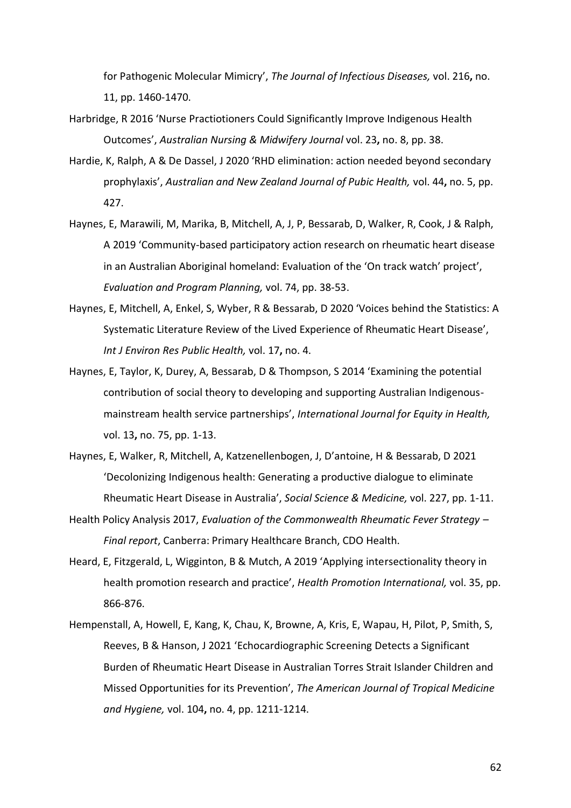for Pathogenic Molecular Mimicry', *The Journal of Infectious Diseases,* vol. 216**,** no. 11, pp. 1460-1470.

- Harbridge, R 2016 'Nurse Practiotioners Could Significantly Improve Indigenous Health Outcomes', *Australian Nursing & Midwifery Journal* vol. 23**,** no. 8, pp. 38.
- Hardie, K, Ralph, A & De Dassel, J 2020 'RHD elimination: action needed beyond secondary prophylaxis', *Australian and New Zealand Journal of Pubic Health,* vol. 44**,** no. 5, pp. 427.
- Haynes, E, Marawili, M, Marika, B, Mitchell, A, J, P, Bessarab, D, Walker, R, Cook, J & Ralph, A 2019 'Community-based participatory action research on rheumatic heart disease in an Australian Aboriginal homeland: Evaluation of the 'On track watch' project', *Evaluation and Program Planning,* vol. 74, pp. 38-53.
- Haynes, E, Mitchell, A, Enkel, S, Wyber, R & Bessarab, D 2020 'Voices behind the Statistics: A Systematic Literature Review of the Lived Experience of Rheumatic Heart Disease', *Int J Environ Res Public Health,* vol. 17**,** no. 4.
- Haynes, E, Taylor, K, Durey, A, Bessarab, D & Thompson, S 2014 'Examining the potential contribution of social theory to developing and supporting Australian Indigenousmainstream health service partnerships', *International Journal for Equity in Health,* vol. 13**,** no. 75, pp. 1-13.
- Haynes, E, Walker, R, Mitchell, A, Katzenellenbogen, J, D'antoine, H & Bessarab, D 2021 'Decolonizing Indigenous health: Generating a productive dialogue to eliminate Rheumatic Heart Disease in Australia', *Social Science & Medicine,* vol. 227, pp. 1-11.
- Health Policy Analysis 2017, *Evaluation of the Commonwealth Rheumatic Fever Strategy – Final report*, Canberra: Primary Healthcare Branch, CDO Health.
- Heard, E, Fitzgerald, L, Wigginton, B & Mutch, A 2019 'Applying intersectionality theory in health promotion research and practice', *Health Promotion International,* vol. 35, pp. 866-876.
- Hempenstall, A, Howell, E, Kang, K, Chau, K, Browne, A, Kris, E, Wapau, H, Pilot, P, Smith, S, Reeves, B & Hanson, J 2021 'Echocardiographic Screening Detects a Significant Burden of Rheumatic Heart Disease in Australian Torres Strait Islander Children and Missed Opportunities for its Prevention', *The American Journal of Tropical Medicine and Hygiene,* vol. 104**,** no. 4, pp. 1211-1214.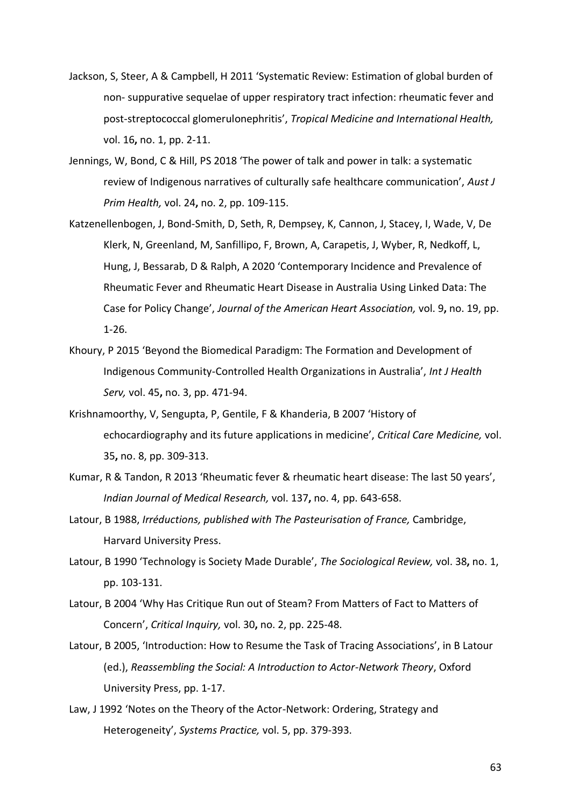- Jackson, S, Steer, A & Campbell, H 2011 'Systematic Review: Estimation of global burden of non- suppurative sequelae of upper respiratory tract infection: rheumatic fever and post-streptococcal glomerulonephritis', *Tropical Medicine and International Health,* vol. 16**,** no. 1, pp. 2-11.
- Jennings, W, Bond, C & Hill, PS 2018 'The power of talk and power in talk: a systematic review of Indigenous narratives of culturally safe healthcare communication', *Aust J Prim Health,* vol. 24**,** no. 2, pp. 109-115.
- Katzenellenbogen, J, Bond-Smith, D, Seth, R, Dempsey, K, Cannon, J, Stacey, I, Wade, V, De Klerk, N, Greenland, M, Sanfillipo, F, Brown, A, Carapetis, J, Wyber, R, Nedkoff, L, Hung, J, Bessarab, D & Ralph, A 2020 'Contemporary Incidence and Prevalence of Rheumatic Fever and Rheumatic Heart Disease in Australia Using Linked Data: The Case for Policy Change', *Journal of the American Heart Association,* vol. 9**,** no. 19, pp. 1-26.
- Khoury, P 2015 'Beyond the Biomedical Paradigm: The Formation and Development of Indigenous Community-Controlled Health Organizations in Australia', *Int J Health Serv,* vol. 45**,** no. 3, pp. 471-94.
- Krishnamoorthy, V, Sengupta, P, Gentile, F & Khanderia, B 2007 'History of echocardiography and its future applications in medicine', *Critical Care Medicine,* vol. 35**,** no. 8, pp. 309-313.
- Kumar, R & Tandon, R 2013 'Rheumatic fever & rheumatic heart disease: The last 50 years', *Indian Journal of Medical Research,* vol. 137**,** no. 4, pp. 643-658.
- Latour, B 1988, *Irréductions, published with The Pasteurisation of France,* Cambridge, Harvard University Press.
- Latour, B 1990 'Technology is Society Made Durable', *The Sociological Review,* vol. 38**,** no. 1, pp. 103-131.
- Latour, B 2004 'Why Has Critique Run out of Steam? From Matters of Fact to Matters of Concern', *Critical Inquiry,* vol. 30**,** no. 2, pp. 225-48.
- Latour, B 2005, 'Introduction: How to Resume the Task of Tracing Associations', in B Latour (ed.), *Reassembling the Social: A Introduction to Actor-Network Theory*, Oxford University Press, pp. 1-17.
- Law, J 1992 'Notes on the Theory of the Actor-Network: Ordering, Strategy and Heterogeneity', *Systems Practice,* vol. 5, pp. 379-393.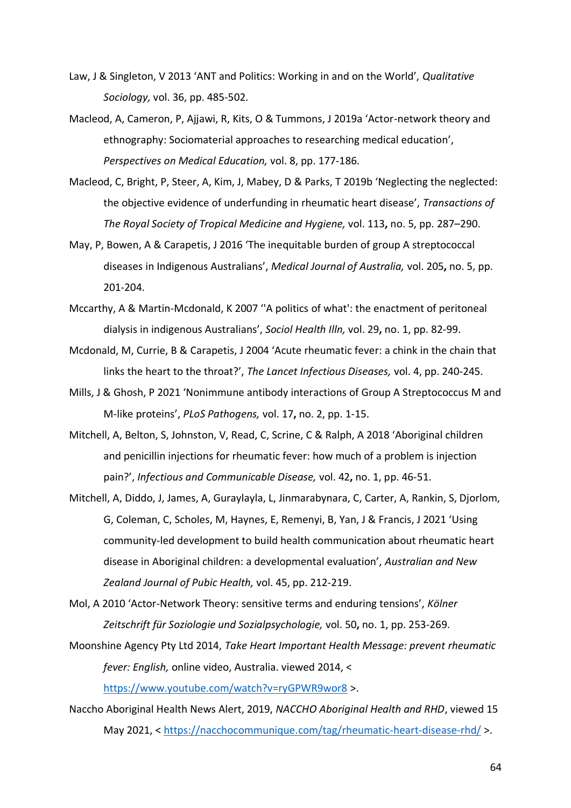- Law, J & Singleton, V 2013 'ANT and Politics: Working in and on the World', *Qualitative Sociology,* vol. 36, pp. 485-502.
- Macleod, A, Cameron, P, Ajjawi, R, Kits, O & Tummons, J 2019a 'Actor-network theory and ethnography: Sociomaterial approaches to researching medical education', *Perspectives on Medical Education,* vol. 8, pp. 177-186.
- Macleod, C, Bright, P, Steer, A, Kim, J, Mabey, D & Parks, T 2019b 'Neglecting the neglected: the objective evidence of underfunding in rheumatic heart disease', *Transactions of The Royal Society of Tropical Medicine and Hygiene,* vol. 113**,** no. 5, pp. 287–290.
- May, P, Bowen, A & Carapetis, J 2016 'The inequitable burden of group A streptococcal diseases in Indigenous Australians', *Medical Journal of Australia,* vol. 205**,** no. 5, pp. 201-204.
- Mccarthy, A & Martin-Mcdonald, K 2007 ''A politics of what': the enactment of peritoneal dialysis in indigenous Australians', *Sociol Health Illn,* vol. 29**,** no. 1, pp. 82-99.
- Mcdonald, M, Currie, B & Carapetis, J 2004 'Acute rheumatic fever: a chink in the chain that links the heart to the throat?', *The Lancet Infectious Diseases,* vol. 4, pp. 240-245.
- Mills, J & Ghosh, P 2021 'Nonimmune antibody interactions of Group A Streptococcus M and M-like proteins', *PLoS Pathogens,* vol. 17**,** no. 2, pp. 1-15.
- Mitchell, A, Belton, S, Johnston, V, Read, C, Scrine, C & Ralph, A 2018 'Aboriginal children and penicillin injections for rheumatic fever: how much of a problem is injection pain?', *Infectious and Communicable Disease,* vol. 42**,** no. 1, pp. 46-51.
- Mitchell, A, Diddo, J, James, A, Guraylayla, L, Jinmarabynara, C, Carter, A, Rankin, S, Djorlom, G, Coleman, C, Scholes, M, Haynes, E, Remenyi, B, Yan, J & Francis, J 2021 'Using community-led development to build health communication about rheumatic heart disease in Aboriginal children: a developmental evaluation', *Australian and New Zealand Journal of Pubic Health,* vol. 45, pp. 212-219.
- Mol, A 2010 'Actor-Network Theory: sensitive terms and enduring tensions', *Kölner Zeitschrift für Soziologie und Sozialpsychologie,* vol. 50**,** no. 1, pp. 253-269.
- Moonshine Agency Pty Ltd 2014, *Take Heart Important Health Message: prevent rheumatic fever: English,* online video, Australia. viewed 2014, <

<https://www.youtube.com/watch?v=ryGPWR9wor8> >.

Naccho Aboriginal Health News Alert, 2019, *NACCHO Aboriginal Health and RHD*, viewed 15 May 2021, <<https://nacchocommunique.com/tag/rheumatic-heart-disease-rhd/> >.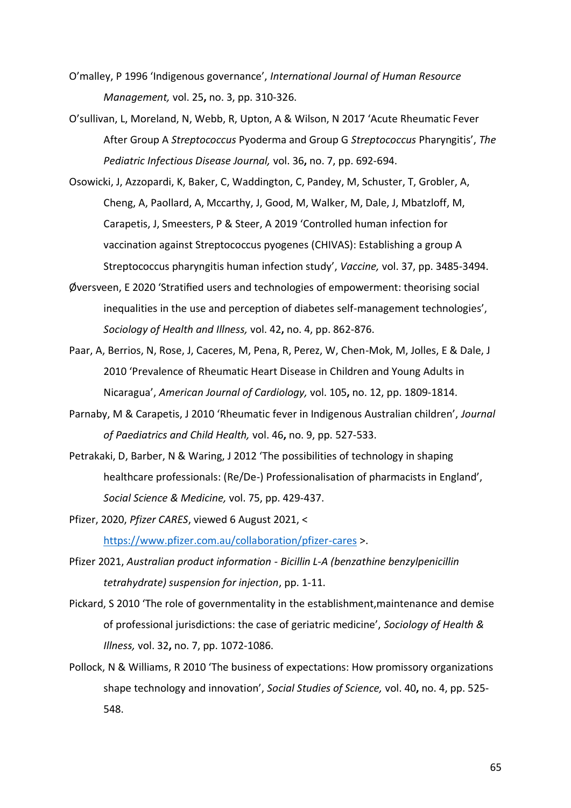- O'malley, P 1996 'Indigenous governance', *International Journal of Human Resource Management,* vol. 25**,** no. 3, pp. 310-326.
- O'sullivan, L, Moreland, N, Webb, R, Upton, A & Wilson, N 2017 'Acute Rheumatic Fever After Group A *Streptococcus* Pyoderma and Group G *Streptococcus* Pharyngitis', *The Pediatric Infectious Disease Journal,* vol. 36**,** no. 7, pp. 692-694.
- Osowicki, J, Azzopardi, K, Baker, C, Waddington, C, Pandey, M, Schuster, T, Grobler, A, Cheng, A, Paollard, A, Mccarthy, J, Good, M, Walker, M, Dale, J, Mbatzloff, M, Carapetis, J, Smeesters, P & Steer, A 2019 'Controlled human infection for vaccination against Streptococcus pyogenes (CHIVAS): Establishing a group A Streptococcus pharyngitis human infection study', *Vaccine,* vol. 37, pp. 3485-3494.
- Øversveen, E 2020 'Stratified users and technologies of empowerment: theorising social inequalities in the use and perception of diabetes self-management technologies', *Sociology of Health and Illness,* vol. 42**,** no. 4, pp. 862-876.
- Paar, A, Berrios, N, Rose, J, Caceres, M, Pena, R, Perez, W, Chen-Mok, M, Jolles, E & Dale, J 2010 'Prevalence of Rheumatic Heart Disease in Children and Young Adults in Nicaragua', *American Journal of Cardiology,* vol. 105**,** no. 12, pp. 1809-1814.
- Parnaby, M & Carapetis, J 2010 'Rheumatic fever in Indigenous Australian children', *Journal of Paediatrics and Child Health,* vol. 46**,** no. 9, pp. 527-533.
- Petrakaki, D, Barber, N & Waring, J 2012 'The possibilities of technology in shaping healthcare professionals: (Re/De-) Professionalisation of pharmacists in England', *Social Science & Medicine,* vol. 75, pp. 429-437.
- Pfizer, 2020, *Pfizer CARES*, viewed 6 August 2021, < <https://www.pfizer.com.au/collaboration/pfizer-cares> >.
- Pfizer 2021, *Australian product information - Bicillin L-A (benzathine benzylpenicillin tetrahydrate) suspension for injection*, pp. 1-11.
- Pickard, S 2010 'The role of governmentality in the establishment,maintenance and demise of professional jurisdictions: the case of geriatric medicine', *Sociology of Health & Illness,* vol. 32**,** no. 7, pp. 1072-1086.
- Pollock, N & Williams, R 2010 'The business of expectations: How promissory organizations shape technology and innovation', *Social Studies of Science,* vol. 40**,** no. 4, pp. 525- 548.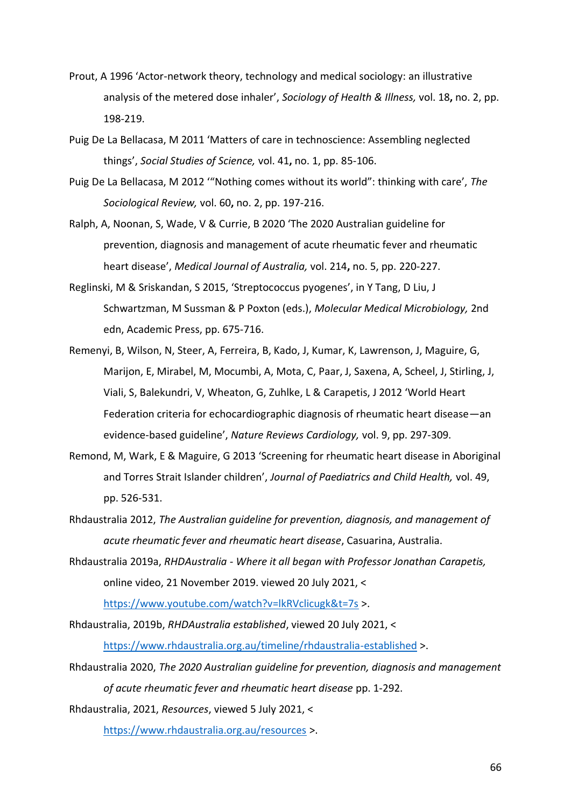- Prout, A 1996 'Actor-network theory, technology and medical sociology: an illustrative analysis of the metered dose inhaler', *Sociology of Health & Illness,* vol. 18**,** no. 2, pp. 198-219.
- Puig De La Bellacasa, M 2011 'Matters of care in technoscience: Assembling neglected things', *Social Studies of Science,* vol. 41**,** no. 1, pp. 85-106.
- Puig De La Bellacasa, M 2012 '"Nothing comes without its world": thinking with care', *The Sociological Review,* vol. 60**,** no. 2, pp. 197-216.
- Ralph, A, Noonan, S, Wade, V & Currie, B 2020 'The 2020 Australian guideline for prevention, diagnosis and management of acute rheumatic fever and rheumatic heart disease', *Medical Journal of Australia,* vol. 214**,** no. 5, pp. 220-227.
- Reglinski, M & Sriskandan, S 2015, 'Streptococcus pyogenes', in Y Tang, D Liu, J Schwartzman, M Sussman & P Poxton (eds.), *Molecular Medical Microbiology,* 2nd edn, Academic Press, pp. 675-716.
- Remenyi, B, Wilson, N, Steer, A, Ferreira, B, Kado, J, Kumar, K, Lawrenson, J, Maguire, G, Marijon, E, Mirabel, M, Mocumbi, A, Mota, C, Paar, J, Saxena, A, Scheel, J, Stirling, J, Viali, S, Balekundri, V, Wheaton, G, Zuhlke, L & Carapetis, J 2012 'World Heart Federation criteria for echocardiographic diagnosis of rheumatic heart disease—an evidence-based guideline', *Nature Reviews Cardiology,* vol. 9, pp. 297-309.
- Remond, M, Wark, E & Maguire, G 2013 'Screening for rheumatic heart disease in Aboriginal and Torres Strait Islander children', *Journal of Paediatrics and Child Health,* vol. 49, pp. 526-531.
- Rhdaustralia 2012, *The Australian guideline for prevention, diagnosis, and management of acute rheumatic fever and rheumatic heart disease*, Casuarina, Australia.
- Rhdaustralia 2019a, *RHDAustralia - Where it all began with Professor Jonathan Carapetis,* online video, 21 November 2019. viewed 20 July 2021, <

<https://www.youtube.com/watch?v=lkRVclicugk&t=7s> >.

- Rhdaustralia, 2019b, *RHDAustralia established*, viewed 20 July 2021, < <https://www.rhdaustralia.org.au/timeline/rhdaustralia-established> >.
- Rhdaustralia 2020, *The 2020 Australian guideline for prevention, diagnosis and management of acute rheumatic fever and rheumatic heart disease* pp. 1-292.

Rhdaustralia, 2021, *Resources*, viewed 5 July 2021, <

<https://www.rhdaustralia.org.au/resources> >.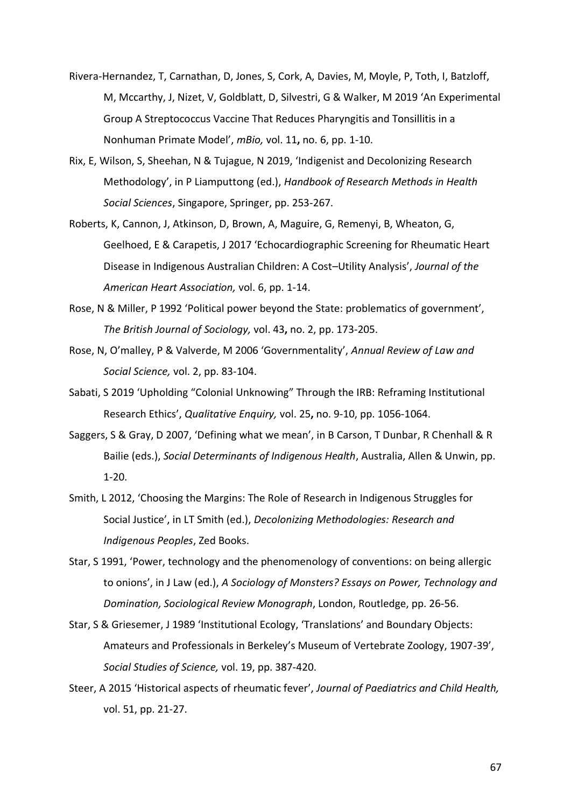- Rivera-Hernandez, T, Carnathan, D, Jones, S, Cork, A, Davies, M, Moyle, P, Toth, I, Batzloff, M, Mccarthy, J, Nizet, V, Goldblatt, D, Silvestri, G & Walker, M 2019 'An Experimental Group A Streptococcus Vaccine That Reduces Pharyngitis and Tonsillitis in a Nonhuman Primate Model', *mBio,* vol. 11**,** no. 6, pp. 1-10.
- Rix, E, Wilson, S, Sheehan, N & Tujague, N 2019, 'Indigenist and Decolonizing Research Methodology', in P Liamputtong (ed.), *Handbook of Research Methods in Health Social Sciences*, Singapore, Springer, pp. 253-267.
- Roberts, K, Cannon, J, Atkinson, D, Brown, A, Maguire, G, Remenyi, B, Wheaton, G, Geelhoed, E & Carapetis, J 2017 'Echocardiographic Screening for Rheumatic Heart Disease in Indigenous Australian Children: A Cost–Utility Analysis', *Journal of the American Heart Association,* vol. 6, pp. 1-14.
- Rose, N & Miller, P 1992 'Political power beyond the State: problematics of government', *The British Journal of Sociology,* vol. 43**,** no. 2, pp. 173-205.
- Rose, N, O'malley, P & Valverde, M 2006 'Governmentality', *Annual Review of Law and Social Science,* vol. 2, pp. 83-104.
- Sabati, S 2019 'Upholding "Colonial Unknowing" Through the IRB: Reframing Institutional Research Ethics', *Qualitative Enquiry,* vol. 25**,** no. 9-10, pp. 1056-1064.
- Saggers, S & Gray, D 2007, 'Defining what we mean', in B Carson, T Dunbar, R Chenhall & R Bailie (eds.), *Social Determinants of Indigenous Health*, Australia, Allen & Unwin, pp. 1-20.
- Smith, L 2012, 'Choosing the Margins: The Role of Research in Indigenous Struggles for Social Justice', in LT Smith (ed.), *Decolonizing Methodologies: Research and Indigenous Peoples*, Zed Books.
- Star, S 1991, 'Power, technology and the phenomenology of conventions: on being allergic to onions', in J Law (ed.), *A Sociology of Monsters? Essays on Power, Technology and Domination, Sociological Review Monograph*, London, Routledge, pp. 26-56.
- Star, S & Griesemer, J 1989 'Institutional Ecology, 'Translations' and Boundary Objects: Amateurs and Professionals in Berkeley's Museum of Vertebrate Zoology, 1907-39', *Social Studies of Science,* vol. 19, pp. 387-420.
- Steer, A 2015 'Historical aspects of rheumatic fever', *Journal of Paediatrics and Child Health,* vol. 51, pp. 21-27.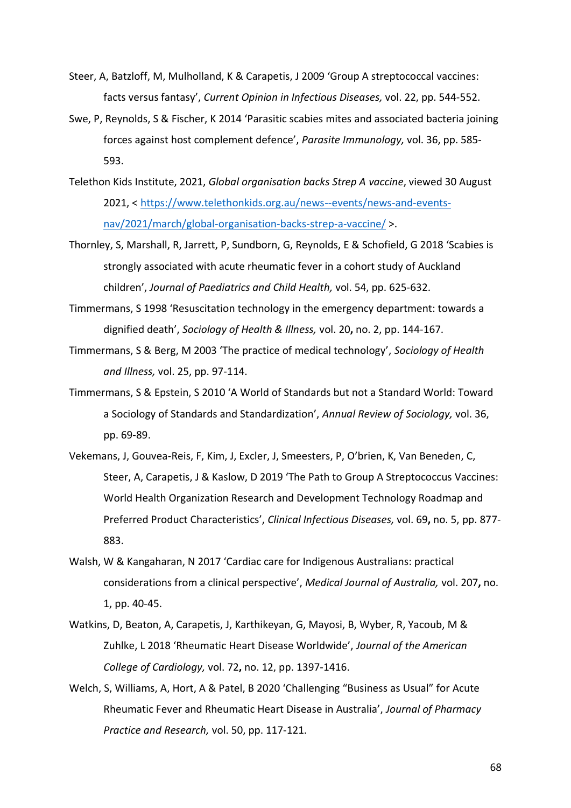- Steer, A, Batzloff, M, Mulholland, K & Carapetis, J 2009 'Group A streptococcal vaccines: facts versus fantasy', *Current Opinion in Infectious Diseases,* vol. 22, pp. 544-552.
- Swe, P, Reynolds, S & Fischer, K 2014 'Parasitic scabies mites and associated bacteria joining forces against host complement defence', *Parasite Immunology,* vol. 36, pp. 585- 593.
- Telethon Kids Institute, 2021, *Global organisation backs Strep A vaccine*, viewed 30 August 2021, < [https://www.telethonkids.org.au/news--events/news-and-events](https://www.telethonkids.org.au/news--events/news-and-events-nav/2021/march/global-organisation-backs-strep-a-vaccine/)[nav/2021/march/global-organisation-backs-strep-a-vaccine/](https://www.telethonkids.org.au/news--events/news-and-events-nav/2021/march/global-organisation-backs-strep-a-vaccine/) >.
- Thornley, S, Marshall, R, Jarrett, P, Sundborn, G, Reynolds, E & Schofield, G 2018 'Scabies is strongly associated with acute rheumatic fever in a cohort study of Auckland children', *Journal of Paediatrics and Child Health,* vol. 54, pp. 625-632.
- Timmermans, S 1998 'Resuscitation technology in the emergency department: towards a dignified death', *Sociology of Health & Illness,* vol. 20**,** no. 2, pp. 144-167.
- Timmermans, S & Berg, M 2003 'The practice of medical technology', *Sociology of Health and Illness,* vol. 25, pp. 97-114.
- Timmermans, S & Epstein, S 2010 'A World of Standards but not a Standard World: Toward a Sociology of Standards and Standardization', *Annual Review of Sociology,* vol. 36, pp. 69-89.
- Vekemans, J, Gouvea-Reis, F, Kim, J, Excler, J, Smeesters, P, O'brien, K, Van Beneden, C, Steer, A, Carapetis, J & Kaslow, D 2019 'The Path to Group A Streptococcus Vaccines: World Health Organization Research and Development Technology Roadmap and Preferred Product Characteristics', *Clinical Infectious Diseases,* vol. 69**,** no. 5, pp. 877- 883.
- Walsh, W & Kangaharan, N 2017 'Cardiac care for Indigenous Australians: practical considerations from a clinical perspective', *Medical Journal of Australia,* vol. 207**,** no. 1, pp. 40-45.
- Watkins, D, Beaton, A, Carapetis, J, Karthikeyan, G, Mayosi, B, Wyber, R, Yacoub, M & Zuhlke, L 2018 'Rheumatic Heart Disease Worldwide', *Journal of the American College of Cardiology,* vol. 72**,** no. 12, pp. 1397-1416.
- Welch, S, Williams, A, Hort, A & Patel, B 2020 'Challenging "Business as Usual" for Acute Rheumatic Fever and Rheumatic Heart Disease in Australia', *Journal of Pharmacy Practice and Research,* vol. 50, pp. 117-121.